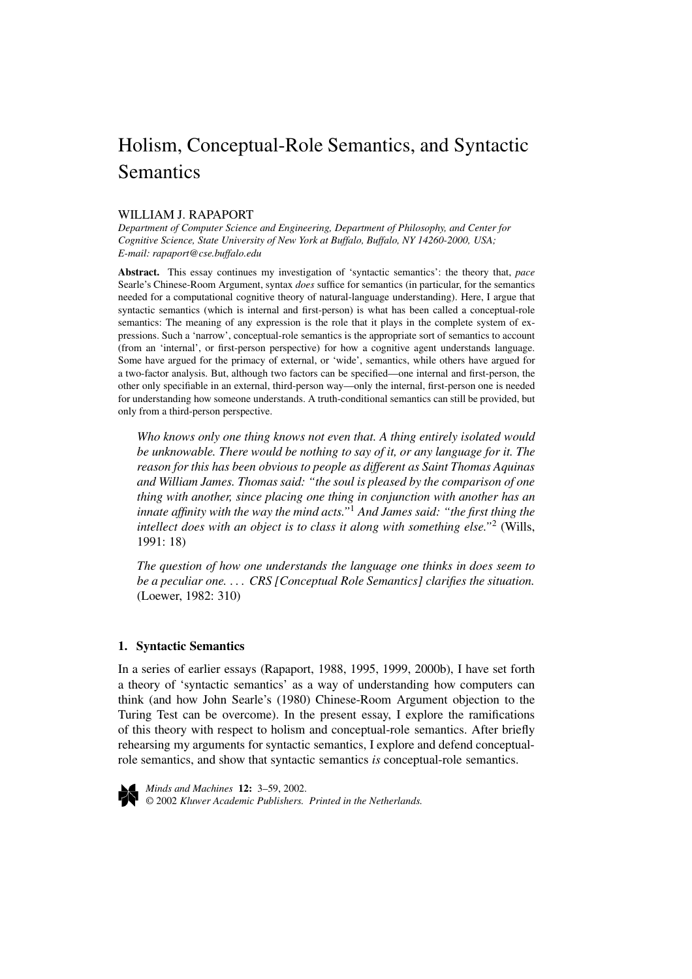# Holism, Conceptual-Role Semantics, and Syntactic **Semantics**

# WILLIAM J. RAPAPORT

*Department of Computer Science and Engineering, Department of Philosophy, and Center for Cognitive Science, State University of New York at Buffalo, Buffalo, NY 14260-2000, USA; E-mail: rapaport@cse.buffalo.edu*

**Abstract.** This essay continues my investigation of 'syntactic semantics': the theory that, *pace* Searle's Chinese-Room Argument, syntax *does* suffice for semantics (in particular, for the semantics needed for a computational cognitive theory of natural-language understanding). Here, I argue that syntactic semantics (which is internal and first-person) is what has been called a conceptual-role semantics: The meaning of any expression is the role that it plays in the complete system of expressions. Such a 'narrow', conceptual-role semantics is the appropriate sort of semantics to account (from an 'internal', or first-person perspective) for how a cognitive agent understands language. Some have argued for the primacy of external, or 'wide', semantics, while others have argued for a two-factor analysis. But, although two factors can be specified—one internal and first-person, the other only specifiable in an external, third-person way—only the internal, first-person one is needed for understanding how someone understands. A truth-conditional semantics can still be provided, but only from a third-person perspective.

*Who knows only one thing knows not even that. A thing entirely isolated would be unknowable. There would be nothing to say of it, or any language for it. The reason for this has been obvious to people as different as Saint Thomas Aquinas and William James. Thomas said: "the soul is pleased by the comparison of one thing with another, since placing one thing in conjunction with another has an innate affinity with the way the mind acts."*<sup>1</sup> *And James said: "the first thing the intellect does with an object is to class it along with something else."*<sup>2</sup> (Wills, 1991: 18)

*The question of how one understands the language one thinks in does seem to be a peculiar one. ... CRS [Conceptual Role Semantics] clarifies the situation.* (Loewer, 1982: 310)

# **1. Syntactic Semantics**

In a series of earlier essays (Rapaport, 1988, 1995, 1999, 2000b), I have set forth a theory of 'syntactic semantics' as a way of understanding how computers can think (and how John Searle's (1980) Chinese-Room Argument objection to the Turing Test can be overcome). In the present essay, I explore the ramifications of this theory with respect to holism and conceptual-role semantics. After briefly rehearsing my arguments for syntactic semantics, I explore and defend conceptualrole semantics, and show that syntactic semantics *is* conceptual-role semantics.



*Minds and Machines* **12:** 3–59, 2002. © 2002 *Kluwer Academic Publishers. Printed in the Netherlands.*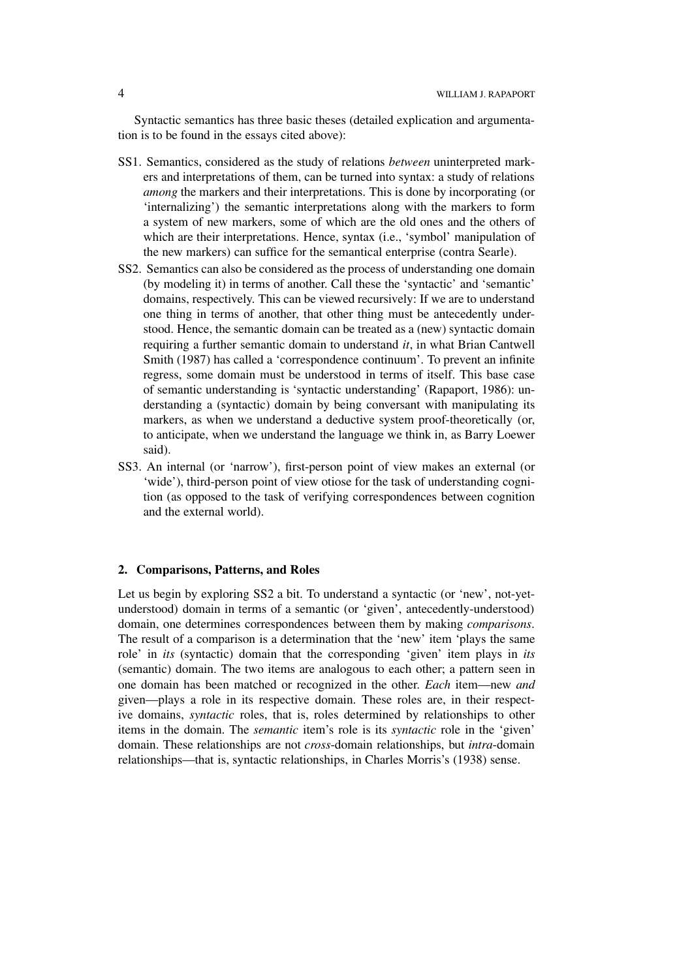Syntactic semantics has three basic theses (detailed explication and argumentation is to be found in the essays cited above):

- SS1. Semantics, considered as the study of relations *between* uninterpreted markers and interpretations of them, can be turned into syntax: a study of relations *among* the markers and their interpretations. This is done by incorporating (or 'internalizing') the semantic interpretations along with the markers to form a system of new markers, some of which are the old ones and the others of which are their interpretations. Hence, syntax (i.e., 'symbol' manipulation of the new markers) can suffice for the semantical enterprise (contra Searle).
- SS2. Semantics can also be considered as the process of understanding one domain (by modeling it) in terms of another. Call these the 'syntactic' and 'semantic' domains, respectively. This can be viewed recursively: If we are to understand one thing in terms of another, that other thing must be antecedently understood. Hence, the semantic domain can be treated as a (new) syntactic domain requiring a further semantic domain to understand *it*, in what Brian Cantwell Smith (1987) has called a 'correspondence continuum'. To prevent an infinite regress, some domain must be understood in terms of itself. This base case of semantic understanding is 'syntactic understanding' (Rapaport, 1986): understanding a (syntactic) domain by being conversant with manipulating its markers, as when we understand a deductive system proof-theoretically (or, to anticipate, when we understand the language we think in, as Barry Loewer said).
- SS3. An internal (or 'narrow'), first-person point of view makes an external (or 'wide'), third-person point of view otiose for the task of understanding cognition (as opposed to the task of verifying correspondences between cognition and the external world).

# **2. Comparisons, Patterns, and Roles**

Let us begin by exploring SS2 a bit. To understand a syntactic (or 'new', not-yetunderstood) domain in terms of a semantic (or 'given', antecedently-understood) domain, one determines correspondences between them by making *comparisons*. The result of a comparison is a determination that the 'new' item 'plays the same role' in *its* (syntactic) domain that the corresponding 'given' item plays in *its* (semantic) domain. The two items are analogous to each other; a pattern seen in one domain has been matched or recognized in the other. *Each* item—new *and* given—plays a role in its respective domain. These roles are, in their respective domains, *syntactic* roles, that is, roles determined by relationships to other items in the domain. The *semantic* item's role is its *syntactic* role in the 'given' domain. These relationships are not *cross*-domain relationships, but *intra*-domain relationships—that is, syntactic relationships, in Charles Morris's (1938) sense.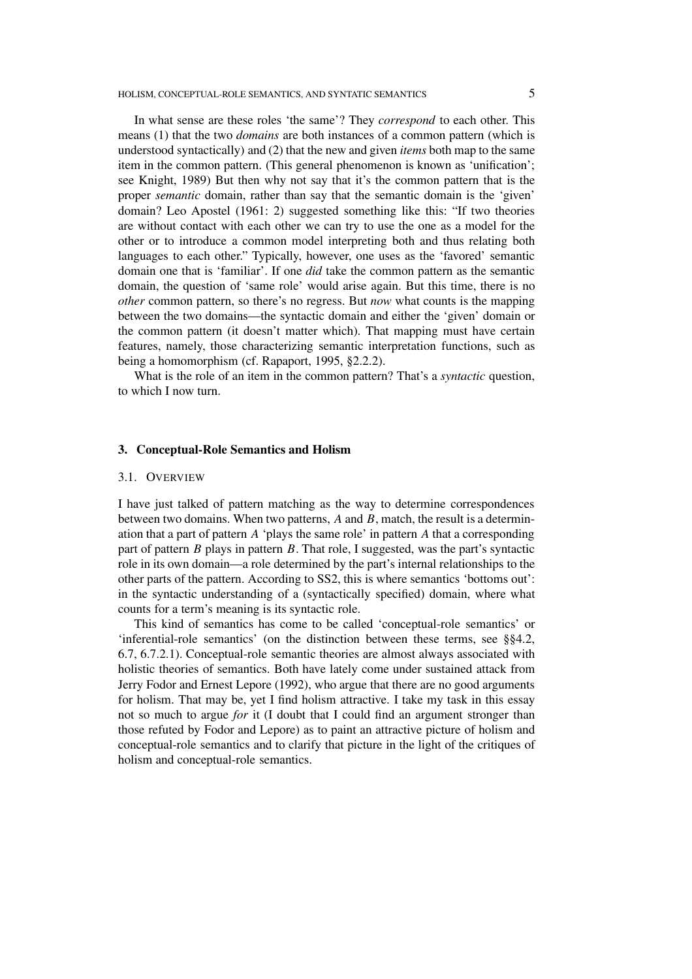In what sense are these roles 'the same'? They *correspond* to each other. This means (1) that the two *domains* are both instances of a common pattern (which is understood syntactically) and (2) that the new and given *items* both map to the same item in the common pattern. (This general phenomenon is known as 'unification'; see Knight, 1989) But then why not say that it's the common pattern that is the proper *semantic* domain, rather than say that the semantic domain is the 'given' domain? Leo Apostel (1961: 2) suggested something like this: "If two theories are without contact with each other we can try to use the one as a model for the other or to introduce a common model interpreting both and thus relating both languages to each other." Typically, however, one uses as the 'favored' semantic domain one that is 'familiar'. If one *did* take the common pattern as the semantic domain, the question of 'same role' would arise again. But this time, there is no *other* common pattern, so there's no regress. But *now* what counts is the mapping between the two domains—the syntactic domain and either the 'given' domain or the common pattern (it doesn't matter which). That mapping must have certain features, namely, those characterizing semantic interpretation functions, such as being a homomorphism (cf. Rapaport, 1995, §2.2.2).

What is the role of an item in the common pattern? That's a *syntactic* question, to which I now turn.

# **3. Conceptual-Role Semantics and Holism**

### 3.1. OVERVIEW

I have just talked of pattern matching as the way to determine correspondences between two domains. When two patterns, *A* and *B*, match, the result is a determination that a part of pattern *A* 'plays the same role' in pattern *A* that a corresponding part of pattern *B* plays in pattern *B*. That role, I suggested, was the part's syntactic role in its own domain—a role determined by the part's internal relationships to the other parts of the pattern. According to SS2, this is where semantics 'bottoms out': in the syntactic understanding of a (syntactically specified) domain, where what counts for a term's meaning is its syntactic role.

This kind of semantics has come to be called 'conceptual-role semantics' or 'inferential-role semantics' (on the distinction between these terms, see §§4.2, 6.7, 6.7.2.1). Conceptual-role semantic theories are almost always associated with holistic theories of semantics. Both have lately come under sustained attack from Jerry Fodor and Ernest Lepore (1992), who argue that there are no good arguments for holism. That may be, yet I find holism attractive. I take my task in this essay not so much to argue *for* it (I doubt that I could find an argument stronger than those refuted by Fodor and Lepore) as to paint an attractive picture of holism and conceptual-role semantics and to clarify that picture in the light of the critiques of holism and conceptual-role semantics.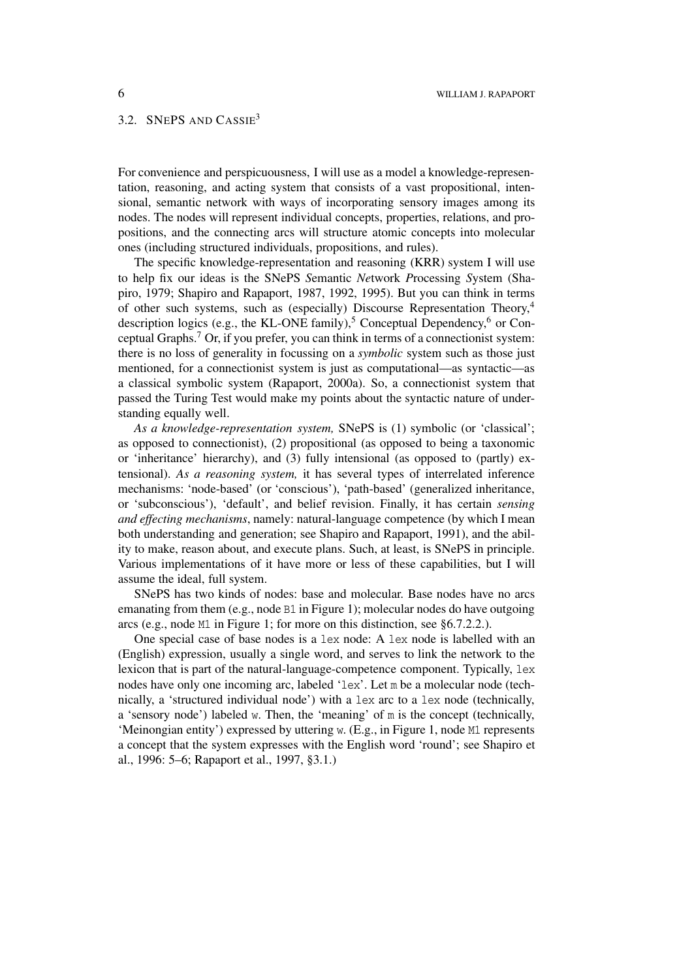# 3.2. SNEPS AND CASSIE<sup>3</sup>

For convenience and perspicuousness, I will use as a model a knowledge-representation, reasoning, and acting system that consists of a vast propositional, intensional, semantic network with ways of incorporating sensory images among its nodes. The nodes will represent individual concepts, properties, relations, and propositions, and the connecting arcs will structure atomic concepts into molecular ones (including structured individuals, propositions, and rules).

The specific knowledge-representation and reasoning (KRR) system I will use to help fix our ideas is the SNePS *S*emantic *Ne*twork *P*rocessing *S*ystem (Shapiro, 1979; Shapiro and Rapaport, 1987, 1992, 1995). But you can think in terms of other such systems, such as (especially) Discourse Representation Theory,<sup>4</sup> description logics (e.g., the KL-ONE family),<sup>5</sup> Conceptual Dependency,<sup>6</sup> or Conceptual Graphs.<sup>7</sup> Or, if you prefer, you can think in terms of a connectionist system: there is no loss of generality in focussing on a *symbolic* system such as those just mentioned, for a connectionist system is just as computational—as syntactic—as a classical symbolic system (Rapaport, 2000a). So, a connectionist system that passed the Turing Test would make my points about the syntactic nature of understanding equally well.

*As a knowledge-representation system,* SNePS is (1) symbolic (or 'classical'; as opposed to connectionist), (2) propositional (as opposed to being a taxonomic or 'inheritance' hierarchy), and (3) fully intensional (as opposed to (partly) extensional). *As a reasoning system,* it has several types of interrelated inference mechanisms: 'node-based' (or 'conscious'), 'path-based' (generalized inheritance, or 'subconscious'), 'default', and belief revision. Finally, it has certain *sensing and effecting mechanisms*, namely: natural-language competence (by which I mean both understanding and generation; see Shapiro and Rapaport, 1991), and the ability to make, reason about, and execute plans. Such, at least, is SNePS in principle. Various implementations of it have more or less of these capabilities, but I will assume the ideal, full system.

SNePS has two kinds of nodes: base and molecular. Base nodes have no arcs emanating from them (e.g., node B1 in Figure 1); molecular nodes do have outgoing arcs (e.g., node M1 in Figure 1; for more on this distinction, see §6.7.2.2.).

One special case of base nodes is a lex node: A lex node is labelled with an (English) expression, usually a single word, and serves to link the network to the lexicon that is part of the natural-language-competence component. Typically, lex nodes have only one incoming arc, labeled 'lex'. Let m be a molecular node (technically, a 'structured individual node') with a lex arc to a lex node (technically, a 'sensory node') labeled w. Then, the 'meaning' of m is the concept (technically, 'Meinongian entity') expressed by uttering w. (E.g., in Figure 1, node M1 represents a concept that the system expresses with the English word 'round'; see Shapiro et al., 1996: 5–6; Rapaport et al., 1997, §3.1.)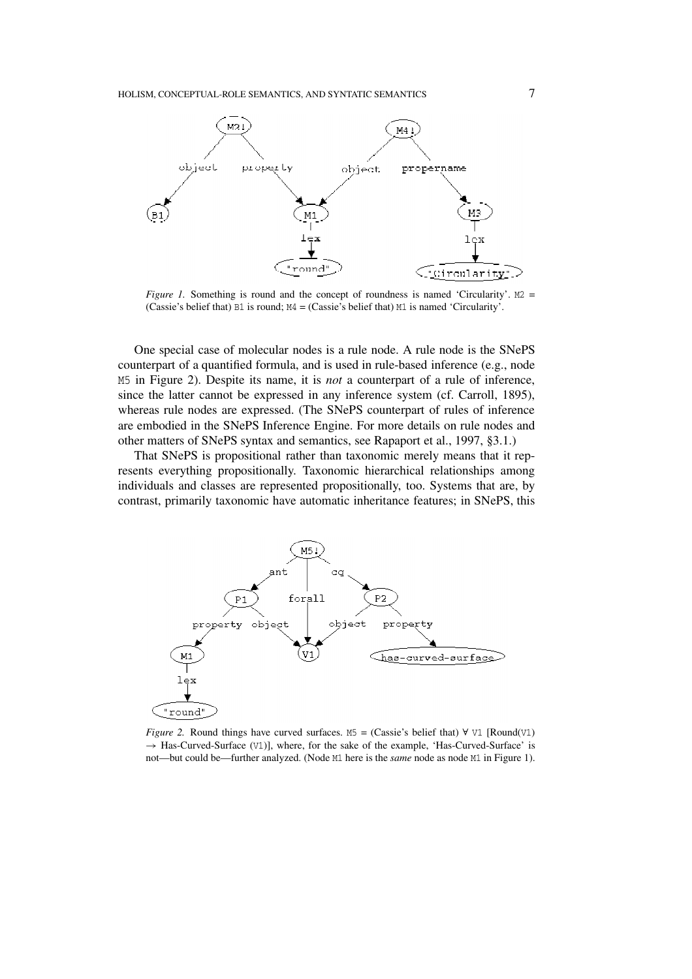

*Figure 1.* Something is round and the concept of roundness is named 'Circularity'. M2 = (Cassie's belief that) B1 is round; M4 = (Cassie's belief that) M1 is named 'Circularity'.

One special case of molecular nodes is a rule node. A rule node is the SNePS counterpart of a quantified formula, and is used in rule-based inference (e.g., node M5 in Figure 2). Despite its name, it is *not* a counterpart of a rule of inference, since the latter cannot be expressed in any inference system (cf. Carroll, 1895), whereas rule nodes are expressed. (The SNePS counterpart of rules of inference are embodied in the SNePS Inference Engine. For more details on rule nodes and other matters of SNePS syntax and semantics, see Rapaport et al., 1997, §3.1.)

That SNePS is propositional rather than taxonomic merely means that it represents everything propositionally. Taxonomic hierarchical relationships among individuals and classes are represented propositionally, too. Systems that are, by contrast, primarily taxonomic have automatic inheritance features; in SNePS, this



*Figure 2.* Round things have curved surfaces. M5 = (Cassie's belief that)  $\forall$  V1 [Round(V1)  $\rightarrow$  Has-Curved-Surface (V1)], where, for the sake of the example, 'Has-Curved-Surface' is not—but could be—further analyzed. (Node M1 here is the *same* node as node M1 in Figure 1).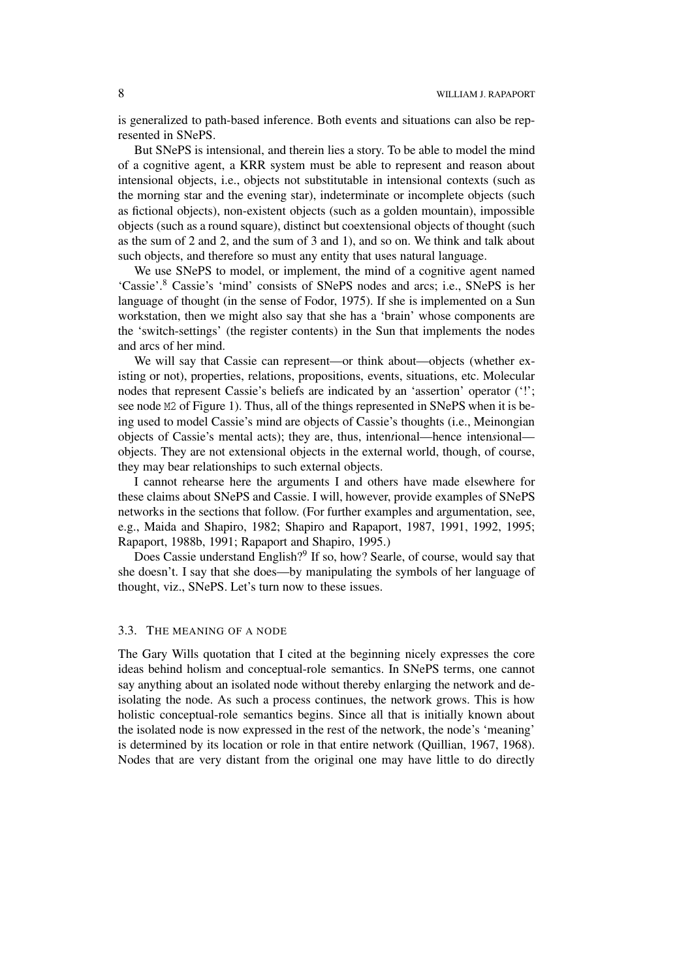is generalized to path-based inference. Both events and situations can also be represented in SNePS.

But SNePS is intensional, and therein lies a story. To be able to model the mind of a cognitive agent, a KRR system must be able to represent and reason about intensional objects, i.e., objects not substitutable in intensional contexts (such as the morning star and the evening star), indeterminate or incomplete objects (such as fictional objects), non-existent objects (such as a golden mountain), impossible objects (such as a round square), distinct but coextensional objects of thought (such as the sum of 2 and 2, and the sum of 3 and 1), and so on. We think and talk about such objects, and therefore so must any entity that uses natural language.

We use SNePS to model, or implement, the mind of a cognitive agent named 'Cassie'.<sup>8</sup> Cassie's 'mind' consists of SNePS nodes and arcs; i.e., SNePS is her language of thought (in the sense of Fodor, 1975). If she is implemented on a Sun workstation, then we might also say that she has a 'brain' whose components are the 'switch-settings' (the register contents) in the Sun that implements the nodes and arcs of her mind.

We will say that Cassie can represent—or think about—objects (whether existing or not), properties, relations, propositions, events, situations, etc. Molecular nodes that represent Cassie's beliefs are indicated by an 'assertion' operator ('!'; see node M2 of Figure 1). Thus, all of the things represented in SNePS when it is being used to model Cassie's mind are objects of Cassie's thoughts (i.e., Meinongian objects of Cassie's mental acts); they are, thus, inten*t*ional—hence inten*s*ional objects. They are not extensional objects in the external world, though, of course, they may bear relationships to such external objects.

I cannot rehearse here the arguments I and others have made elsewhere for these claims about SNePS and Cassie. I will, however, provide examples of SNePS networks in the sections that follow. (For further examples and argumentation, see, e.g., Maida and Shapiro, 1982; Shapiro and Rapaport, 1987, 1991, 1992, 1995; Rapaport, 1988b, 1991; Rapaport and Shapiro, 1995.)

Does Cassie understand English?<sup>9</sup> If so, how? Searle, of course, would say that she doesn't. I say that she does—by manipulating the symbols of her language of thought, viz., SNePS. Let's turn now to these issues.

# 3.3. THE MEANING OF A NODE

The Gary Wills quotation that I cited at the beginning nicely expresses the core ideas behind holism and conceptual-role semantics. In SNePS terms, one cannot say anything about an isolated node without thereby enlarging the network and deisolating the node. As such a process continues, the network grows. This is how holistic conceptual-role semantics begins. Since all that is initially known about the isolated node is now expressed in the rest of the network, the node's 'meaning' is determined by its location or role in that entire network (Quillian, 1967, 1968). Nodes that are very distant from the original one may have little to do directly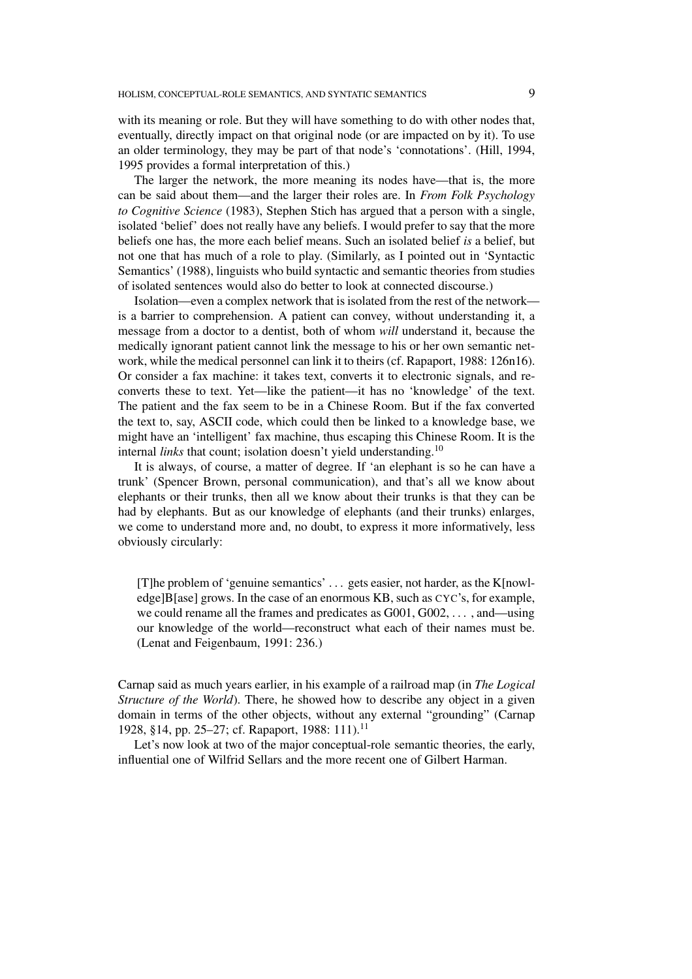with its meaning or role. But they will have something to do with other nodes that, eventually, directly impact on that original node (or are impacted on by it). To use an older terminology, they may be part of that node's 'connotations'. (Hill, 1994, 1995 provides a formal interpretation of this.)

The larger the network, the more meaning its nodes have—that is, the more can be said about them—and the larger their roles are. In *From Folk Psychology to Cognitive Science* (1983), Stephen Stich has argued that a person with a single, isolated 'belief' does not really have any beliefs. I would prefer to say that the more beliefs one has, the more each belief means. Such an isolated belief *is* a belief, but not one that has much of a role to play. (Similarly, as I pointed out in 'Syntactic Semantics' (1988), linguists who build syntactic and semantic theories from studies of isolated sentences would also do better to look at connected discourse.)

Isolation—even a complex network that is isolated from the rest of the network is a barrier to comprehension. A patient can convey, without understanding it, a message from a doctor to a dentist, both of whom *will* understand it, because the medically ignorant patient cannot link the message to his or her own semantic network, while the medical personnel can link it to theirs (cf. Rapaport, 1988: 126n16). Or consider a fax machine: it takes text, converts it to electronic signals, and reconverts these to text. Yet—like the patient—it has no 'knowledge' of the text. The patient and the fax seem to be in a Chinese Room. But if the fax converted the text to, say, ASCII code, which could then be linked to a knowledge base, we might have an 'intelligent' fax machine, thus escaping this Chinese Room. It is the internal *links* that count; isolation doesn't yield understanding.<sup>10</sup>

It is always, of course, a matter of degree. If 'an elephant is so he can have a trunk' (Spencer Brown, personal communication), and that's all we know about elephants or their trunks, then all we know about their trunks is that they can be had by elephants. But as our knowledge of elephants (and their trunks) enlarges, we come to understand more and, no doubt, to express it more informatively, less obviously circularly:

[T]he problem of 'genuine semantics' *...* gets easier, not harder, as the K[nowledge]B[ase] grows. In the case of an enormous KB, such as CYC's, for example, we could rename all the frames and predicates as G001, G002, *...* , and—using our knowledge of the world—reconstruct what each of their names must be. (Lenat and Feigenbaum, 1991: 236.)

Carnap said as much years earlier, in his example of a railroad map (in *The Logical Structure of the World*). There, he showed how to describe any object in a given domain in terms of the other objects, without any external "grounding" (Carnap 1928, §14, pp. 25–27; cf. Rapaport, 1988: 111).<sup>11</sup>

Let's now look at two of the major conceptual-role semantic theories, the early, influential one of Wilfrid Sellars and the more recent one of Gilbert Harman.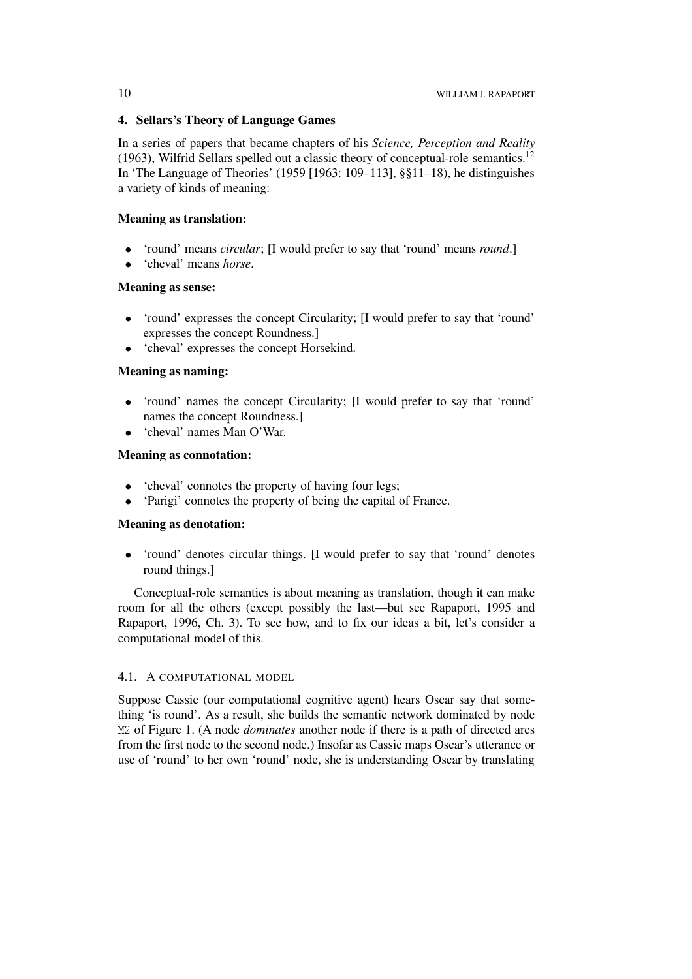# **4. Sellars's Theory of Language Games**

In a series of papers that became chapters of his *Science, Perception and Reality* (1963), Wilfrid Sellars spelled out a classic theory of conceptual-role semantics.12 In 'The Language of Theories' (1959 [1963: 109–113], §§11–18), he distinguishes a variety of kinds of meaning:

# **Meaning as translation:**

- 'round' means *circular*; [I would prefer to say that 'round' means *round*.]
- 'cheval' means *horse*.

# **Meaning as sense:**

- 'round' expresses the concept Circularity; [I would prefer to say that 'round' expresses the concept Roundness.]
- 'cheval' expresses the concept Horsekind.

# **Meaning as naming:**

- 'round' names the concept Circularity: II would prefer to say that 'round' names the concept Roundness.]
- 'cheval' names Man O'War.

# **Meaning as connotation:**

- 'cheval' connotes the property of having four legs;<br>• 'Parigi' connotes the property of being the capital of
- 'Parigi' connotes the property of being the capital of France.

# **Meaning as denotation:**

• 'round' denotes circular things. II would prefer to say that 'round' denotes round things.]

Conceptual-role semantics is about meaning as translation, though it can make room for all the others (except possibly the last—but see Rapaport, 1995 and Rapaport, 1996, Ch. 3). To see how, and to fix our ideas a bit, let's consider a computational model of this.

# 4.1. A COMPUTATIONAL MODEL

Suppose Cassie (our computational cognitive agent) hears Oscar say that something 'is round'. As a result, she builds the semantic network dominated by node M2 of Figure 1. (A node *dominates* another node if there is a path of directed arcs from the first node to the second node.) Insofar as Cassie maps Oscar's utterance or use of 'round' to her own 'round' node, she is understanding Oscar by translating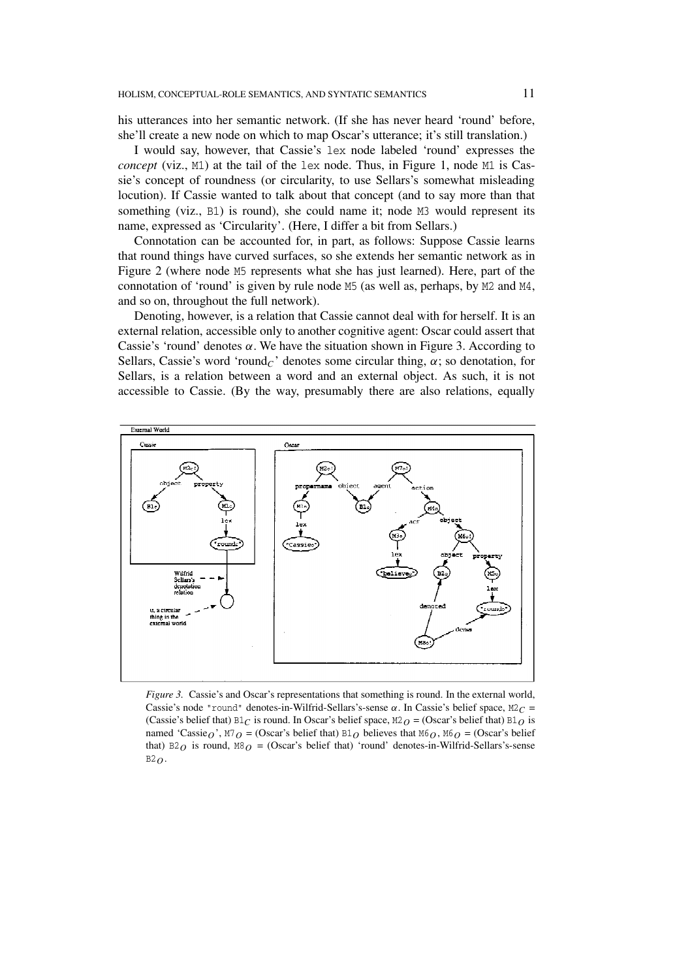his utterances into her semantic network. (If she has never heard 'round' before, she'll create a new node on which to map Oscar's utterance; it's still translation.)

I would say, however, that Cassie's lex node labeled 'round' expresses the *concept* (viz., M1) at the tail of the lex node. Thus, in Figure 1, node M1 is Cassie's concept of roundness (or circularity, to use Sellars's somewhat misleading locution). If Cassie wanted to talk about that concept (and to say more than that something (viz., B1) is round), she could name it; node M3 would represent its name, expressed as 'Circularity'. (Here, I differ a bit from Sellars.)

Connotation can be accounted for, in part, as follows: Suppose Cassie learns that round things have curved surfaces, so she extends her semantic network as in Figure 2 (where node M5 represents what she has just learned). Here, part of the connotation of 'round' is given by rule node M5 (as well as, perhaps, by M2 and M4, and so on, throughout the full network).

Denoting, however, is a relation that Cassie cannot deal with for herself. It is an external relation, accessible only to another cognitive agent: Oscar could assert that Cassie's 'round' denotes  $\alpha$ . We have the situation shown in Figure 3. According to Sellars, Cassie's word 'round<sub>C</sub>' denotes some circular thing,  $\alpha$ ; so denotation, for Sellars, is a relation between a word and an external object. As such, it is not accessible to Cassie. (By the way, presumably there are also relations, equally



*Figure 3.* Cassie's and Oscar's representations that something is round. In the external world, Cassie's node "round" denotes-in-Wilfrid-Sellars's-sense *α*. In Cassie's belief space, M2*C* = (Cassie's belief that)  $B1_C$  is round. In Oscar's belief space,  $M2_O = (Oscar's belief that) B1_O$  is named 'Cassie<sub>O</sub>',  $M_0 = (Oscar's belief that) B1_0$  believes that  $M_0$ ,  $M_0 = (Oscar's belief)$ that) B<sub>2</sub> $\alpha$  is round, M<sup>8</sup> $\alpha$  = (Oscar's belief that) 'round' denotes-in-Wilfrid-Sellars's-sense  $B2O$ .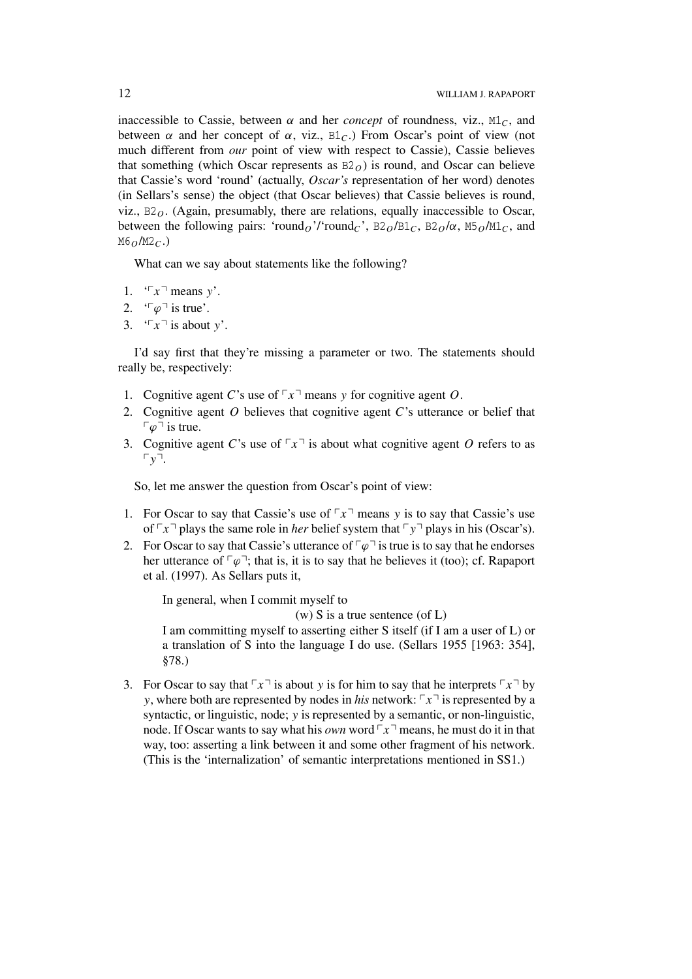inaccessible to Cassie, between  $\alpha$  and her *concept* of roundness, viz., M<sub>1</sub><sup>*C*</sup>, and between  $\alpha$  and her concept of  $\alpha$ , viz.,  $B1_C$ .) From Oscar's point of view (not much different from *our* point of view with respect to Cassie), Cassie believes that something (which Oscar represents as  $B2<sub>O</sub>$ ) is round, and Oscar can believe that Cassie's word 'round' (actually, *Oscar's* representation of her word) denotes (in Sellars's sense) the object (that Oscar believes) that Cassie believes is round, viz.,  $B2<sub>O</sub>$ . (Again, presumably, there are relations, equally inaccessible to Oscar, between the following pairs: 'round<sub>*O*</sub>'/'round<sub>*C*</sub>', B2<sub>*O*</sub>/B1<sub>*C*</sub>, B2<sub>*O*</sub>/ $\alpha$ , M5<sub>*O*</sub>/M1<sub>*C*</sub>, and M6*O*/M2*C*.)

What can we say about statements like the following?

- 1.  $\int x^{\pi} \text{ means } y^{\lambda}$ .
- 2.  $\lceil \varphi \rceil$  is true'.
- 3.  $\int x^{\frac{1}{x}}$  is about *y*'.

I'd say first that they're missing a parameter or two. The statements should really be, respectively:

- 1. Cognitive agent *C*'s use of  $\lceil x \rceil$  means *y* for cognitive agent *O*.
- 2. Cognitive agent *O* believes that cognitive agent *C*'s utterance or belief that  $\lceil \varphi \rceil$  is true.
- 3. Cognitive agent *C*'s use of  $\lceil x \rceil$  is about what cognitive agent *O* refers to as  $\ulcorner y \urcorner$ .

So, let me answer the question from Oscar's point of view:

- 1. For Oscar to say that Cassie's use of  $\lceil x \rceil$  means *y* is to say that Cassie's use of  $\lceil x \rceil$  plays the same role in *her* belief system that  $\lceil y \rceil$  plays in his (Oscar's).
- 2. For Oscar to say that Cassie's utterance of  $\lceil \varphi \rceil$  is true is to say that he endorses her utterance of  $\lceil \varphi \rceil$ ; that is, it is to say that he believes it (too); cf. Rapaport et al. (1997). As Sellars puts it,

In general, when I commit myself to

(w) S is a true sentence (of L)

I am committing myself to asserting either S itself (if I am a user of L) or a translation of S into the language I do use. (Sellars 1955 [1963: 354], §78.)

3. For Oscar to say that  $\lceil x \rceil$  is about *y* is for him to say that he interprets  $\lceil x \rceil$  by *y*, where both are represented by nodes in *his* network:  $\lceil x \rceil$  is represented by a syntactic, or linguistic, node; *y* is represented by a semantic, or non-linguistic, node. If Oscar wants to say what his *own* word  $\lceil x \rceil$  means, he must do it in that way, too: asserting a link between it and some other fragment of his network. (This is the 'internalization' of semantic interpretations mentioned in SS1.)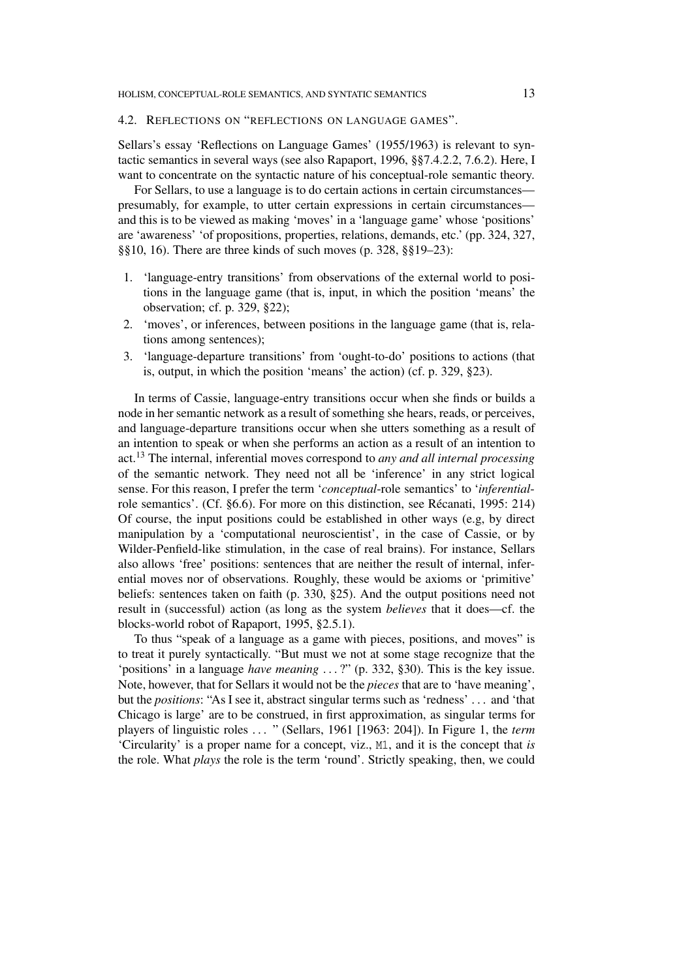# 4.2. REFLECTIONS ON "REFLECTIONS ON LANGUAGE GAMES".

Sellars's essay 'Reflections on Language Games' (1955/1963) is relevant to syntactic semantics in several ways (see also Rapaport, 1996, §§7.4.2.2, 7.6.2). Here, I want to concentrate on the syntactic nature of his conceptual-role semantic theory.

For Sellars, to use a language is to do certain actions in certain circumstances presumably, for example, to utter certain expressions in certain circumstances and this is to be viewed as making 'moves' in a 'language game' whose 'positions' are 'awareness' 'of propositions, properties, relations, demands, etc.' (pp. 324, 327, §§10, 16). There are three kinds of such moves (p. 328, §§19–23):

- 1. 'language-entry transitions' from observations of the external world to positions in the language game (that is, input, in which the position 'means' the observation; cf. p. 329, §22);
- 2. 'moves', or inferences, between positions in the language game (that is, relations among sentences);
- 3. 'language-departure transitions' from 'ought-to-do' positions to actions (that is, output, in which the position 'means' the action) (cf. p. 329, §23).

In terms of Cassie, language-entry transitions occur when she finds or builds a node in her semantic network as a result of something she hears, reads, or perceives, and language-departure transitions occur when she utters something as a result of an intention to speak or when she performs an action as a result of an intention to act.<sup>13</sup> The internal, inferential moves correspond to *any and all internal processing* of the semantic network. They need not all be 'inference' in any strict logical sense. For this reason, I prefer the term '*conceptual*-role semantics' to '*inferential*role semantics'. (Cf. §6.6). For more on this distinction, see Récanati, 1995: 214) Of course, the input positions could be established in other ways (e.g, by direct manipulation by a 'computational neuroscientist', in the case of Cassie, or by Wilder-Penfield-like stimulation, in the case of real brains). For instance, Sellars also allows 'free' positions: sentences that are neither the result of internal, inferential moves nor of observations. Roughly, these would be axioms or 'primitive' beliefs: sentences taken on faith (p. 330, §25). And the output positions need not result in (successful) action (as long as the system *believes* that it does—cf. the blocks-world robot of Rapaport, 1995, §2.5.1).

To thus "speak of a language as a game with pieces, positions, and moves" is to treat it purely syntactically. "But must we not at some stage recognize that the 'positions' in a language *have meaning ...* ?" (p. 332, §30). This is the key issue. Note, however, that for Sellars it would not be the *pieces* that are to 'have meaning', but the *positions*: "As I see it, abstract singular terms such as 'redness' *...* and 'that Chicago is large' are to be construed, in first approximation, as singular terms for players of linguistic roles *...* " (Sellars, 1961 [1963: 204]). In Figure 1, the *term* 'Circularity' is a proper name for a concept, viz., M1, and it is the concept that *is* the role. What *plays* the role is the term 'round'. Strictly speaking, then, we could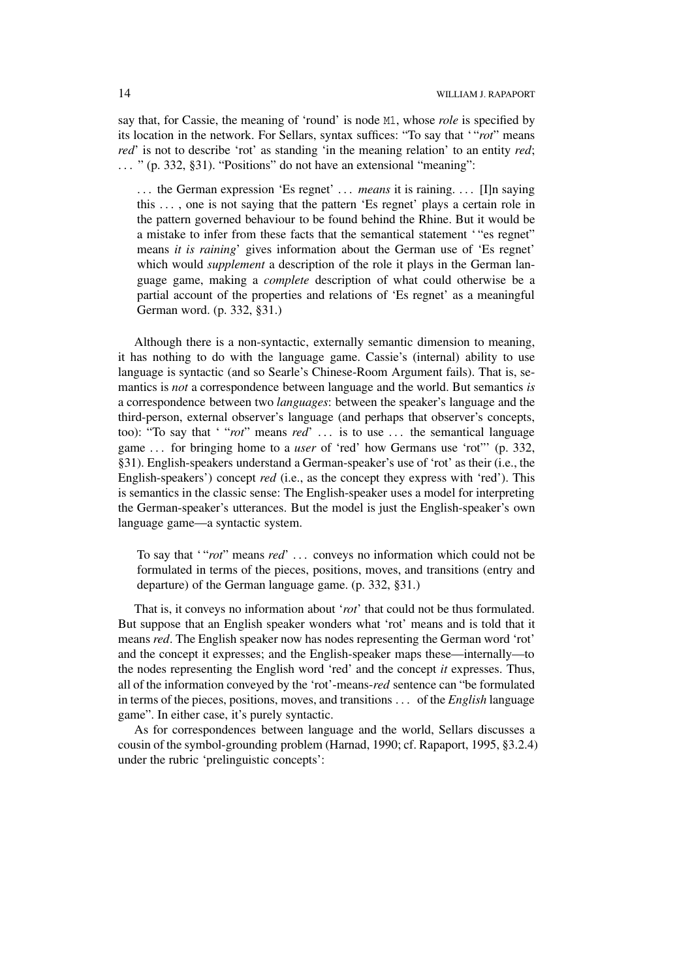say that, for Cassie, the meaning of 'round' is node M1, whose *role* is specified by its location in the network. For Sellars, syntax suffices: "To say that ' "*rot*" means *red*' is not to describe 'rot' as standing 'in the meaning relation' to an entity *red*; *...* " (p. 332, §31). "Positions" do not have an extensional "meaning":

*...* the German expression 'Es regnet' *... means* it is raining. *...* [I]n saying this *...* , one is not saying that the pattern 'Es regnet' plays a certain role in the pattern governed behaviour to be found behind the Rhine. But it would be a mistake to infer from these facts that the semantical statement ' "es regnet" means *it is raining*' gives information about the German use of 'Es regnet' which would *supplement* a description of the role it plays in the German language game, making a *complete* description of what could otherwise be a partial account of the properties and relations of 'Es regnet' as a meaningful German word. (p. 332, §31.)

Although there is a non-syntactic, externally semantic dimension to meaning, it has nothing to do with the language game. Cassie's (internal) ability to use language is syntactic (and so Searle's Chinese-Room Argument fails). That is, semantics is *not* a correspondence between language and the world. But semantics *is* a correspondence between two *languages*: between the speaker's language and the third-person, external observer's language (and perhaps that observer's concepts, too): "To say that ' "*rot*" means *red*' *...* is to use *...* the semantical language game *...* for bringing home to a *user* of 'red' how Germans use 'rot"' (p. 332, §31). English-speakers understand a German-speaker's use of 'rot' as their (i.e., the English-speakers') concept *red* (i.e., as the concept they express with 'red'). This is semantics in the classic sense: The English-speaker uses a model for interpreting the German-speaker's utterances. But the model is just the English-speaker's own language game—a syntactic system.

To say that ' "*rot*" means *red*' *...* conveys no information which could not be formulated in terms of the pieces, positions, moves, and transitions (entry and departure) of the German language game. (p. 332, §31.)

That is, it conveys no information about '*rot*' that could not be thus formulated. But suppose that an English speaker wonders what 'rot' means and is told that it means *red*. The English speaker now has nodes representing the German word 'rot' and the concept it expresses; and the English-speaker maps these—internally—to the nodes representing the English word 'red' and the concept *it* expresses. Thus, all of the information conveyed by the 'rot'-means-*red* sentence can "be formulated in terms of the pieces, positions, moves, and transitions *...* of the *English* language game". In either case, it's purely syntactic.

As for correspondences between language and the world, Sellars discusses a cousin of the symbol-grounding problem (Harnad, 1990; cf. Rapaport, 1995, §3.2.4) under the rubric 'prelinguistic concepts':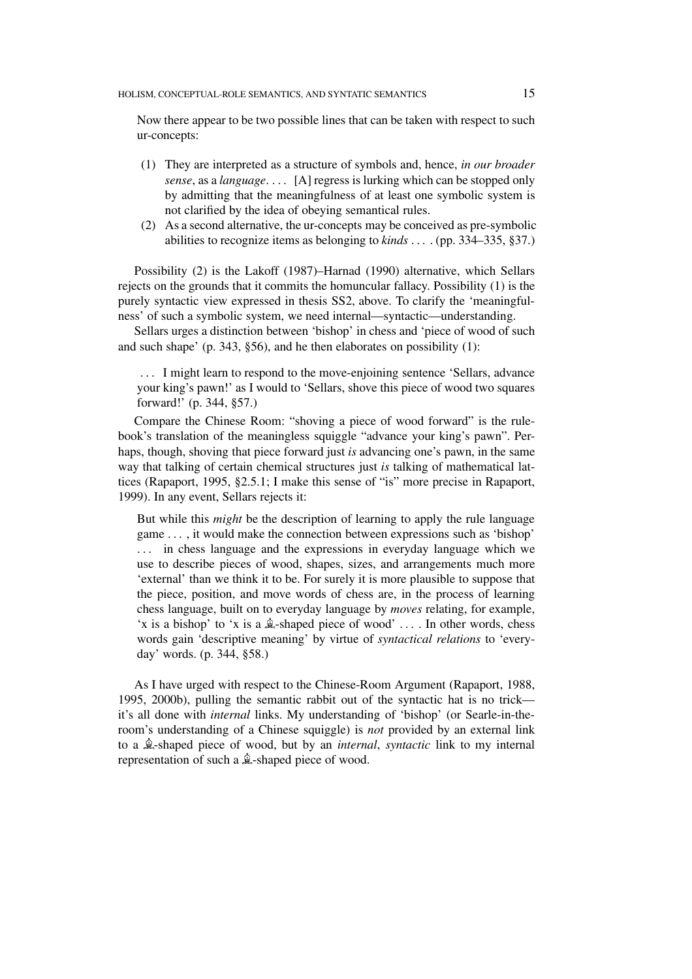Now there appear to be two possible lines that can be taken with respect to such ur-concepts:

- (1) They are interpreted as a structure of symbols and, hence, *in our broader sense*, as a *language*. *...* [A] regress is lurking which can be stopped only by admitting that the meaningfulness of at least one symbolic system is not clarified by the idea of obeying semantical rules.
- (2) As a second alternative, the ur-concepts may be conceived as pre-symbolic abilities to recognize items as belonging to *kinds ...* . (pp. 334–335, §37.)

Possibility (2) is the Lakoff (1987)–Harnad (1990) alternative, which Sellars rejects on the grounds that it commits the homuncular fallacy. Possibility (1) is the purely syntactic view expressed in thesis SS2, above. To clarify the 'meaningfulness' of such a symbolic system, we need internal—syntactic—understanding.

Sellars urges a distinction between 'bishop' in chess and 'piece of wood of such and such shape' (p. 343, §56), and he then elaborates on possibility (1):

*...* I might learn to respond to the move-enjoining sentence 'Sellars, advance your king's pawn!' as I would to 'Sellars, shove this piece of wood two squares forward!' (p. 344, §57.)

Compare the Chinese Room: "shoving a piece of wood forward" is the rulebook's translation of the meaningless squiggle "advance your king's pawn". Perhaps, though, shoving that piece forward just *is* advancing one's pawn, in the same way that talking of certain chemical structures just *is* talking of mathematical lattices (Rapaport, 1995, §2.5.1; I make this sense of "is" more precise in Rapaport, 1999). In any event, Sellars rejects it:

But while this *might* be the description of learning to apply the rule language game *...* , it would make the connection between expressions such as 'bishop' *...* in chess language and the expressions in everyday language which we use to describe pieces of wood, shapes, sizes, and arrangements much more 'external' than we think it to be. For surely it is more plausible to suppose that the piece, position, and move words of chess are, in the process of learning chess language, built on to everyday language by *moves* relating, for example, 'x is a bishop' to 'x is a  $\hat{\mathbb{R}}$ -shaped piece of wood' ... In other words, chess words gain 'descriptive meaning' by virtue of *syntactical relations* to 'everyday' words. (p. 344, §58.)

As I have urged with respect to the Chinese-Room Argument (Rapaport, 1988, 1995, 2000b), pulling the semantic rabbit out of the syntactic hat is no trick it's all done with *internal* links. My understanding of 'bishop' (or Searle-in-theroom's understanding of a Chinese squiggle) is *not* provided by an external link to a  $\hat{\mathbb{R}}$ -shaped piece of wood, but by an *internal*, *syntactic* link to my internal representation of such a  $\hat{\mathbb{R}}$ -shaped piece of wood.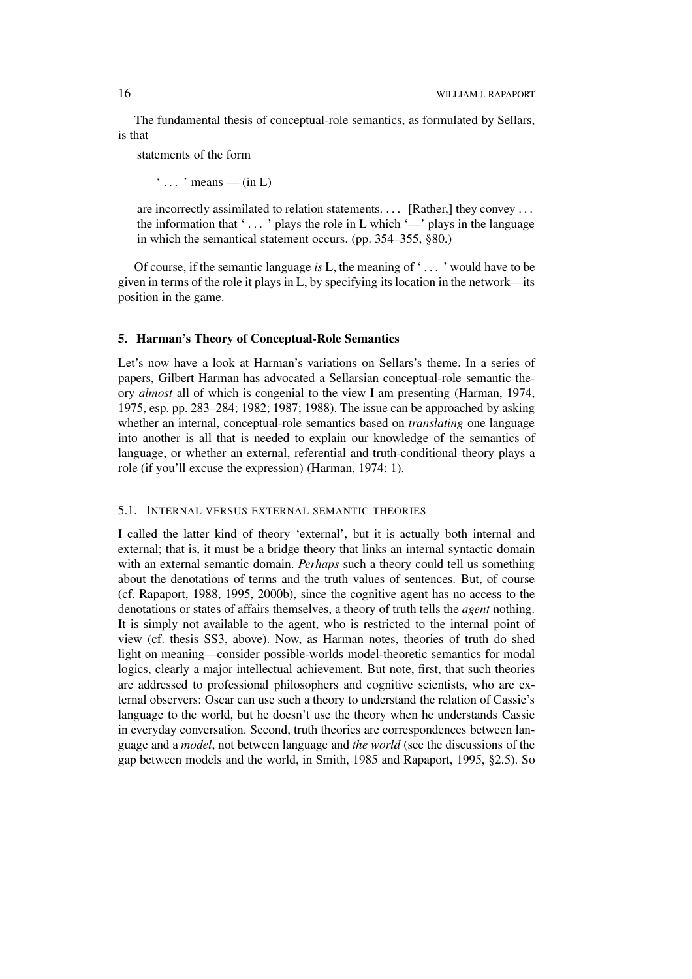The fundamental thesis of conceptual-role semantics, as formulated by Sellars, is that

statements of the form

 $\cdot \ldots \cdot$  means — (in L)

are incorrectly assimilated to relation statements. *...* [Rather,] they convey *...* the information that ' *...* ' plays the role in L which '—' plays in the language in which the semantical statement occurs. (pp. 354–355, §80.)

Of course, if the semantic language *is* L, the meaning of ' *...* ' would have to be given in terms of the role it plays in L, by specifying its location in the network—its position in the game.

# **5. Harman's Theory of Conceptual-Role Semantics**

Let's now have a look at Harman's variations on Sellars's theme. In a series of papers, Gilbert Harman has advocated a Sellarsian conceptual-role semantic theory *almost* all of which is congenial to the view I am presenting (Harman, 1974, 1975, esp. pp. 283–284; 1982; 1987; 1988). The issue can be approached by asking whether an internal, conceptual-role semantics based on *translating* one language into another is all that is needed to explain our knowledge of the semantics of language, or whether an external, referential and truth-conditional theory plays a role (if you'll excuse the expression) (Harman, 1974: 1).

# 5.1. INTERNAL VERSUS EXTERNAL SEMANTIC THEORIES

I called the latter kind of theory 'external', but it is actually both internal and external; that is, it must be a bridge theory that links an internal syntactic domain with an external semantic domain. *Perhaps* such a theory could tell us something about the denotations of terms and the truth values of sentences. But, of course (cf. Rapaport, 1988, 1995, 2000b), since the cognitive agent has no access to the denotations or states of affairs themselves, a theory of truth tells the *agent* nothing. It is simply not available to the agent, who is restricted to the internal point of view (cf. thesis SS3, above). Now, as Harman notes, theories of truth do shed light on meaning—consider possible-worlds model-theoretic semantics for modal logics, clearly a major intellectual achievement. But note, first, that such theories are addressed to professional philosophers and cognitive scientists, who are external observers: Oscar can use such a theory to understand the relation of Cassie's language to the world, but he doesn't use the theory when he understands Cassie in everyday conversation. Second, truth theories are correspondences between language and a *model*, not between language and *the world* (see the discussions of the gap between models and the world, in Smith, 1985 and Rapaport, 1995, §2.5). So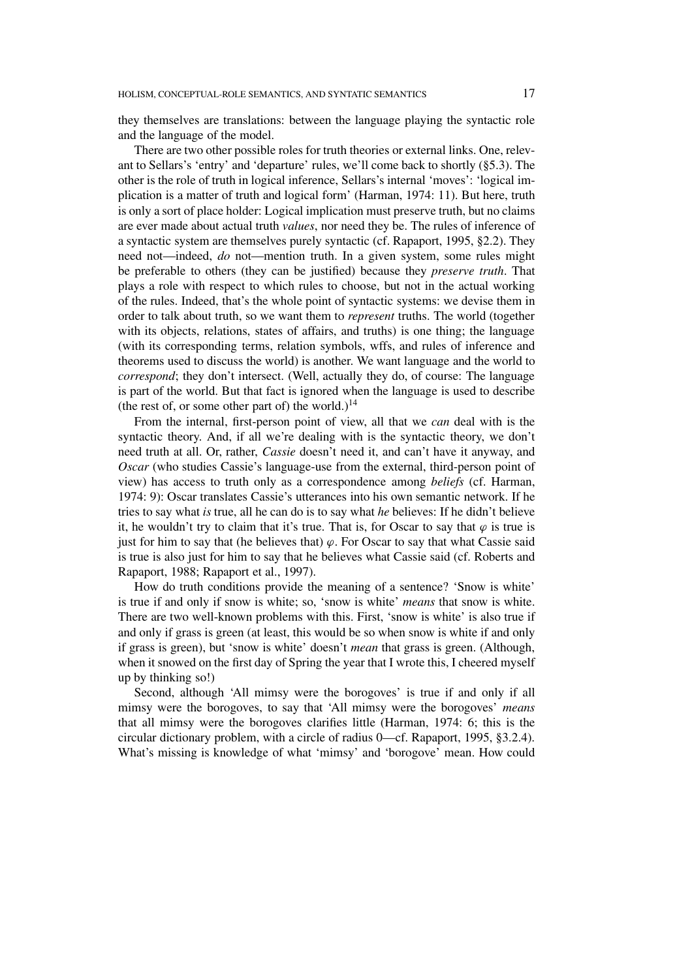they themselves are translations: between the language playing the syntactic role and the language of the model.

There are two other possible roles for truth theories or external links. One, relevant to Sellars's 'entry' and 'departure' rules, we'll come back to shortly (§5.3). The other is the role of truth in logical inference, Sellars's internal 'moves': 'logical implication is a matter of truth and logical form' (Harman, 1974: 11). But here, truth is only a sort of place holder: Logical implication must preserve truth, but no claims are ever made about actual truth *values*, nor need they be. The rules of inference of a syntactic system are themselves purely syntactic (cf. Rapaport, 1995, §2.2). They need not—indeed, *do* not—mention truth. In a given system, some rules might be preferable to others (they can be justified) because they *preserve truth*. That plays a role with respect to which rules to choose, but not in the actual working of the rules. Indeed, that's the whole point of syntactic systems: we devise them in order to talk about truth, so we want them to *represent* truths. The world (together with its objects, relations, states of affairs, and truths) is one thing; the language (with its corresponding terms, relation symbols, wffs, and rules of inference and theorems used to discuss the world) is another. We want language and the world to *correspond*; they don't intersect. (Well, actually they do, of course: The language is part of the world. But that fact is ignored when the language is used to describe (the rest of, or some other part of) the world.)<sup>14</sup>

From the internal, first-person point of view, all that we *can* deal with is the syntactic theory. And, if all we're dealing with is the syntactic theory, we don't need truth at all. Or, rather, *Cassie* doesn't need it, and can't have it anyway, and *Oscar* (who studies Cassie's language-use from the external, third-person point of view) has access to truth only as a correspondence among *beliefs* (cf. Harman, 1974: 9): Oscar translates Cassie's utterances into his own semantic network. If he tries to say what *is* true, all he can do is to say what *he* believes: If he didn't believe it, he wouldn't try to claim that it's true. That is, for Oscar to say that  $\varphi$  is true is just for him to say that (he believes that) *ϕ*. For Oscar to say that what Cassie said is true is also just for him to say that he believes what Cassie said (cf. Roberts and Rapaport, 1988; Rapaport et al., 1997).

How do truth conditions provide the meaning of a sentence? 'Snow is white' is true if and only if snow is white; so, 'snow is white' *means* that snow is white. There are two well-known problems with this. First, 'snow is white' is also true if and only if grass is green (at least, this would be so when snow is white if and only if grass is green), but 'snow is white' doesn't *mean* that grass is green. (Although, when it snowed on the first day of Spring the year that I wrote this, I cheered myself up by thinking so!)

Second, although 'All mimsy were the borogoves' is true if and only if all mimsy were the borogoves, to say that 'All mimsy were the borogoves' *means* that all mimsy were the borogoves clarifies little (Harman, 1974: 6; this is the circular dictionary problem, with a circle of radius 0—cf. Rapaport, 1995, §3.2.4). What's missing is knowledge of what 'mimsy' and 'borogove' mean. How could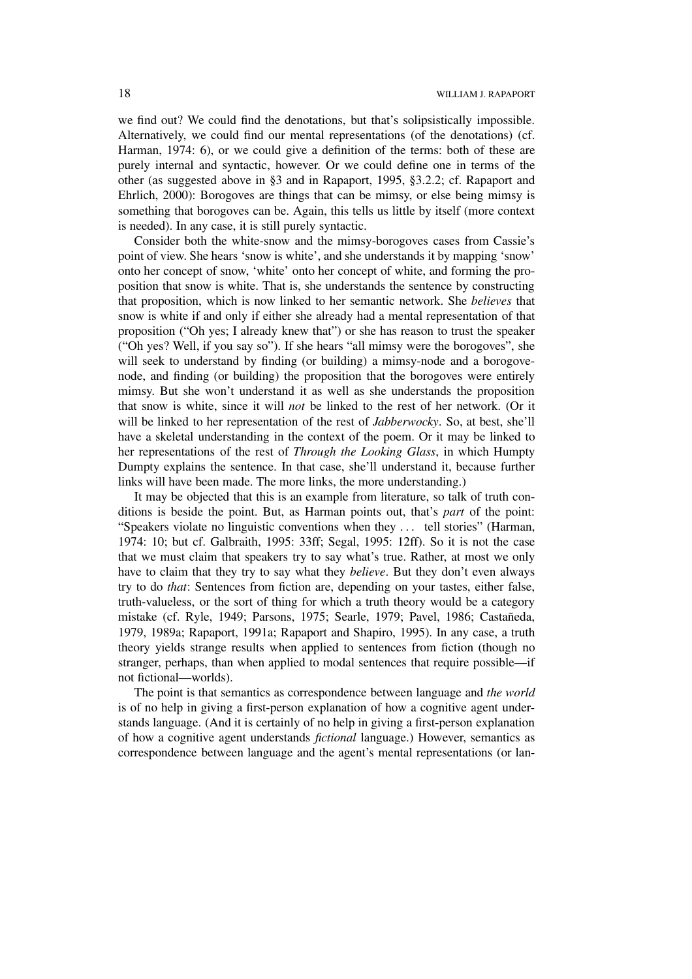we find out? We could find the denotations, but that's solipsistically impossible. Alternatively, we could find our mental representations (of the denotations) (cf. Harman, 1974: 6), or we could give a definition of the terms: both of these are purely internal and syntactic, however. Or we could define one in terms of the other (as suggested above in §3 and in Rapaport, 1995, §3.2.2; cf. Rapaport and Ehrlich, 2000): Borogoves are things that can be mimsy, or else being mimsy is something that borogoves can be. Again, this tells us little by itself (more context is needed). In any case, it is still purely syntactic.

Consider both the white-snow and the mimsy-borogoves cases from Cassie's point of view. She hears 'snow is white', and she understands it by mapping 'snow' onto her concept of snow, 'white' onto her concept of white, and forming the proposition that snow is white. That is, she understands the sentence by constructing that proposition, which is now linked to her semantic network. She *believes* that snow is white if and only if either she already had a mental representation of that proposition ("Oh yes; I already knew that") or she has reason to trust the speaker ("Oh yes? Well, if you say so"). If she hears "all mimsy were the borogoves", she will seek to understand by finding (or building) a mimsy-node and a borogovenode, and finding (or building) the proposition that the borogoves were entirely mimsy. But she won't understand it as well as she understands the proposition that snow is white, since it will *not* be linked to the rest of her network. (Or it will be linked to her representation of the rest of *Jabberwocky*. So, at best, she'll have a skeletal understanding in the context of the poem. Or it may be linked to her representations of the rest of *Through the Looking Glass*, in which Humpty Dumpty explains the sentence. In that case, she'll understand it, because further links will have been made. The more links, the more understanding.)

It may be objected that this is an example from literature, so talk of truth conditions is beside the point. But, as Harman points out, that's *part* of the point: "Speakers violate no linguistic conventions when they *...* tell stories" (Harman, 1974: 10; but cf. Galbraith, 1995: 33ff; Segal, 1995: 12ff). So it is not the case that we must claim that speakers try to say what's true. Rather, at most we only have to claim that they try to say what they *believe*. But they don't even always try to do *that*: Sentences from fiction are, depending on your tastes, either false, truth-valueless, or the sort of thing for which a truth theory would be a category mistake (cf. Ryle, 1949; Parsons, 1975; Searle, 1979; Pavel, 1986; Castañeda, 1979, 1989a; Rapaport, 1991a; Rapaport and Shapiro, 1995). In any case, a truth theory yields strange results when applied to sentences from fiction (though no stranger, perhaps, than when applied to modal sentences that require possible—if not fictional—worlds).

The point is that semantics as correspondence between language and *the world* is of no help in giving a first-person explanation of how a cognitive agent understands language. (And it is certainly of no help in giving a first-person explanation of how a cognitive agent understands *fictional* language.) However, semantics as correspondence between language and the agent's mental representations (or lan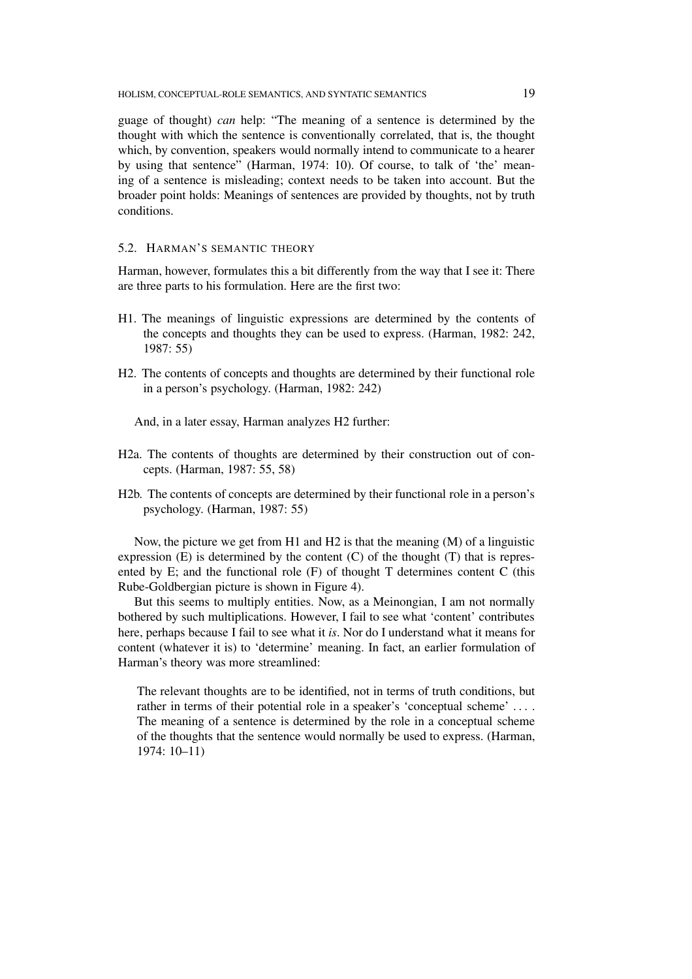guage of thought) *can* help: "The meaning of a sentence is determined by the thought with which the sentence is conventionally correlated, that is, the thought which, by convention, speakers would normally intend to communicate to a hearer by using that sentence" (Harman, 1974: 10). Of course, to talk of 'the' meaning of a sentence is misleading; context needs to be taken into account. But the broader point holds: Meanings of sentences are provided by thoughts, not by truth conditions.

# 5.2. HARMAN'S SEMANTIC THEORY

Harman, however, formulates this a bit differently from the way that I see it: There are three parts to his formulation. Here are the first two:

- H1. The meanings of linguistic expressions are determined by the contents of the concepts and thoughts they can be used to express. (Harman, 1982: 242, 1987: 55)
- H2. The contents of concepts and thoughts are determined by their functional role in a person's psychology. (Harman, 1982: 242)

And, in a later essay, Harman analyzes H2 further:

- H2a. The contents of thoughts are determined by their construction out of concepts. (Harman, 1987: 55, 58)
- H2b. The contents of concepts are determined by their functional role in a person's psychology. (Harman, 1987: 55)

Now, the picture we get from H1 and H2 is that the meaning (M) of a linguistic expression  $(E)$  is determined by the content  $(C)$  of the thought  $(T)$  that is represented by E; and the functional role (F) of thought T determines content C (this Rube-Goldbergian picture is shown in Figure 4).

But this seems to multiply entities. Now, as a Meinongian, I am not normally bothered by such multiplications. However, I fail to see what 'content' contributes here, perhaps because I fail to see what it *is*. Nor do I understand what it means for content (whatever it is) to 'determine' meaning. In fact, an earlier formulation of Harman's theory was more streamlined:

The relevant thoughts are to be identified, not in terms of truth conditions, but rather in terms of their potential role in a speaker's 'conceptual scheme' *...* . The meaning of a sentence is determined by the role in a conceptual scheme of the thoughts that the sentence would normally be used to express. (Harman, 1974: 10–11)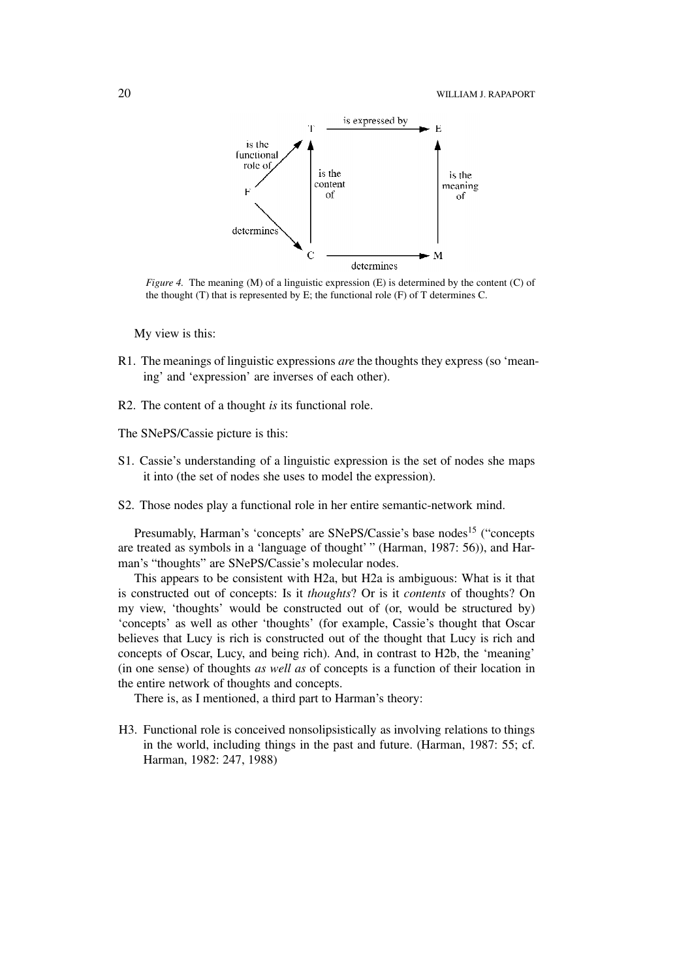

*Figure 4.* The meaning (M) of a linguistic expression (E) is determined by the content (C) of the thought  $(T)$  that is represented by E; the functional role  $(F)$  of  $T$  determines C.

My view is this:

- R1. The meanings of linguistic expressions *are* the thoughts they express (so 'meaning' and 'expression' are inverses of each other).
- R2. The content of a thought *is* its functional role.

The SNePS/Cassie picture is this:

- S1. Cassie's understanding of a linguistic expression is the set of nodes she maps it into (the set of nodes she uses to model the expression).
- S2. Those nodes play a functional role in her entire semantic-network mind.

Presumably, Harman's 'concepts' are SNePS/Cassie's base nodes<sup>15</sup> ("concepts are treated as symbols in a 'language of thought' " (Harman, 1987: 56)), and Harman's "thoughts" are SNePS/Cassie's molecular nodes.

This appears to be consistent with H2a, but H2a is ambiguous: What is it that is constructed out of concepts: Is it *thoughts*? Or is it *contents* of thoughts? On my view, 'thoughts' would be constructed out of (or, would be structured by) 'concepts' as well as other 'thoughts' (for example, Cassie's thought that Oscar believes that Lucy is rich is constructed out of the thought that Lucy is rich and concepts of Oscar, Lucy, and being rich). And, in contrast to H2b, the 'meaning' (in one sense) of thoughts *as well as* of concepts is a function of their location in the entire network of thoughts and concepts.

There is, as I mentioned, a third part to Harman's theory:

H3. Functional role is conceived nonsolipsistically as involving relations to things in the world, including things in the past and future. (Harman, 1987: 55; cf. Harman, 1982: 247, 1988)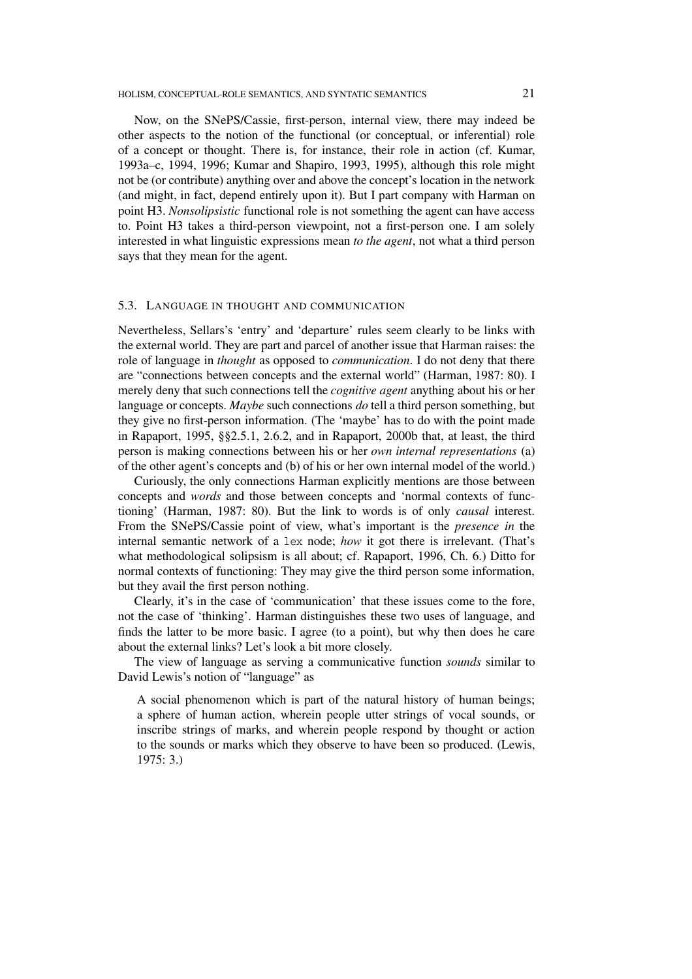Now, on the SNePS/Cassie, first-person, internal view, there may indeed be other aspects to the notion of the functional (or conceptual, or inferential) role of a concept or thought. There is, for instance, their role in action (cf. Kumar, 1993a–c, 1994, 1996; Kumar and Shapiro, 1993, 1995), although this role might not be (or contribute) anything over and above the concept's location in the network (and might, in fact, depend entirely upon it). But I part company with Harman on point H3. *Nonsolipsistic* functional role is not something the agent can have access to. Point H3 takes a third-person viewpoint, not a first-person one. I am solely interested in what linguistic expressions mean *to the agent*, not what a third person says that they mean for the agent.

# 5.3. LANGUAGE IN THOUGHT AND COMMUNICATION

Nevertheless, Sellars's 'entry' and 'departure' rules seem clearly to be links with the external world. They are part and parcel of another issue that Harman raises: the role of language in *thought* as opposed to *communication*. I do not deny that there are "connections between concepts and the external world" (Harman, 1987: 80). I merely deny that such connections tell the *cognitive agent* anything about his or her language or concepts. *Maybe* such connections *do* tell a third person something, but they give no first-person information. (The 'maybe' has to do with the point made in Rapaport, 1995, §§2.5.1, 2.6.2, and in Rapaport, 2000b that, at least, the third person is making connections between his or her *own internal representations* (a) of the other agent's concepts and (b) of his or her own internal model of the world.)

Curiously, the only connections Harman explicitly mentions are those between concepts and *words* and those between concepts and 'normal contexts of functioning' (Harman, 1987: 80). But the link to words is of only *causal* interest. From the SNePS/Cassie point of view, what's important is the *presence in* the internal semantic network of a lex node; *how* it got there is irrelevant. (That's what methodological solipsism is all about; cf. Rapaport, 1996, Ch. 6.) Ditto for normal contexts of functioning: They may give the third person some information, but they avail the first person nothing.

Clearly, it's in the case of 'communication' that these issues come to the fore, not the case of 'thinking'. Harman distinguishes these two uses of language, and finds the latter to be more basic. I agree (to a point), but why then does he care about the external links? Let's look a bit more closely.

The view of language as serving a communicative function *sounds* similar to David Lewis's notion of "language" as

A social phenomenon which is part of the natural history of human beings; a sphere of human action, wherein people utter strings of vocal sounds, or inscribe strings of marks, and wherein people respond by thought or action to the sounds or marks which they observe to have been so produced. (Lewis, 1975: 3.)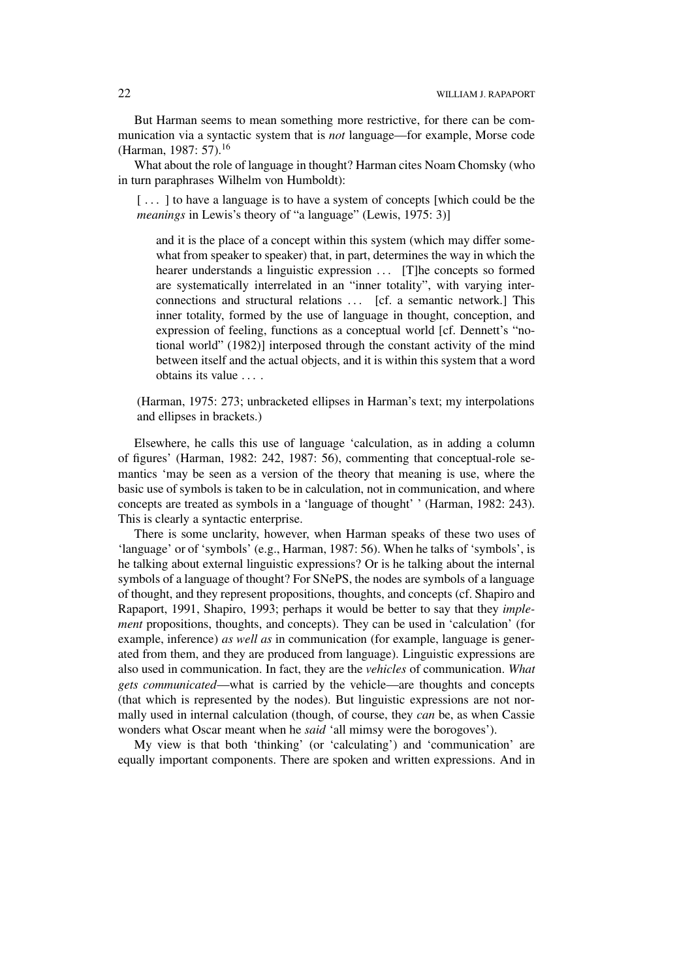But Harman seems to mean something more restrictive, for there can be communication via a syntactic system that is *not* language—for example, Morse code (Harman, 1987: 57).<sup>16</sup>

What about the role of language in thought? Harman cites Noam Chomsky (who in turn paraphrases Wilhelm von Humboldt):

[...] to have a language is to have a system of concepts [which could be the *meanings* in Lewis's theory of "a language" (Lewis, 1975: 3)]

and it is the place of a concept within this system (which may differ somewhat from speaker to speaker) that, in part, determines the way in which the hearer understands a linguistic expression ... [T]he concepts so formed are systematically interrelated in an "inner totality", with varying interconnections and structural relations *...* [cf. a semantic network.] This inner totality, formed by the use of language in thought, conception, and expression of feeling, functions as a conceptual world [cf. Dennett's "notional world" (1982)] interposed through the constant activity of the mind between itself and the actual objects, and it is within this system that a word obtains its value *...* .

(Harman, 1975: 273; unbracketed ellipses in Harman's text; my interpolations and ellipses in brackets.)

Elsewhere, he calls this use of language 'calculation, as in adding a column of figures' (Harman, 1982: 242, 1987: 56), commenting that conceptual-role semantics 'may be seen as a version of the theory that meaning is use, where the basic use of symbols is taken to be in calculation, not in communication, and where concepts are treated as symbols in a 'language of thought' ' (Harman, 1982: 243). This is clearly a syntactic enterprise.

There is some unclarity, however, when Harman speaks of these two uses of 'language' or of 'symbols' (e.g., Harman, 1987: 56). When he talks of 'symbols', is he talking about external linguistic expressions? Or is he talking about the internal symbols of a language of thought? For SNePS, the nodes are symbols of a language of thought, and they represent propositions, thoughts, and concepts (cf. Shapiro and Rapaport, 1991, Shapiro, 1993; perhaps it would be better to say that they *implement* propositions, thoughts, and concepts). They can be used in 'calculation' (for example, inference) *as well as* in communication (for example, language is generated from them, and they are produced from language). Linguistic expressions are also used in communication. In fact, they are the *vehicles* of communication. *What gets communicated*—what is carried by the vehicle—are thoughts and concepts (that which is represented by the nodes). But linguistic expressions are not normally used in internal calculation (though, of course, they *can* be, as when Cassie wonders what Oscar meant when he *said* 'all mimsy were the borogoves').

My view is that both 'thinking' (or 'calculating') and 'communication' are equally important components. There are spoken and written expressions. And in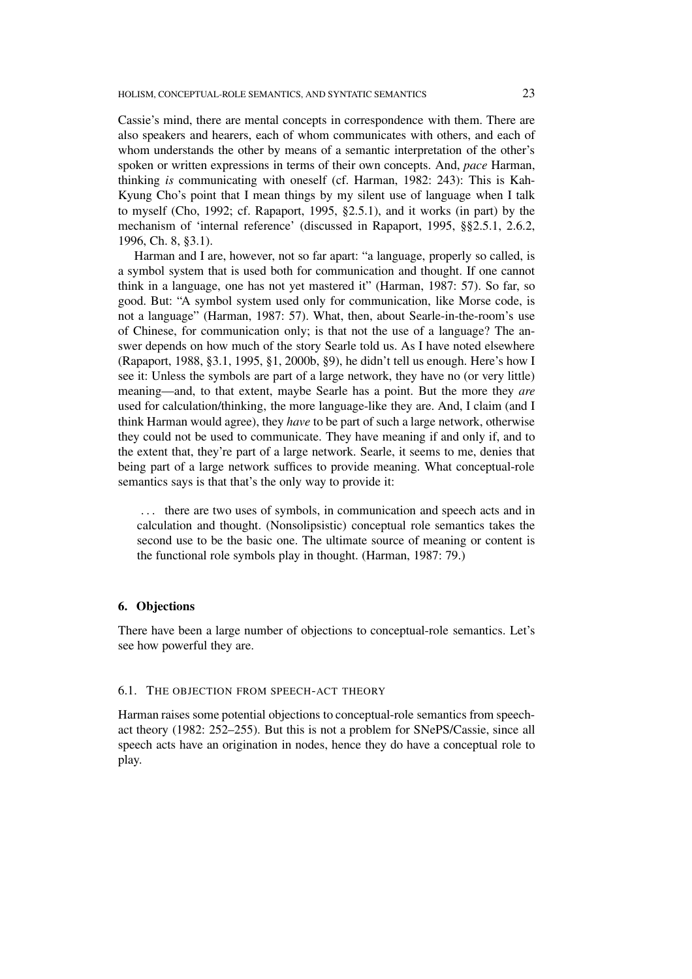Cassie's mind, there are mental concepts in correspondence with them. There are also speakers and hearers, each of whom communicates with others, and each of whom understands the other by means of a semantic interpretation of the other's spoken or written expressions in terms of their own concepts. And, *pace* Harman, thinking *is* communicating with oneself (cf. Harman, 1982: 243): This is Kah-Kyung Cho's point that I mean things by my silent use of language when I talk to myself (Cho, 1992; cf. Rapaport, 1995, §2.5.1), and it works (in part) by the mechanism of 'internal reference' (discussed in Rapaport, 1995, §§2.5.1, 2.6.2, 1996, Ch. 8, §3.1).

Harman and I are, however, not so far apart: "a language, properly so called, is a symbol system that is used both for communication and thought. If one cannot think in a language, one has not yet mastered it" (Harman, 1987: 57). So far, so good. But: "A symbol system used only for communication, like Morse code, is not a language" (Harman, 1987: 57). What, then, about Searle-in-the-room's use of Chinese, for communication only; is that not the use of a language? The answer depends on how much of the story Searle told us. As I have noted elsewhere (Rapaport, 1988, §3.1, 1995, §1, 2000b, §9), he didn't tell us enough. Here's how I see it: Unless the symbols are part of a large network, they have no (or very little) meaning—and, to that extent, maybe Searle has a point. But the more they *are* used for calculation/thinking, the more language-like they are. And, I claim (and I think Harman would agree), they *have* to be part of such a large network, otherwise they could not be used to communicate. They have meaning if and only if, and to the extent that, they're part of a large network. Searle, it seems to me, denies that being part of a large network suffices to provide meaning. What conceptual-role semantics says is that that's the only way to provide it:

*...* there are two uses of symbols, in communication and speech acts and in calculation and thought. (Nonsolipsistic) conceptual role semantics takes the second use to be the basic one. The ultimate source of meaning or content is the functional role symbols play in thought. (Harman, 1987: 79.)

# **6. Objections**

There have been a large number of objections to conceptual-role semantics. Let's see how powerful they are.

#### 6.1. THE OBJECTION FROM SPEECH-ACT THEORY

Harman raises some potential objections to conceptual-role semantics from speechact theory (1982: 252–255). But this is not a problem for SNePS/Cassie, since all speech acts have an origination in nodes, hence they do have a conceptual role to play.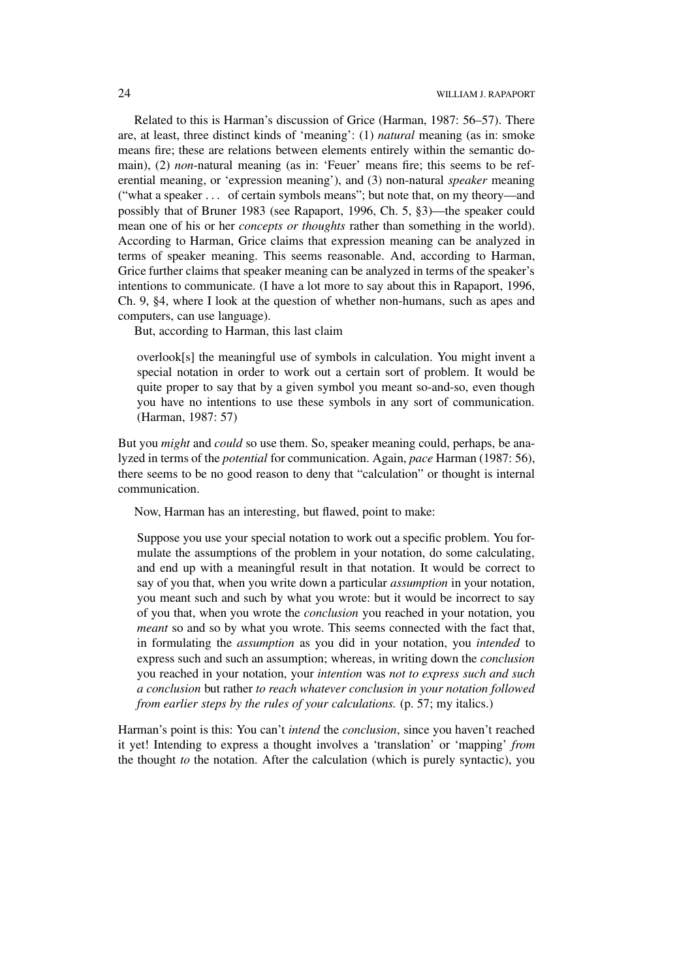Related to this is Harman's discussion of Grice (Harman, 1987: 56–57). There are, at least, three distinct kinds of 'meaning': (1) *natural* meaning (as in: smoke means fire; these are relations between elements entirely within the semantic domain), (2) *non*-natural meaning (as in: 'Feuer' means fire; this seems to be referential meaning, or 'expression meaning'), and (3) non-natural *speaker* meaning ("what a speaker *...* of certain symbols means"; but note that, on my theory—and possibly that of Bruner 1983 (see Rapaport, 1996, Ch. 5, §3)—the speaker could mean one of his or her *concepts or thoughts* rather than something in the world). According to Harman, Grice claims that expression meaning can be analyzed in terms of speaker meaning. This seems reasonable. And, according to Harman, Grice further claims that speaker meaning can be analyzed in terms of the speaker's intentions to communicate. (I have a lot more to say about this in Rapaport, 1996, Ch. 9, §4, where I look at the question of whether non-humans, such as apes and computers, can use language).

But, according to Harman, this last claim

overlook[s] the meaningful use of symbols in calculation. You might invent a special notation in order to work out a certain sort of problem. It would be quite proper to say that by a given symbol you meant so-and-so, even though you have no intentions to use these symbols in any sort of communication. (Harman, 1987: 57)

But you *might* and *could* so use them. So, speaker meaning could, perhaps, be analyzed in terms of the *potential* for communication. Again, *pace* Harman (1987: 56), there seems to be no good reason to deny that "calculation" or thought is internal communication.

Now, Harman has an interesting, but flawed, point to make:

Suppose you use your special notation to work out a specific problem. You formulate the assumptions of the problem in your notation, do some calculating, and end up with a meaningful result in that notation. It would be correct to say of you that, when you write down a particular *assumption* in your notation, you meant such and such by what you wrote: but it would be incorrect to say of you that, when you wrote the *conclusion* you reached in your notation, you *meant* so and so by what you wrote. This seems connected with the fact that, in formulating the *assumption* as you did in your notation, you *intended* to express such and such an assumption; whereas, in writing down the *conclusion* you reached in your notation, your *intention* was *not to express such and such a conclusion* but rather *to reach whatever conclusion in your notation followed from earlier steps by the rules of your calculations.* (p. 57; my italics.)

Harman's point is this: You can't *intend* the *conclusion*, since you haven't reached it yet! Intending to express a thought involves a 'translation' or 'mapping' *from* the thought *to* the notation. After the calculation (which is purely syntactic), you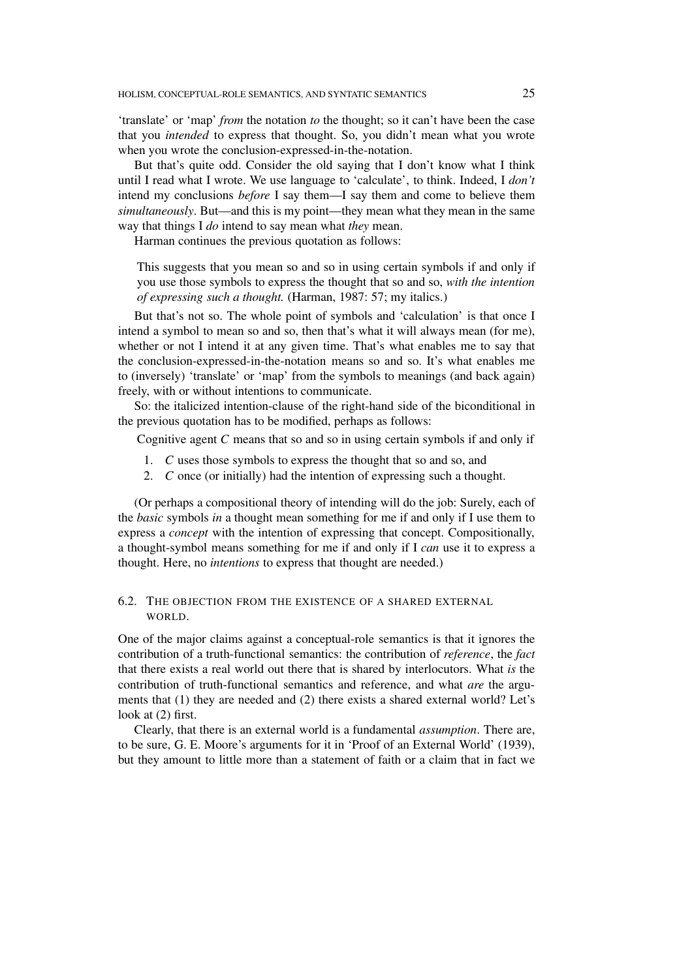'translate' or 'map' *from* the notation *to* the thought; so it can't have been the case that you *intended* to express that thought. So, you didn't mean what you wrote when you wrote the conclusion-expressed-in-the-notation.

But that's quite odd. Consider the old saying that I don't know what I think until I read what I wrote. We use language to 'calculate', to think. Indeed, I *don't* intend my conclusions *before* I say them—I say them and come to believe them *simultaneously*. But—and this is my point—they mean what they mean in the same way that things I *do* intend to say mean what *they* mean.

Harman continues the previous quotation as follows:

This suggests that you mean so and so in using certain symbols if and only if you use those symbols to express the thought that so and so, *with the intention of expressing such a thought.* (Harman, 1987: 57; my italics.)

But that's not so. The whole point of symbols and 'calculation' is that once I intend a symbol to mean so and so, then that's what it will always mean (for me), whether or not I intend it at any given time. That's what enables me to say that the conclusion-expressed-in-the-notation means so and so. It's what enables me to (inversely) 'translate' or 'map' from the symbols to meanings (and back again) freely, with or without intentions to communicate.

So: the italicized intention-clause of the right-hand side of the biconditional in the previous quotation has to be modified, perhaps as follows:

Cognitive agent *C* means that so and so in using certain symbols if and only if

- 1. *C* uses those symbols to express the thought that so and so, and
- 2. *C* once (or initially) had the intention of expressing such a thought.

(Or perhaps a compositional theory of intending will do the job: Surely, each of the *basic* symbols *in* a thought mean something for me if and only if I use them to express a *concept* with the intention of expressing that concept. Compositionally, a thought-symbol means something for me if and only if I *can* use it to express a thought. Here, no *intentions* to express that thought are needed.)

# 6.2. THE OBJECTION FROM THE EXISTENCE OF A SHARED EXTERNAL WORLD.

One of the major claims against a conceptual-role semantics is that it ignores the contribution of a truth-functional semantics: the contribution of *reference*, the *fact* that there exists a real world out there that is shared by interlocutors. What *is* the contribution of truth-functional semantics and reference, and what *are* the arguments that (1) they are needed and (2) there exists a shared external world? Let's look at  $(2)$  first.

Clearly, that there is an external world is a fundamental *assumption*. There are, to be sure, G. E. Moore's arguments for it in 'Proof of an External World' (1939), but they amount to little more than a statement of faith or a claim that in fact we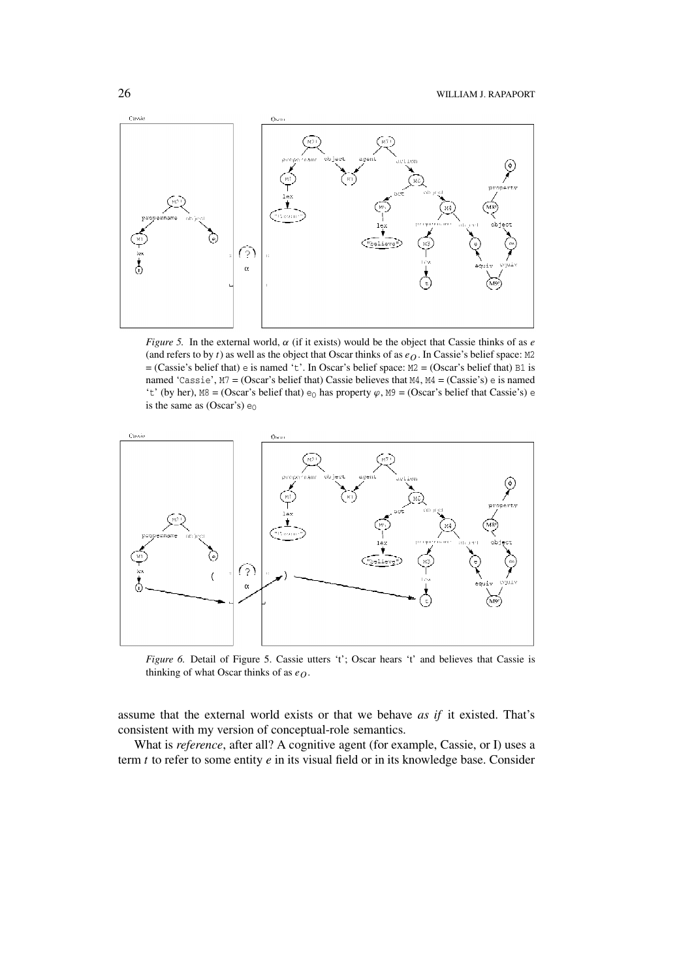

*Figure 5.* In the external world, *α* (if it exists) would be the object that Cassie thinks of as *e* (and refers to by *t*) as well as the object that Oscar thinks of as  $e_O$ . In Cassie's belief space: M2  $=$  (Cassie's belief that) e is named 't'. In Oscar's belief space: M2 = (Oscar's belief that) B1 is named 'Cassie',  $M7 = (Oscar's belief that)$  Cassie believes that  $M4$ ,  $M4 = (Cassie's)$  e is named 't' (by her), M8 = (Oscar's belief that)  $e_0$  has property  $\varphi$ , M9 = (Oscar's belief that Cassie's) e is the same as  $(Oscar's)$  e<sub>0</sub>



*Figure 6.* Detail of Figure 5. Cassie utters 't'; Oscar hears 't' and believes that Cassie is thinking of what Oscar thinks of as  $e_O$ .

assume that the external world exists or that we behave *as if* it existed. That's consistent with my version of conceptual-role semantics.

What is *reference*, after all? A cognitive agent (for example, Cassie, or I) uses a term *t* to refer to some entity *e* in its visual field or in its knowledge base. Consider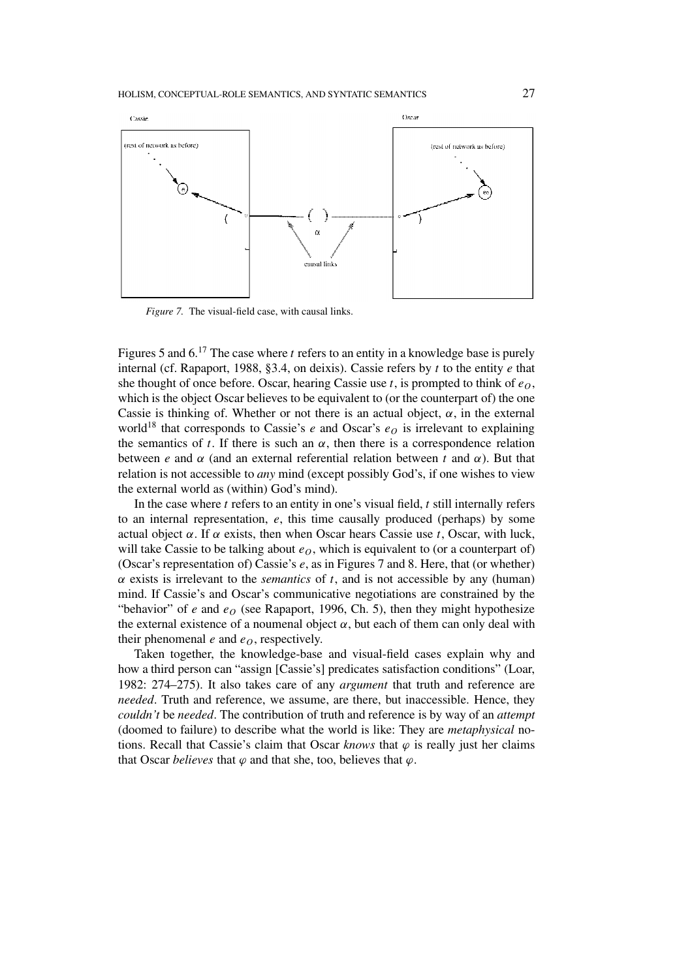

*Figure 7.* The visual-field case, with causal links.

Figures 5 and 6.<sup>17</sup> The case where *t* refers to an entity in a knowledge base is purely internal (cf. Rapaport, 1988, §3.4, on deixis). Cassie refers by *t* to the entity *e* that she thought of once before. Oscar, hearing Cassie use  $t$ , is prompted to think of  $e_0$ , which is the object Oscar believes to be equivalent to (or the counterpart of) the one Cassie is thinking of. Whether or not there is an actual object,  $\alpha$ , in the external world<sup>18</sup> that corresponds to Cassie's *e* and Oscar's  $e_0$  is irrelevant to explaining the semantics of *t*. If there is such an  $\alpha$ , then there is a correspondence relation between *e* and *α* (and an external referential relation between *t* and *α*). But that relation is not accessible to *any* mind (except possibly God's, if one wishes to view the external world as (within) God's mind).

In the case where *t* refers to an entity in one's visual field, *t* still internally refers to an internal representation, *e*, this time causally produced (perhaps) by some actual object  $\alpha$ . If  $\alpha$  exists, then when Oscar hears Cassie use *t*, Oscar, with luck, will take Cassie to be talking about  $e<sub>O</sub>$ , which is equivalent to (or a counterpart of) (Oscar's representation of) Cassie's *e*, as in Figures 7 and 8. Here, that (or whether) *α* exists is irrelevant to the *semantics* of *t*, and is not accessible by any (human) mind. If Cassie's and Oscar's communicative negotiations are constrained by the "behavior" of *e* and  $e_0$  (see Rapaport, 1996, Ch. 5), then they might hypothesize the external existence of a noumenal object  $\alpha$ , but each of them can only deal with their phenomenal  $e$  and  $e<sub>O</sub>$ , respectively.

Taken together, the knowledge-base and visual-field cases explain why and how a third person can "assign [Cassie's] predicates satisfaction conditions" (Loar, 1982: 274–275). It also takes care of any *argument* that truth and reference are *needed*. Truth and reference, we assume, are there, but inaccessible. Hence, they *couldn't* be *needed*. The contribution of truth and reference is by way of an *attempt* (doomed to failure) to describe what the world is like: They are *metaphysical* notions. Recall that Cassie's claim that Oscar *knows* that  $\varphi$  is really just her claims that Oscar *believes* that  $\varphi$  and that she, too, believes that  $\varphi$ .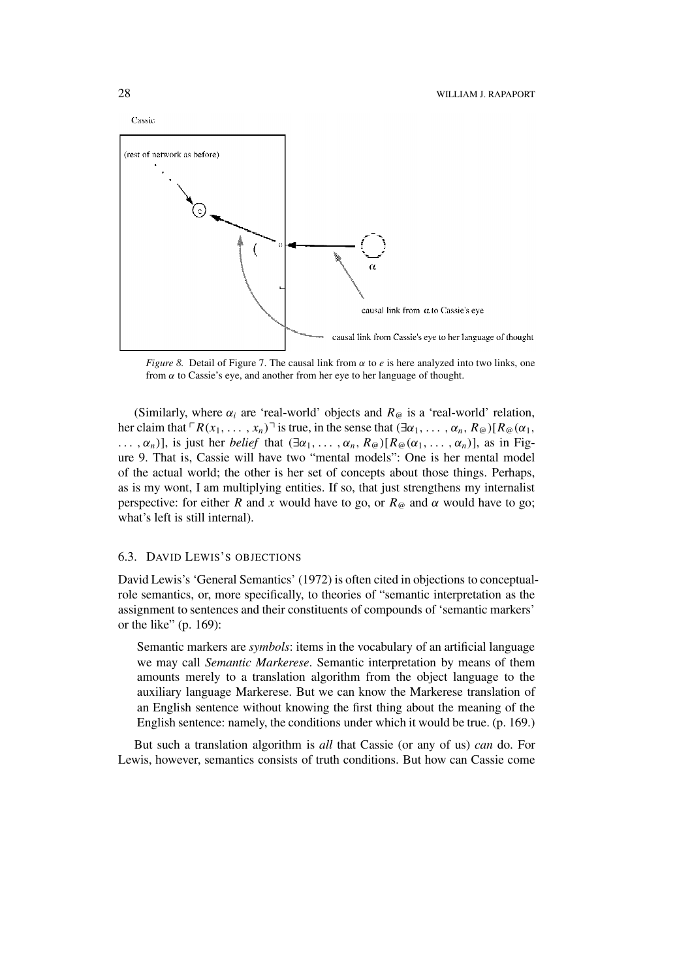

*Figure 8.* Detail of Figure 7. The causal link from *α* to *e* is here analyzed into two links, one from  $\alpha$  to Cassie's eye, and another from her eye to her language of thought.

(Similarly, where  $\alpha_i$  are 'real-world' objects and  $R_{\omega}$  is a 'real-world' relation, her claim that  $\ulcorner R(x_1, \ldots, x_n) \urcorner$  is true, in the sense that  $(\exists \alpha_1, \ldots, \alpha_n, R_{\omega})[R_{\omega}(\alpha_1, \ldots, \alpha_n)]$  $\ldots$ ,  $\alpha_n$ )], is just her *belief* that  $(\exists \alpha_1, \ldots, \alpha_n, R_{\omega})$ [ $R_{\omega}(\alpha_1, \ldots, \alpha_n)$ ], as in Figure 9. That is, Cassie will have two "mental models": One is her mental model of the actual world; the other is her set of concepts about those things. Perhaps, as is my wont, I am multiplying entities. If so, that just strengthens my internalist perspective: for either *R* and *x* would have to go, or  $R_{\odot}$  and  $\alpha$  would have to go; what's left is still internal).

# 6.3. DAVID LEWIS'S OBJECTIONS

David Lewis's 'General Semantics' (1972) is often cited in objections to conceptualrole semantics, or, more specifically, to theories of "semantic interpretation as the assignment to sentences and their constituents of compounds of 'semantic markers' or the like" (p. 169):

Semantic markers are *symbols*: items in the vocabulary of an artificial language we may call *Semantic Markerese*. Semantic interpretation by means of them amounts merely to a translation algorithm from the object language to the auxiliary language Markerese. But we can know the Markerese translation of an English sentence without knowing the first thing about the meaning of the English sentence: namely, the conditions under which it would be true. (p. 169.)

But such a translation algorithm is *all* that Cassie (or any of us) *can* do. For Lewis, however, semantics consists of truth conditions. But how can Cassie come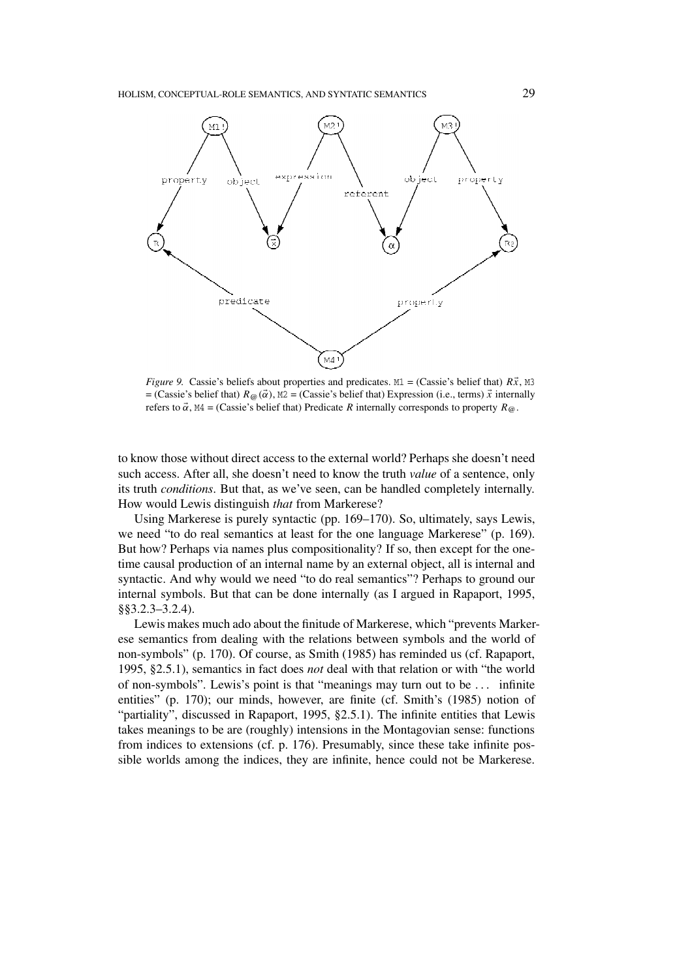

*Figure 9.* Cassie's beliefs about properties and predicates.  $M_1 = (Cassie$ 's belief that)  $R\vec{x}$ , M3  $=$  (Cassie's belief that)  $R_{\omega}(\vec{\alpha})$ , M<sub>2</sub> = (Cassie's belief that) Expression (i.e., terms)  $\vec{x}$  internally refers to  $\vec{\alpha}$ , M<sub>4</sub> = (Cassie's belief that) Predicate *R* internally corresponds to property  $R_{\omega}$ .

to know those without direct access to the external world? Perhaps she doesn't need such access. After all, she doesn't need to know the truth *value* of a sentence, only its truth *conditions*. But that, as we've seen, can be handled completely internally. How would Lewis distinguish *that* from Markerese?

Using Markerese is purely syntactic (pp. 169–170). So, ultimately, says Lewis, we need "to do real semantics at least for the one language Markerese" (p. 169). But how? Perhaps via names plus compositionality? If so, then except for the onetime causal production of an internal name by an external object, all is internal and syntactic. And why would we need "to do real semantics"? Perhaps to ground our internal symbols. But that can be done internally (as I argued in Rapaport, 1995, §§3.2.3–3.2.4).

Lewis makes much ado about the finitude of Markerese, which "prevents Markerese semantics from dealing with the relations between symbols and the world of non-symbols" (p. 170). Of course, as Smith (1985) has reminded us (cf. Rapaport, 1995, §2.5.1), semantics in fact does *not* deal with that relation or with "the world of non-symbols". Lewis's point is that "meanings may turn out to be *...* infinite entities" (p. 170); our minds, however, are finite (cf. Smith's (1985) notion of "partiality", discussed in Rapaport, 1995, §2.5.1). The infinite entities that Lewis takes meanings to be are (roughly) intensions in the Montagovian sense: functions from indices to extensions (cf. p. 176). Presumably, since these take infinite possible worlds among the indices, they are infinite, hence could not be Markerese.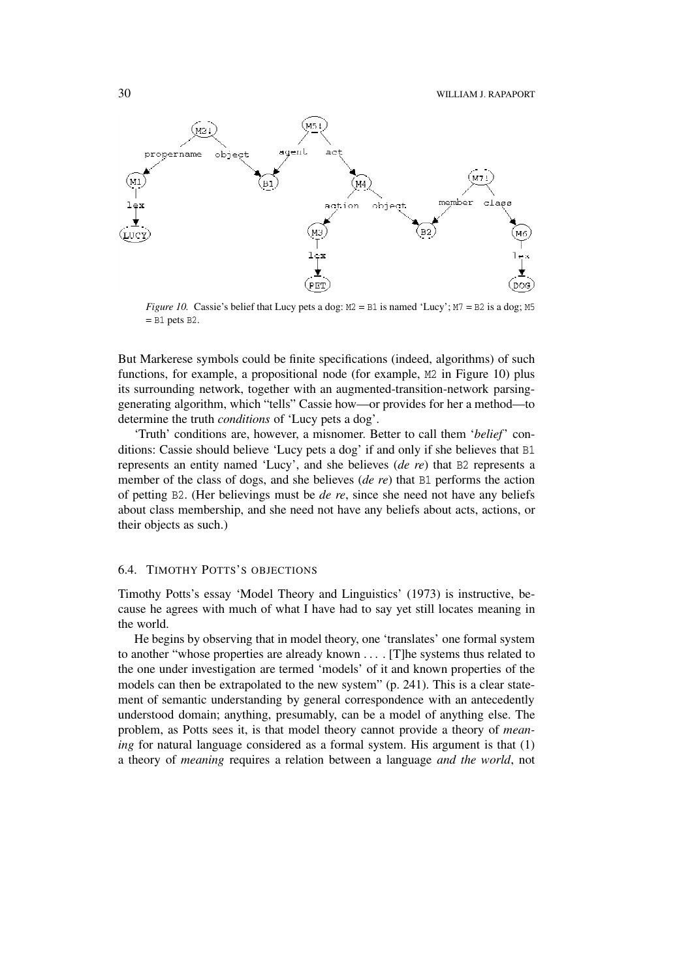

*Figure 10.* Cassie's belief that Lucy pets a dog:  $M2 = B1$  is named 'Lucy';  $M7 = B2$  is a dog; M5  $=$  B1 pets B2.

But Markerese symbols could be finite specifications (indeed, algorithms) of such functions, for example, a propositional node (for example, M2 in Figure 10) plus its surrounding network, together with an augmented-transition-network parsinggenerating algorithm, which "tells" Cassie how—or provides for her a method—to determine the truth *conditions* of 'Lucy pets a dog'.

'Truth' conditions are, however, a misnomer. Better to call them '*belief*' conditions: Cassie should believe 'Lucy pets a dog' if and only if she believes that B1 represents an entity named 'Lucy', and she believes (*de re*) that B2 represents a member of the class of dogs, and she believes (*de re*) that B1 performs the action of petting B2. (Her believings must be *de re*, since she need not have any beliefs about class membership, and she need not have any beliefs about acts, actions, or their objects as such.)

# 6.4. TIMOTHY POTTS'S OBJECTIONS

Timothy Potts's essay 'Model Theory and Linguistics' (1973) is instructive, because he agrees with much of what I have had to say yet still locates meaning in the world.

He begins by observing that in model theory, one 'translates' one formal system to another "whose properties are already known *...* . [T]he systems thus related to the one under investigation are termed 'models' of it and known properties of the models can then be extrapolated to the new system" (p. 241). This is a clear statement of semantic understanding by general correspondence with an antecedently understood domain; anything, presumably, can be a model of anything else. The problem, as Potts sees it, is that model theory cannot provide a theory of *meaning* for natural language considered as a formal system. His argument is that (1) a theory of *meaning* requires a relation between a language *and the world*, not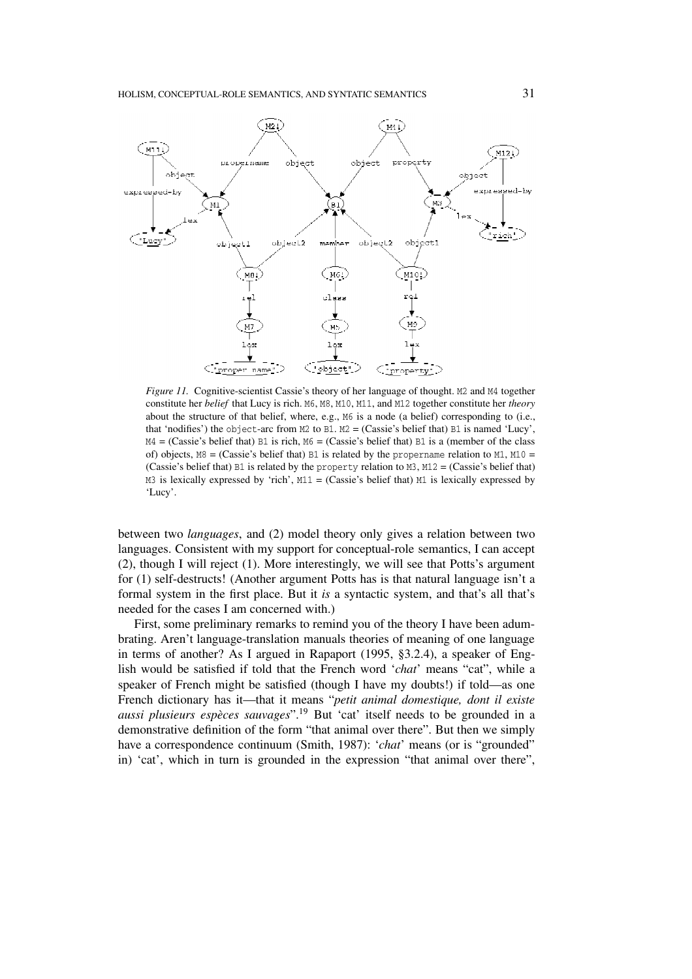

*Figure 11.* Cognitive-scientist Cassie's theory of her language of thought. M2 and M4 together constitute her *belief* that Lucy is rich. M6, M8, M10, M11, and M12 together constitute her *theory* about the structure of that belief, where, e.g., M6 is a node (a belief) corresponding to (i.e., that 'nodifies') the object-arc from  $M2$  to  $B1$ .  $M2 = (Cassie's belief that) B1$  is named 'Lucy',  $M4 =$  (Cassie's belief that) B1 is rich,  $M6 =$  (Cassie's belief that) B1 is a (member of the class of) objects,  $MS = (Cassie's belief that) B1$  is related by the propername relation to  $M1, M10 =$ (Cassie's belief that) B1 is related by the property relation to  $M_3$ ,  $M_12 =$  (Cassie's belief that) M3 is lexically expressed by 'rich',  $M1 = (Cassie's belief that) M1$  is lexically expressed by 'Lucy'.

between two *languages*, and (2) model theory only gives a relation between two languages. Consistent with my support for conceptual-role semantics, I can accept (2), though I will reject (1). More interestingly, we will see that Potts's argument for (1) self-destructs! (Another argument Potts has is that natural language isn't a formal system in the first place. But it *is* a syntactic system, and that's all that's needed for the cases I am concerned with.)

First, some preliminary remarks to remind you of the theory I have been adumbrating. Aren't language-translation manuals theories of meaning of one language in terms of another? As I argued in Rapaport (1995, §3.2.4), a speaker of English would be satisfied if told that the French word '*chat*' means "cat", while a speaker of French might be satisfied (though I have my doubts!) if told—as one French dictionary has it—that it means "*petit animal domestique, dont il existe aussi plusieurs espèces sauvages*".<sup>19</sup> But 'cat' itself needs to be grounded in a demonstrative definition of the form "that animal over there". But then we simply have a correspondence continuum (Smith, 1987): '*chat*' means (or is "grounded" in) 'cat', which in turn is grounded in the expression "that animal over there",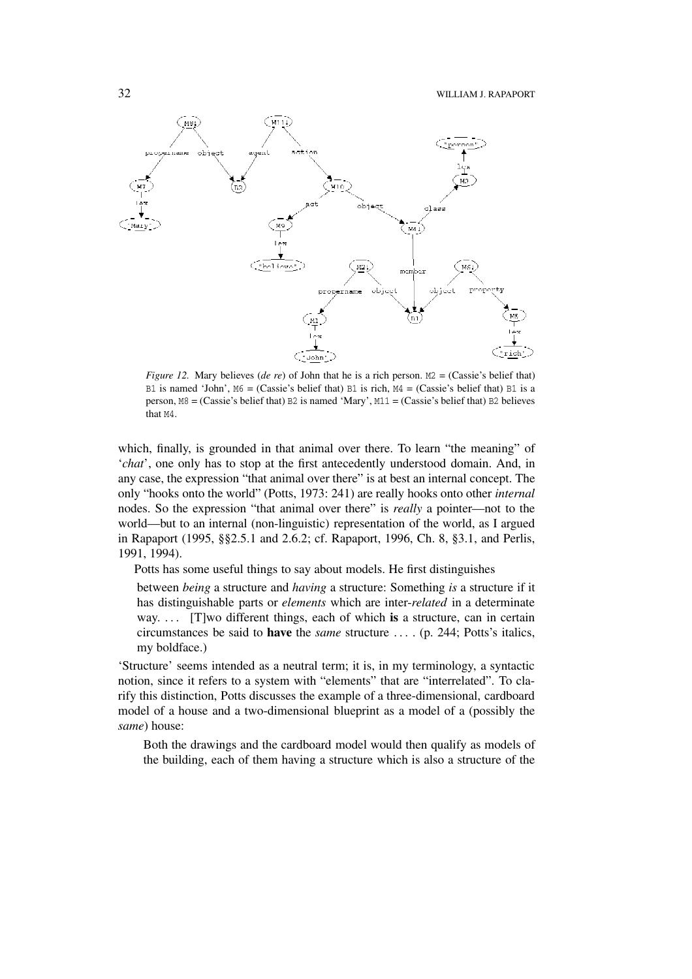

*Figure 12.* Mary believes (*de re*) of John that he is a rich person. M2 = (Cassie's belief that) B1 is named 'John',  $M6 =$  (Cassie's belief that) B1 is rich,  $M4 =$  (Cassie's belief that) B1 is a person, M8 = (Cassie's belief that) B2 is named 'Mary', M11 = (Cassie's belief that) B2 believes that M4.

which, finally, is grounded in that animal over there. To learn "the meaning" of '*chat*', one only has to stop at the first antecedently understood domain. And, in any case, the expression "that animal over there" is at best an internal concept. The only "hooks onto the world" (Potts, 1973: 241) are really hooks onto other *internal* nodes. So the expression "that animal over there" is *really* a pointer—not to the world—but to an internal (non-linguistic) representation of the world, as I argued in Rapaport (1995, §§2.5.1 and 2.6.2; cf. Rapaport, 1996, Ch. 8, §3.1, and Perlis, 1991, 1994).

Potts has some useful things to say about models. He first distinguishes

between *being* a structure and *having* a structure: Something *is* a structure if it has distinguishable parts or *elements* which are inter-*related* in a determinate way. *...* [T]wo different things, each of which **is** a structure, can in certain circumstances be said to **have** the *same* structure *...* . (p. 244; Potts's italics, my boldface.)

'Structure' seems intended as a neutral term; it is, in my terminology, a syntactic notion, since it refers to a system with "elements" that are "interrelated". To clarify this distinction, Potts discusses the example of a three-dimensional, cardboard model of a house and a two-dimensional blueprint as a model of a (possibly the *same*) house:

Both the drawings and the cardboard model would then qualify as models of the building, each of them having a structure which is also a structure of the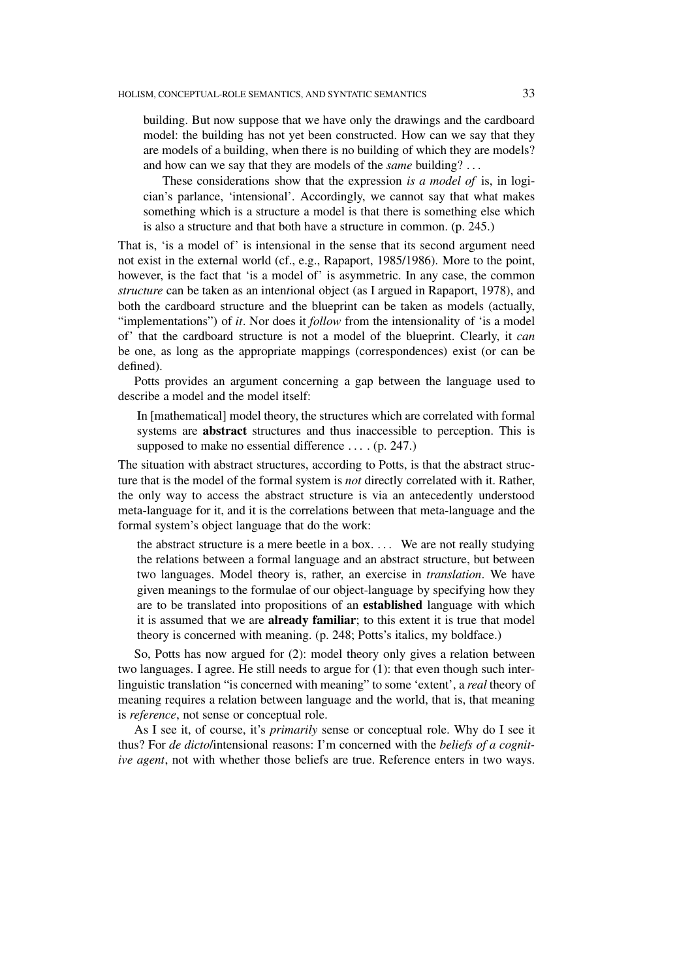building. But now suppose that we have only the drawings and the cardboard model: the building has not yet been constructed. How can we say that they are models of a building, when there is no building of which they are models? and how can we say that they are models of the *same* building? *...*

These considerations show that the expression *is a model of* is, in logician's parlance, 'intensional'. Accordingly, we cannot say that what makes something which is a structure a model is that there is something else which is also a structure and that both have a structure in common. (p. 245.)

That is, 'is a model of' is inten*s*ional in the sense that its second argument need not exist in the external world (cf., e.g., Rapaport, 1985/1986). More to the point, however, is the fact that 'is a model of' is asymmetric. In any case, the common *structure* can be taken as an inten*t*ional object (as I argued in Rapaport, 1978), and both the cardboard structure and the blueprint can be taken as models (actually, "implementations") of *it*. Nor does it *follow* from the intensionality of 'is a model of' that the cardboard structure is not a model of the blueprint. Clearly, it *can* be one, as long as the appropriate mappings (correspondences) exist (or can be defined).

Potts provides an argument concerning a gap between the language used to describe a model and the model itself:

In [mathematical] model theory, the structures which are correlated with formal systems are **abstract** structures and thus inaccessible to perception. This is supposed to make no essential difference *...* . (p. 247.)

The situation with abstract structures, according to Potts, is that the abstract structure that is the model of the formal system is *not* directly correlated with it. Rather, the only way to access the abstract structure is via an antecedently understood meta-language for it, and it is the correlations between that meta-language and the formal system's object language that do the work:

the abstract structure is a mere beetle in a box. *...* We are not really studying the relations between a formal language and an abstract structure, but between two languages. Model theory is, rather, an exercise in *translation*. We have given meanings to the formulae of our object-language by specifying how they are to be translated into propositions of an **established** language with which it is assumed that we are **already familiar**; to this extent it is true that model theory is concerned with meaning. (p. 248; Potts's italics, my boldface.)

So, Potts has now argued for (2): model theory only gives a relation between two languages. I agree. He still needs to argue for (1): that even though such interlinguistic translation "is concerned with meaning" to some 'extent', a *real* theory of meaning requires a relation between language and the world, that is, that meaning is *reference*, not sense or conceptual role.

As I see it, of course, it's *primarily* sense or conceptual role. Why do I see it thus? For *de dicto*/intensional reasons: I'm concerned with the *beliefs of a cognitive agent*, not with whether those beliefs are true. Reference enters in two ways.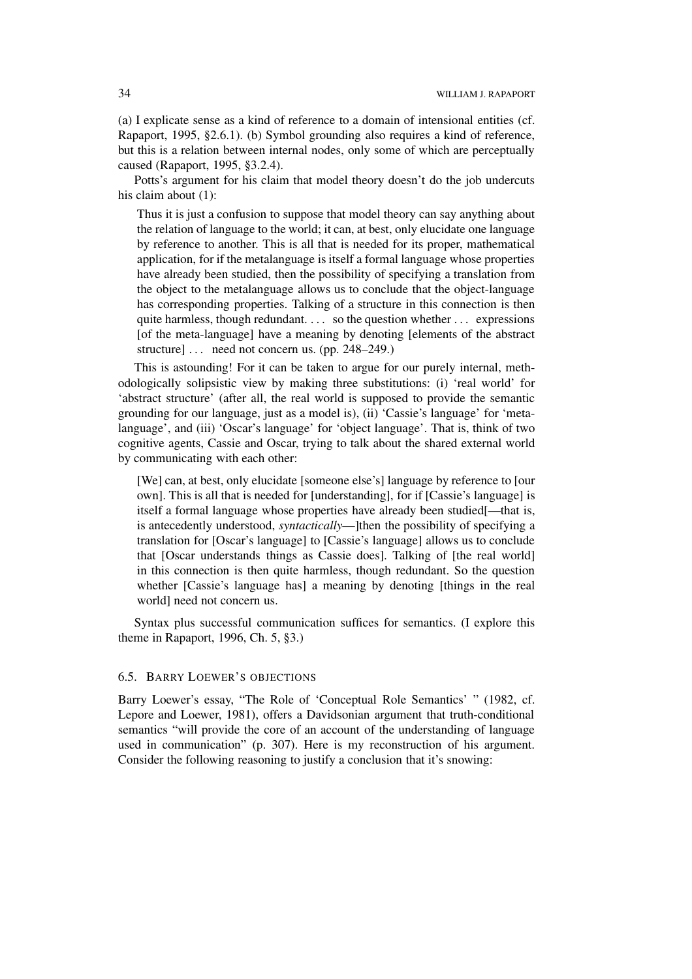(a) I explicate sense as a kind of reference to a domain of intensional entities (cf. Rapaport, 1995, §2.6.1). (b) Symbol grounding also requires a kind of reference, but this is a relation between internal nodes, only some of which are perceptually caused (Rapaport, 1995, §3.2.4).

Potts's argument for his claim that model theory doesn't do the job undercuts his claim about (1):

Thus it is just a confusion to suppose that model theory can say anything about the relation of language to the world; it can, at best, only elucidate one language by reference to another. This is all that is needed for its proper, mathematical application, for if the metalanguage is itself a formal language whose properties have already been studied, then the possibility of specifying a translation from the object to the metalanguage allows us to conclude that the object-language has corresponding properties. Talking of a structure in this connection is then quite harmless, though redundant. *...* so the question whether *...* expressions [of the meta-language] have a meaning by denoting [elements of the abstract structure] *...* need not concern us. (pp. 248–249.)

This is astounding! For it can be taken to argue for our purely internal, methodologically solipsistic view by making three substitutions: (i) 'real world' for 'abstract structure' (after all, the real world is supposed to provide the semantic grounding for our language, just as a model is), (ii) 'Cassie's language' for 'metalanguage', and (iii) 'Oscar's language' for 'object language'. That is, think of two cognitive agents, Cassie and Oscar, trying to talk about the shared external world by communicating with each other:

[We] can, at best, only elucidate [someone else's] language by reference to [our own]. This is all that is needed for [understanding], for if [Cassie's language] is itself a formal language whose properties have already been studied[—that is, is antecedently understood, *syntactically*—]then the possibility of specifying a translation for [Oscar's language] to [Cassie's language] allows us to conclude that [Oscar understands things as Cassie does]. Talking of [the real world] in this connection is then quite harmless, though redundant. So the question whether [Cassie's language has] a meaning by denoting [things in the real world] need not concern us.

Syntax plus successful communication suffices for semantics. (I explore this theme in Rapaport, 1996, Ch. 5, §3.)

# 6.5. BARRY LOEWER'S OBJECTIONS

Barry Loewer's essay, "The Role of 'Conceptual Role Semantics' " (1982, cf. Lepore and Loewer, 1981), offers a Davidsonian argument that truth-conditional semantics "will provide the core of an account of the understanding of language used in communication" (p. 307). Here is my reconstruction of his argument. Consider the following reasoning to justify a conclusion that it's snowing: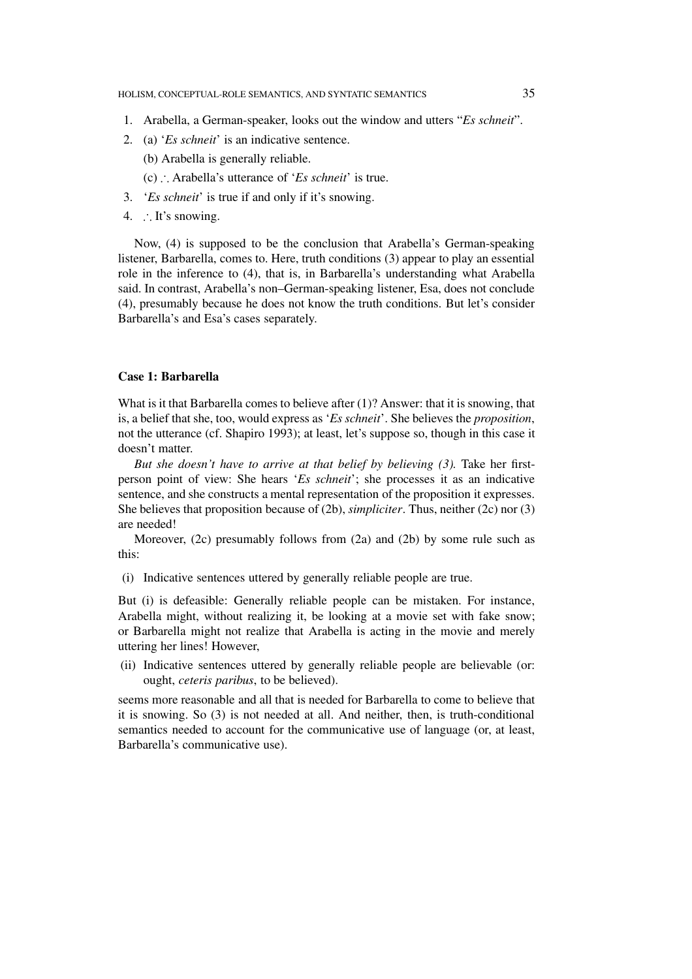- 1. Arabella, a German-speaker, looks out the window and utters "*Es schneit*".
- 2. (a) '*Es schneit*' is an indicative sentence.
	- (b) Arabella is generally reliable.
	- (c) ∴ Arabella's utterance of '*Es schneit*' is true.
- 3. '*Es schneit*' is true if and only if it's snowing.
- 4. ∴ It's snowing.

Now, (4) is supposed to be the conclusion that Arabella's German-speaking listener, Barbarella, comes to. Here, truth conditions (3) appear to play an essential role in the inference to (4), that is, in Barbarella's understanding what Arabella said. In contrast, Arabella's non–German-speaking listener, Esa, does not conclude (4), presumably because he does not know the truth conditions. But let's consider Barbarella's and Esa's cases separately.

# **Case 1: Barbarella**

What is it that Barbarella comes to believe after (1)? Answer: that it is snowing, that is, a belief that she, too, would express as '*Es schneit*'. She believes the *proposition*, not the utterance (cf. Shapiro 1993); at least, let's suppose so, though in this case it doesn't matter.

*But she doesn't have to arrive at that belief by believing (3).* Take her firstperson point of view: She hears '*Es schneit*'; she processes it as an indicative sentence, and she constructs a mental representation of the proposition it expresses. She believes that proposition because of (2b), *simpliciter*. Thus, neither (2c) nor (3) are needed!

Moreover, (2c) presumably follows from (2a) and (2b) by some rule such as this:

(i) Indicative sentences uttered by generally reliable people are true.

But (i) is defeasible: Generally reliable people can be mistaken. For instance, Arabella might, without realizing it, be looking at a movie set with fake snow; or Barbarella might not realize that Arabella is acting in the movie and merely uttering her lines! However,

(ii) Indicative sentences uttered by generally reliable people are believable (or: ought, *ceteris paribus*, to be believed).

seems more reasonable and all that is needed for Barbarella to come to believe that it is snowing. So (3) is not needed at all. And neither, then, is truth-conditional semantics needed to account for the communicative use of language (or, at least, Barbarella's communicative use).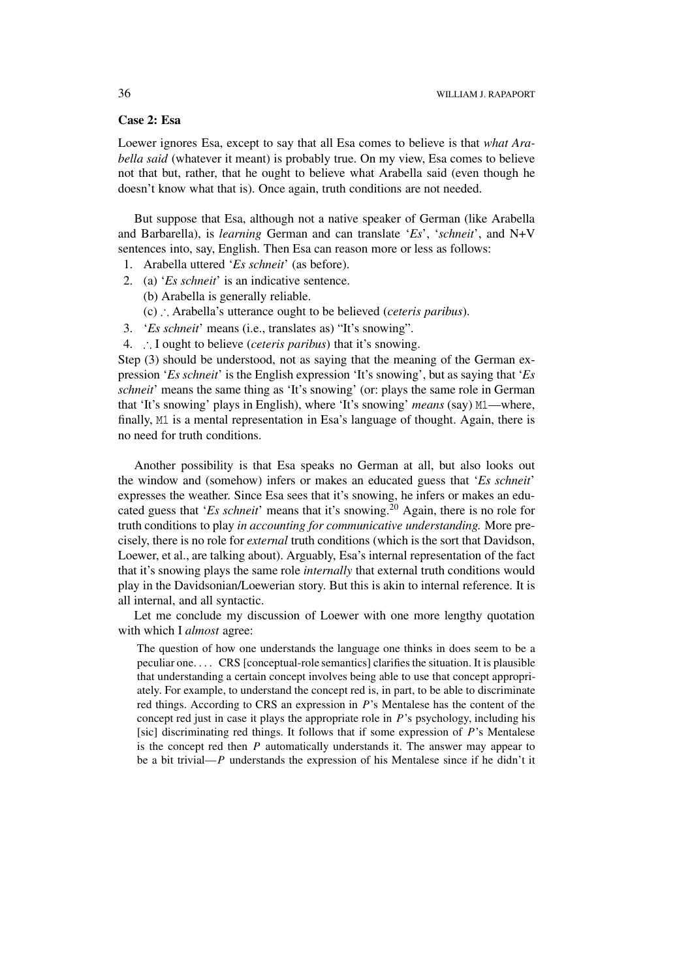# **Case 2: Esa**

Loewer ignores Esa, except to say that all Esa comes to believe is that *what Arabella said* (whatever it meant) is probably true. On my view, Esa comes to believe not that but, rather, that he ought to believe what Arabella said (even though he doesn't know what that is). Once again, truth conditions are not needed.

But suppose that Esa, although not a native speaker of German (like Arabella and Barbarella), is *learning* German and can translate '*Es*', '*schneit*', and N+V sentences into, say, English. Then Esa can reason more or less as follows:

- 1. Arabella uttered '*Es schneit*' (as before).
- 2. (a) '*Es schneit*' is an indicative sentence.
	- (b) Arabella is generally reliable.
	- (c) ∴ Arabella's utterance ought to be believed (*ceteris paribus*).
- 3. '*Es schneit*' means (i.e., translates as) "It's snowing".
- 4. ∴ I ought to believe (*ceteris paribus*) that it's snowing.

Step (3) should be understood, not as saying that the meaning of the German expression '*Es schneit*' is the English expression 'It's snowing', but as saying that '*Es schneit*' means the same thing as 'It's snowing' (or: plays the same role in German that 'It's snowing' plays in English), where 'It's snowing' *means* (say) M1—where, finally, M1 is a mental representation in Esa's language of thought. Again, there is no need for truth conditions.

Another possibility is that Esa speaks no German at all, but also looks out the window and (somehow) infers or makes an educated guess that '*Es schneit*' expresses the weather. Since Esa sees that it's snowing, he infers or makes an educated guess that '*Es schneit*' means that it's snowing.<sup>20</sup> Again, there is no role for truth conditions to play *in accounting for communicative understanding.* More precisely, there is no role for *external* truth conditions (which is the sort that Davidson, Loewer, et al., are talking about). Arguably, Esa's internal representation of the fact that it's snowing plays the same role *internally* that external truth conditions would play in the Davidsonian/Loewerian story. But this is akin to internal reference. It is all internal, and all syntactic.

Let me conclude my discussion of Loewer with one more lengthy quotation with which I *almost* agree:

The question of how one understands the language one thinks in does seem to be a peculiar one. *...* CRS [conceptual-role semantics] clarifies the situation. It is plausible that understanding a certain concept involves being able to use that concept appropriately. For example, to understand the concept red is, in part, to be able to discriminate red things. According to CRS an expression in *P*'s Mentalese has the content of the concept red just in case it plays the appropriate role in *P*'s psychology, including his [sic] discriminating red things. It follows that if some expression of *P*'s Mentalese is the concept red then *P* automatically understands it. The answer may appear to be a bit trivial—*P* understands the expression of his Mentalese since if he didn't it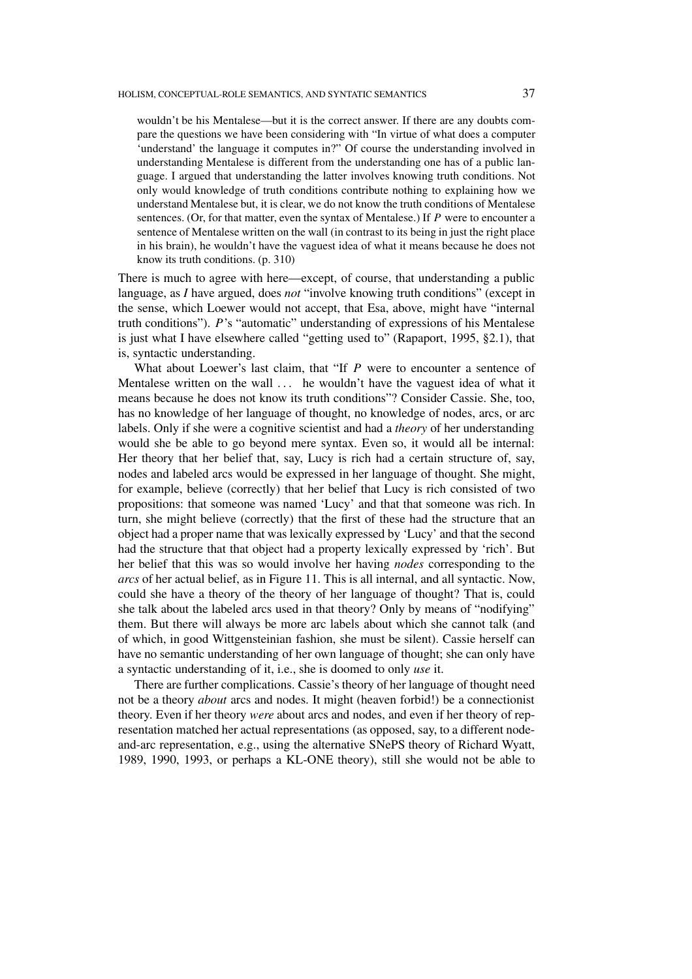wouldn't be his Mentalese—but it is the correct answer. If there are any doubts compare the questions we have been considering with "In virtue of what does a computer 'understand' the language it computes in?" Of course the understanding involved in understanding Mentalese is different from the understanding one has of a public language. I argued that understanding the latter involves knowing truth conditions. Not only would knowledge of truth conditions contribute nothing to explaining how we understand Mentalese but, it is clear, we do not know the truth conditions of Mentalese sentences. (Or, for that matter, even the syntax of Mentalese.) If *P* were to encounter a sentence of Mentalese written on the wall (in contrast to its being in just the right place in his brain), he wouldn't have the vaguest idea of what it means because he does not know its truth conditions. (p. 310)

There is much to agree with here—except, of course, that understanding a public language, as *I* have argued, does *not* "involve knowing truth conditions" (except in the sense, which Loewer would not accept, that Esa, above, might have "internal truth conditions"). *P*'s "automatic" understanding of expressions of his Mentalese is just what I have elsewhere called "getting used to" (Rapaport, 1995, §2.1), that is, syntactic understanding.

What about Loewer's last claim, that "If *P* were to encounter a sentence of Mentalese written on the wall *...* he wouldn't have the vaguest idea of what it means because he does not know its truth conditions"? Consider Cassie. She, too, has no knowledge of her language of thought, no knowledge of nodes, arcs, or arc labels. Only if she were a cognitive scientist and had a *theory* of her understanding would she be able to go beyond mere syntax. Even so, it would all be internal: Her theory that her belief that, say, Lucy is rich had a certain structure of, say, nodes and labeled arcs would be expressed in her language of thought. She might, for example, believe (correctly) that her belief that Lucy is rich consisted of two propositions: that someone was named 'Lucy' and that that someone was rich. In turn, she might believe (correctly) that the first of these had the structure that an object had a proper name that was lexically expressed by 'Lucy' and that the second had the structure that that object had a property lexically expressed by 'rich'. But her belief that this was so would involve her having *nodes* corresponding to the *arcs* of her actual belief, as in Figure 11. This is all internal, and all syntactic. Now, could she have a theory of the theory of her language of thought? That is, could she talk about the labeled arcs used in that theory? Only by means of "nodifying" them. But there will always be more arc labels about which she cannot talk (and of which, in good Wittgensteinian fashion, she must be silent). Cassie herself can have no semantic understanding of her own language of thought; she can only have a syntactic understanding of it, i.e., she is doomed to only *use* it.

There are further complications. Cassie's theory of her language of thought need not be a theory *about* arcs and nodes. It might (heaven forbid!) be a connectionist theory. Even if her theory *were* about arcs and nodes, and even if her theory of representation matched her actual representations (as opposed, say, to a different nodeand-arc representation, e.g., using the alternative SNePS theory of Richard Wyatt, 1989, 1990, 1993, or perhaps a KL-ONE theory), still she would not be able to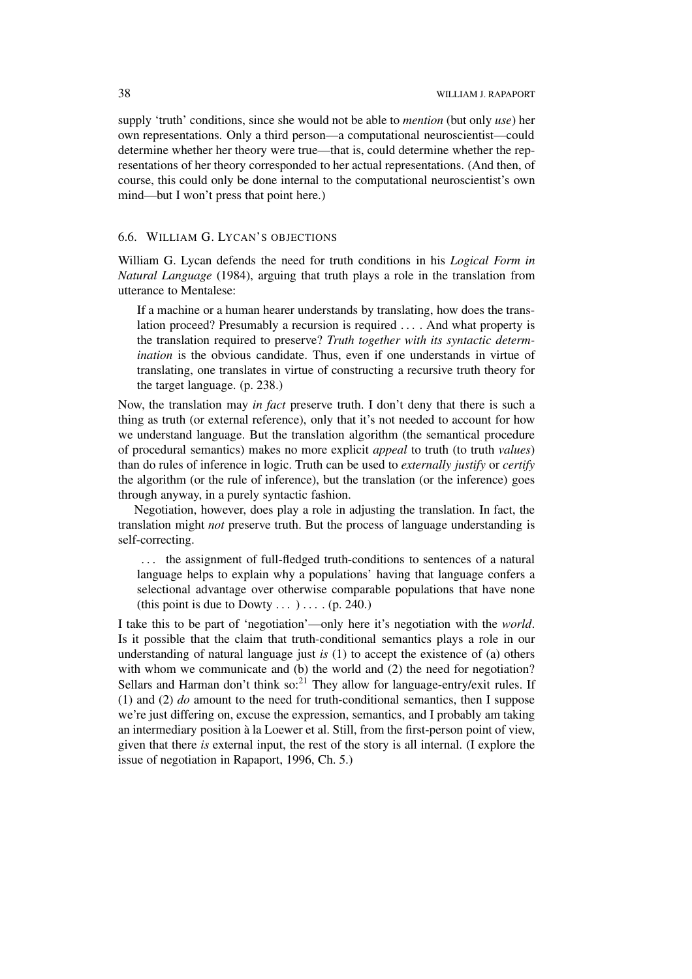supply 'truth' conditions, since she would not be able to *mention* (but only *use*) her own representations. Only a third person—a computational neuroscientist—could determine whether her theory were true—that is, could determine whether the representations of her theory corresponded to her actual representations. (And then, of course, this could only be done internal to the computational neuroscientist's own mind—but I won't press that point here.)

# 6.6. WILLIAM G. LYCAN'S OBJECTIONS

William G. Lycan defends the need for truth conditions in his *Logical Form in Natural Language* (1984), arguing that truth plays a role in the translation from utterance to Mentalese:

If a machine or a human hearer understands by translating, how does the translation proceed? Presumably a recursion is required *...* . And what property is the translation required to preserve? *Truth together with its syntactic determination* is the obvious candidate. Thus, even if one understands in virtue of translating, one translates in virtue of constructing a recursive truth theory for the target language. (p. 238.)

Now, the translation may *in fact* preserve truth. I don't deny that there is such a thing as truth (or external reference), only that it's not needed to account for how we understand language. But the translation algorithm (the semantical procedure of procedural semantics) makes no more explicit *appeal* to truth (to truth *values*) than do rules of inference in logic. Truth can be used to *externally justify* or *certify* the algorithm (or the rule of inference), but the translation (or the inference) goes through anyway, in a purely syntactic fashion.

Negotiation, however, does play a role in adjusting the translation. In fact, the translation might *not* preserve truth. But the process of language understanding is self-correcting.

*...* the assignment of full-fledged truth-conditions to sentences of a natural language helps to explain why a populations' having that language confers a selectional advantage over otherwise comparable populations that have none (this point is due to Dowty *...* ) *...* . (p. 240.)

I take this to be part of 'negotiation'—only here it's negotiation with the *world*. Is it possible that the claim that truth-conditional semantics plays a role in our understanding of natural language just *is* (1) to accept the existence of (a) others with whom we communicate and (b) the world and (2) the need for negotiation? Sellars and Harman don't think so:<sup>21</sup> They allow for language-entry/exit rules. If (1) and (2) *do* amount to the need for truth-conditional semantics, then I suppose we're just differing on, excuse the expression, semantics, and I probably am taking an intermediary position à la Loewer et al. Still, from the first-person point of view, given that there *is* external input, the rest of the story is all internal. (I explore the issue of negotiation in Rapaport, 1996, Ch. 5.)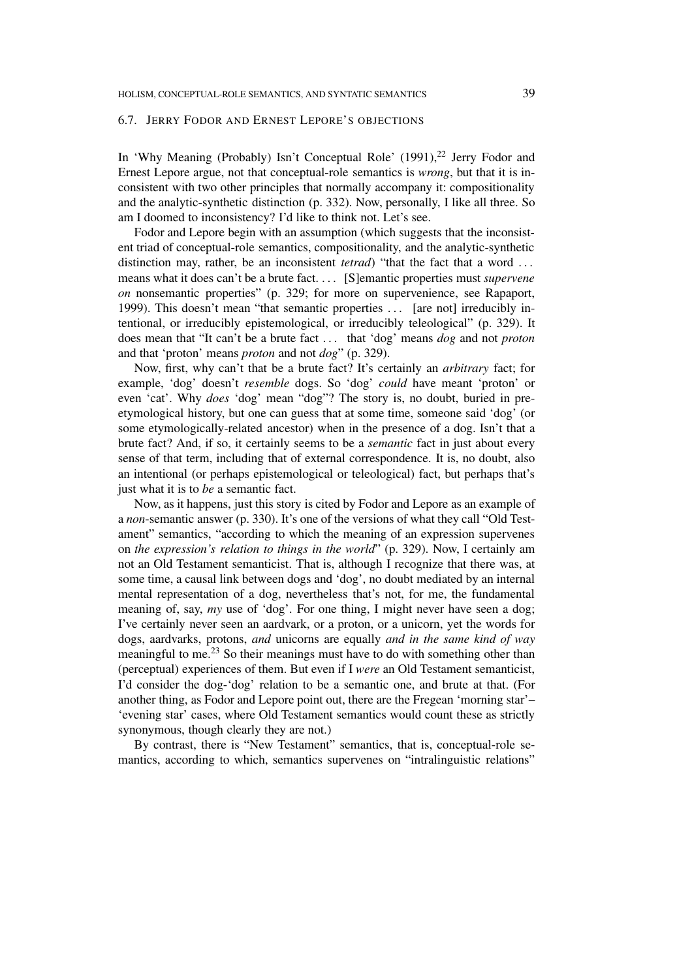# 6.7. JERRY FODOR AND ERNEST LEPORE'S OBJECTIONS

In 'Why Meaning (Probably) Isn't Conceptual Role'  $(1991),<sup>22</sup>$  Jerry Fodor and Ernest Lepore argue, not that conceptual-role semantics is *wrong*, but that it is inconsistent with two other principles that normally accompany it: compositionality and the analytic-synthetic distinction (p. 332). Now, personally, I like all three. So am I doomed to inconsistency? I'd like to think not. Let's see.

Fodor and Lepore begin with an assumption (which suggests that the inconsistent triad of conceptual-role semantics, compositionality, and the analytic-synthetic distinction may, rather, be an inconsistent *tetrad*) "that the fact that a word *...* means what it does can't be a brute fact. *...* [S]emantic properties must *supervene on* nonsemantic properties" (p. 329; for more on supervenience, see Rapaport, 1999). This doesn't mean "that semantic properties *...* [are not] irreducibly intentional, or irreducibly epistemological, or irreducibly teleological" (p. 329). It does mean that "It can't be a brute fact *...* that 'dog' means *dog* and not *proton* and that 'proton' means *proton* and not *dog*" (p. 329).

Now, first, why can't that be a brute fact? It's certainly an *arbitrary* fact; for example, 'dog' doesn't *resemble* dogs. So 'dog' *could* have meant 'proton' or even 'cat'. Why *does* 'dog' mean "dog"? The story is, no doubt, buried in preetymological history, but one can guess that at some time, someone said 'dog' (or some etymologically-related ancestor) when in the presence of a dog. Isn't that a brute fact? And, if so, it certainly seems to be a *semantic* fact in just about every sense of that term, including that of external correspondence. It is, no doubt, also an intentional (or perhaps epistemological or teleological) fact, but perhaps that's just what it is to *be* a semantic fact.

Now, as it happens, just this story is cited by Fodor and Lepore as an example of a *non*-semantic answer (p. 330). It's one of the versions of what they call "Old Testament" semantics, "according to which the meaning of an expression supervenes on *the expression's relation to things in the world*" (p. 329). Now, I certainly am not an Old Testament semanticist. That is, although I recognize that there was, at some time, a causal link between dogs and 'dog', no doubt mediated by an internal mental representation of a dog, nevertheless that's not, for me, the fundamental meaning of, say, *my* use of 'dog'. For one thing, I might never have seen a dog; I've certainly never seen an aardvark, or a proton, or a unicorn, yet the words for dogs, aardvarks, protons, *and* unicorns are equally *and in the same kind of way* meaningful to me.<sup>23</sup> So their meanings must have to do with something other than (perceptual) experiences of them. But even if I *were* an Old Testament semanticist, I'd consider the dog-'dog' relation to be a semantic one, and brute at that. (For another thing, as Fodor and Lepore point out, there are the Fregean 'morning star'– 'evening star' cases, where Old Testament semantics would count these as strictly synonymous, though clearly they are not.)

By contrast, there is "New Testament" semantics, that is, conceptual-role semantics, according to which, semantics supervenes on "intralinguistic relations"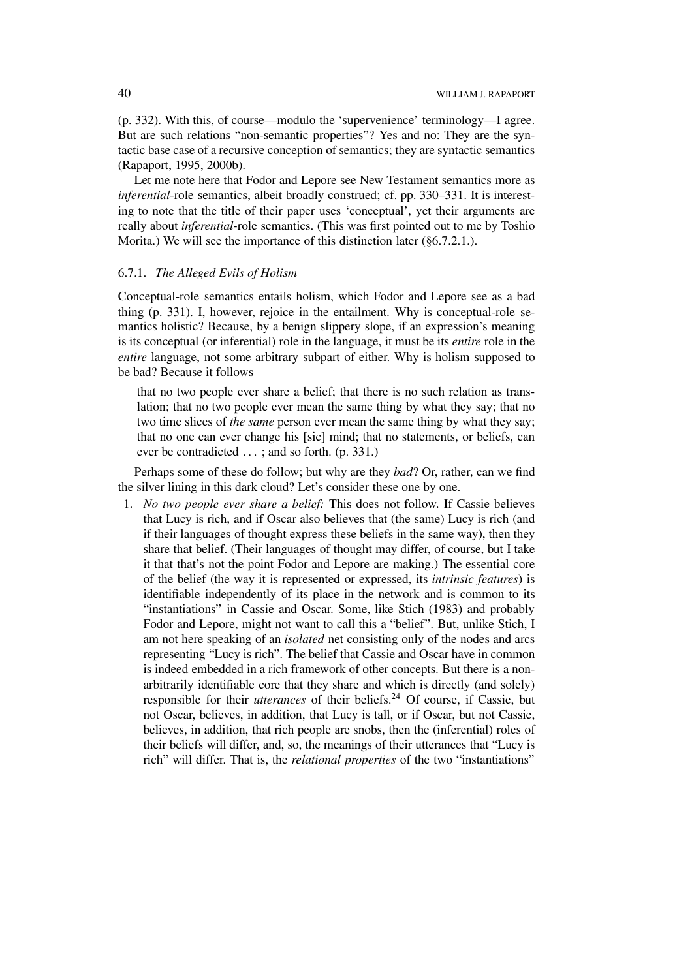(p. 332). With this, of course—modulo the 'supervenience' terminology—I agree. But are such relations "non-semantic properties"? Yes and no: They are the syntactic base case of a recursive conception of semantics; they are syntactic semantics (Rapaport, 1995, 2000b).

Let me note here that Fodor and Lepore see New Testament semantics more as *inferential*-role semantics, albeit broadly construed; cf. pp. 330–331. It is interesting to note that the title of their paper uses 'conceptual', yet their arguments are really about *inferential*-role semantics. (This was first pointed out to me by Toshio Morita.) We will see the importance of this distinction later (§6.7.2.1.).

# 6.7.1. *The Alleged Evils of Holism*

Conceptual-role semantics entails holism, which Fodor and Lepore see as a bad thing (p. 331). I, however, rejoice in the entailment. Why is conceptual-role semantics holistic? Because, by a benign slippery slope, if an expression's meaning is its conceptual (or inferential) role in the language, it must be its *entire* role in the *entire* language, not some arbitrary subpart of either. Why is holism supposed to be bad? Because it follows

that no two people ever share a belief; that there is no such relation as translation; that no two people ever mean the same thing by what they say; that no two time slices of *the same* person ever mean the same thing by what they say; that no one can ever change his [sic] mind; that no statements, or beliefs, can ever be contradicted *...* ; and so forth. (p. 331.)

Perhaps some of these do follow; but why are they *bad*? Or, rather, can we find the silver lining in this dark cloud? Let's consider these one by one.

1. *No two people ever share a belief:* This does not follow. If Cassie believes that Lucy is rich, and if Oscar also believes that (the same) Lucy is rich (and if their languages of thought express these beliefs in the same way), then they share that belief. (Their languages of thought may differ, of course, but I take it that that's not the point Fodor and Lepore are making.) The essential core of the belief (the way it is represented or expressed, its *intrinsic features*) is identifiable independently of its place in the network and is common to its "instantiations" in Cassie and Oscar. Some, like Stich (1983) and probably Fodor and Lepore, might not want to call this a "belief". But, unlike Stich, I am not here speaking of an *isolated* net consisting only of the nodes and arcs representing "Lucy is rich". The belief that Cassie and Oscar have in common is indeed embedded in a rich framework of other concepts. But there is a nonarbitrarily identifiable core that they share and which is directly (and solely) responsible for their *utterances* of their beliefs.<sup>24</sup> Of course, if Cassie, but not Oscar, believes, in addition, that Lucy is tall, or if Oscar, but not Cassie, believes, in addition, that rich people are snobs, then the (inferential) roles of their beliefs will differ, and, so, the meanings of their utterances that "Lucy is rich" will differ. That is, the *relational properties* of the two "instantiations"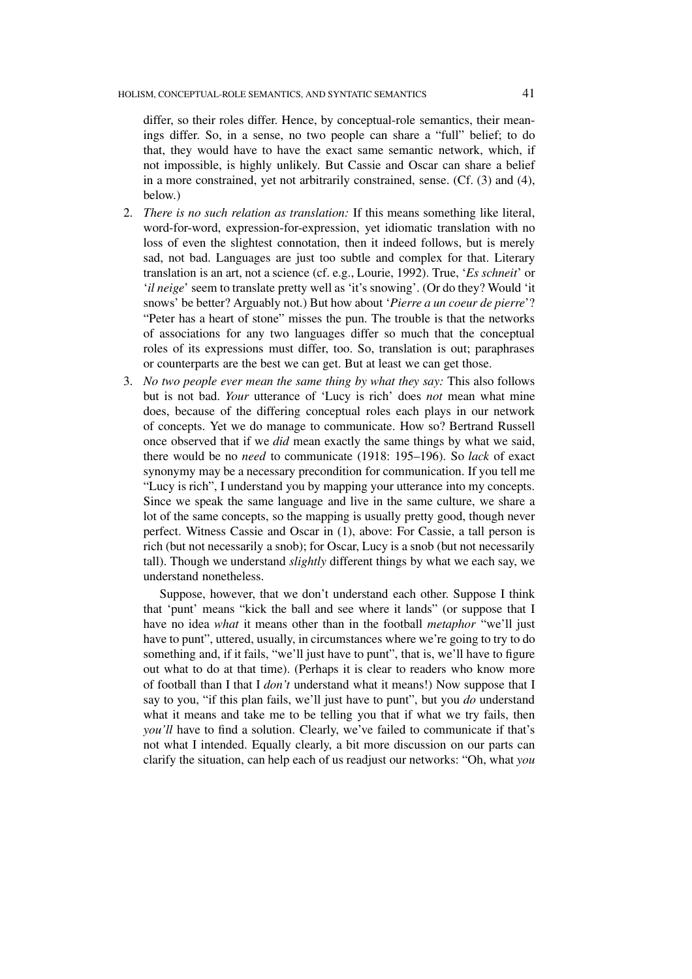differ, so their roles differ. Hence, by conceptual-role semantics, their meanings differ. So, in a sense, no two people can share a "full" belief; to do that, they would have to have the exact same semantic network, which, if not impossible, is highly unlikely. But Cassie and Oscar can share a belief in a more constrained, yet not arbitrarily constrained, sense. (Cf. (3) and (4), below.)

- 2. *There is no such relation as translation:* If this means something like literal, word-for-word, expression-for-expression, yet idiomatic translation with no loss of even the slightest connotation, then it indeed follows, but is merely sad, not bad. Languages are just too subtle and complex for that. Literary translation is an art, not a science (cf. e.g., Lourie, 1992). True, '*Es schneit*' or '*il neige*' seem to translate pretty well as 'it's snowing'. (Or do they? Would 'it snows' be better? Arguably not.) But how about '*Pierre a un coeur de pierre*'? "Peter has a heart of stone" misses the pun. The trouble is that the networks of associations for any two languages differ so much that the conceptual roles of its expressions must differ, too. So, translation is out; paraphrases or counterparts are the best we can get. But at least we can get those.
- 3. *No two people ever mean the same thing by what they say:* This also follows but is not bad. *Your* utterance of 'Lucy is rich' does *not* mean what mine does, because of the differing conceptual roles each plays in our network of concepts. Yet we do manage to communicate. How so? Bertrand Russell once observed that if we *did* mean exactly the same things by what we said, there would be no *need* to communicate (1918: 195–196). So *lack* of exact synonymy may be a necessary precondition for communication. If you tell me "Lucy is rich", I understand you by mapping your utterance into my concepts. Since we speak the same language and live in the same culture, we share a lot of the same concepts, so the mapping is usually pretty good, though never perfect. Witness Cassie and Oscar in (1), above: For Cassie, a tall person is rich (but not necessarily a snob); for Oscar, Lucy is a snob (but not necessarily tall). Though we understand *slightly* different things by what we each say, we understand nonetheless.

Suppose, however, that we don't understand each other. Suppose I think that 'punt' means "kick the ball and see where it lands" (or suppose that I have no idea *what* it means other than in the football *metaphor* "we'll just have to punt", uttered, usually, in circumstances where we're going to try to do something and, if it fails, "we'll just have to punt", that is, we'll have to figure out what to do at that time). (Perhaps it is clear to readers who know more of football than I that I *don't* understand what it means!) Now suppose that I say to you, "if this plan fails, we'll just have to punt", but you *do* understand what it means and take me to be telling you that if what we try fails, then *you'll* have to find a solution. Clearly, we've failed to communicate if that's not what I intended. Equally clearly, a bit more discussion on our parts can clarify the situation, can help each of us readjust our networks: "Oh, what *you*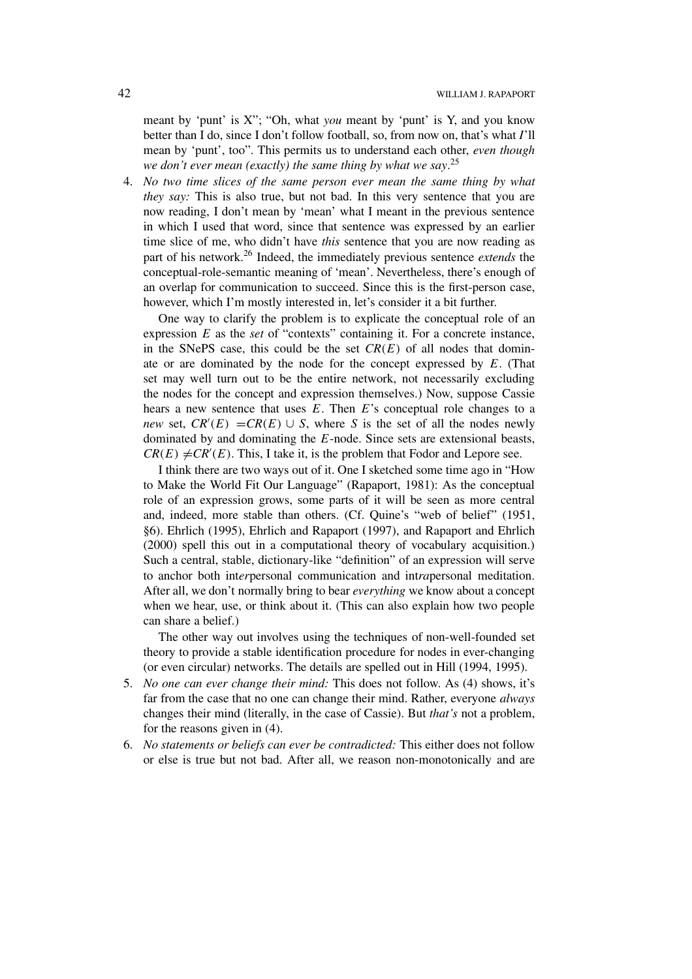meant by 'punt' is X"; "Oh, what *you* meant by 'punt' is Y, and you know better than I do, since I don't follow football, so, from now on, that's what *I*'ll mean by 'punt', too". This permits us to understand each other, *even though we don't ever mean (exactly) the same thing by what we say*. 25

4. *No two time slices of the same person ever mean the same thing by what they say:* This is also true, but not bad. In this very sentence that you are now reading, I don't mean by 'mean' what I meant in the previous sentence in which I used that word, since that sentence was expressed by an earlier time slice of me, who didn't have *this* sentence that you are now reading as part of his network.<sup>26</sup> Indeed, the immediately previous sentence *extends* the conceptual-role-semantic meaning of 'mean'. Nevertheless, there's enough of an overlap for communication to succeed. Since this is the first-person case, however, which I'm mostly interested in, let's consider it a bit further.

One way to clarify the problem is to explicate the conceptual role of an expression *E* as the *set* of "contexts" containing it. For a concrete instance, in the SNePS case, this could be the set  $CR(E)$  of all nodes that dominate or are dominated by the node for the concept expressed by *E*. (That set may well turn out to be the entire network, not necessarily excluding the nodes for the concept and expression themselves.) Now, suppose Cassie hears a new sentence that uses *E*. Then *E*'s conceptual role changes to a *new* set,  $CR'(E) = CR(E) \cup S$ , where *S* is the set of all the nodes newly dominated by and dominating the *E*-node. Since sets are extensional beasts,  $CR(E) \neq CR'(E)$ . This, I take it, is the problem that Fodor and Lepore see.

I think there are two ways out of it. One I sketched some time ago in "How to Make the World Fit Our Language" (Rapaport, 1981): As the conceptual role of an expression grows, some parts of it will be seen as more central and, indeed, more stable than others. (Cf. Quine's "web of belief" (1951, §6). Ehrlich (1995), Ehrlich and Rapaport (1997), and Rapaport and Ehrlich (2000) spell this out in a computational theory of vocabulary acquisition.) Such a central, stable, dictionary-like "definition" of an expression will serve to anchor both int*er*personal communication and int*ra*personal meditation. After all, we don't normally bring to bear *everything* we know about a concept when we hear, use, or think about it. (This can also explain how two people can share a belief.)

The other way out involves using the techniques of non-well-founded set theory to provide a stable identification procedure for nodes in ever-changing (or even circular) networks. The details are spelled out in Hill (1994, 1995).

- 5. *No one can ever change their mind:* This does not follow. As (4) shows, it's far from the case that no one can change their mind. Rather, everyone *always* changes their mind (literally, in the case of Cassie). But *that's* not a problem, for the reasons given in (4).
- 6. *No statements or beliefs can ever be contradicted:* This either does not follow or else is true but not bad. After all, we reason non-monotonically and are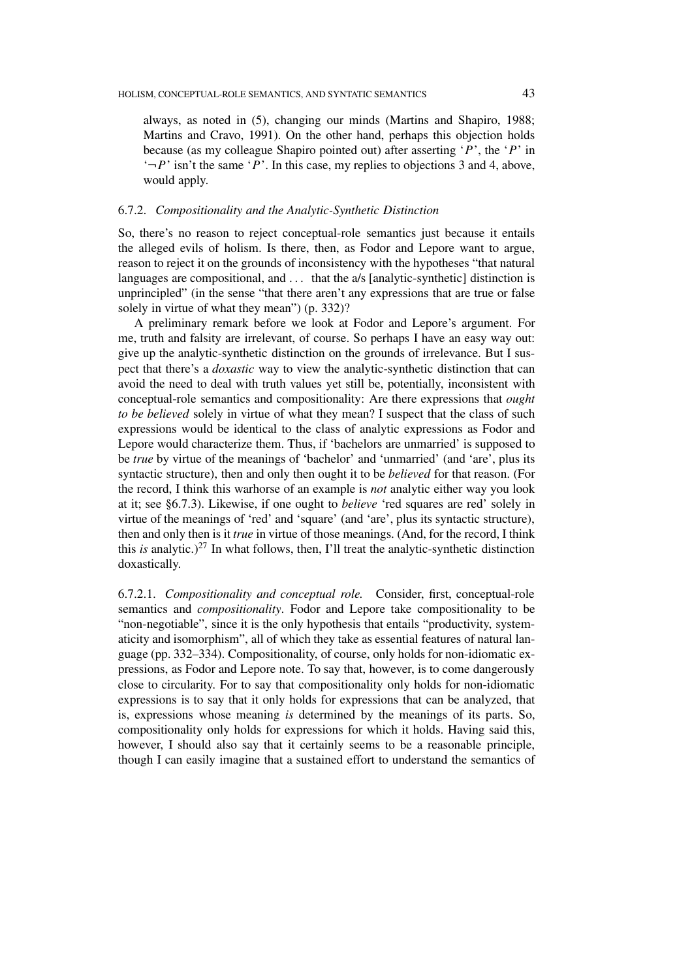always, as noted in (5), changing our minds (Martins and Shapiro, 1988; Martins and Cravo, 1991). On the other hand, perhaps this objection holds because (as my colleague Shapiro pointed out) after asserting '*P*', the '*P*' in  $\rightarrow P'$  isn't the same '*P*'. In this case, my replies to objections 3 and 4, above, would apply.

# 6.7.2. *Compositionality and the Analytic-Synthetic Distinction*

So, there's no reason to reject conceptual-role semantics just because it entails the alleged evils of holism. Is there, then, as Fodor and Lepore want to argue, reason to reject it on the grounds of inconsistency with the hypotheses "that natural languages are compositional, and *...* that the a/s [analytic-synthetic] distinction is unprincipled" (in the sense "that there aren't any expressions that are true or false solely in virtue of what they mean") (p. 332)?

A preliminary remark before we look at Fodor and Lepore's argument. For me, truth and falsity are irrelevant, of course. So perhaps I have an easy way out: give up the analytic-synthetic distinction on the grounds of irrelevance. But I suspect that there's a *doxastic* way to view the analytic-synthetic distinction that can avoid the need to deal with truth values yet still be, potentially, inconsistent with conceptual-role semantics and compositionality: Are there expressions that *ought to be believed* solely in virtue of what they mean? I suspect that the class of such expressions would be identical to the class of analytic expressions as Fodor and Lepore would characterize them. Thus, if 'bachelors are unmarried' is supposed to be *true* by virtue of the meanings of 'bachelor' and 'unmarried' (and 'are', plus its syntactic structure), then and only then ought it to be *believed* for that reason. (For the record, I think this warhorse of an example is *not* analytic either way you look at it; see §6.7.3). Likewise, if one ought to *believe* 'red squares are red' solely in virtue of the meanings of 'red' and 'square' (and 'are', plus its syntactic structure), then and only then is it *true* in virtue of those meanings. (And, for the record, I think this *is* analytic.)<sup>27</sup> In what follows, then, I'll treat the analytic-synthetic distinction doxastically.

6.7.2.1. *Compositionality and conceptual role.* Consider, first, conceptual-role semantics and *compositionality*. Fodor and Lepore take compositionality to be "non-negotiable", since it is the only hypothesis that entails "productivity, systematicity and isomorphism", all of which they take as essential features of natural language (pp. 332–334). Compositionality, of course, only holds for non-idiomatic expressions, as Fodor and Lepore note. To say that, however, is to come dangerously close to circularity. For to say that compositionality only holds for non-idiomatic expressions is to say that it only holds for expressions that can be analyzed, that is, expressions whose meaning *is* determined by the meanings of its parts. So, compositionality only holds for expressions for which it holds. Having said this, however, I should also say that it certainly seems to be a reasonable principle, though I can easily imagine that a sustained effort to understand the semantics of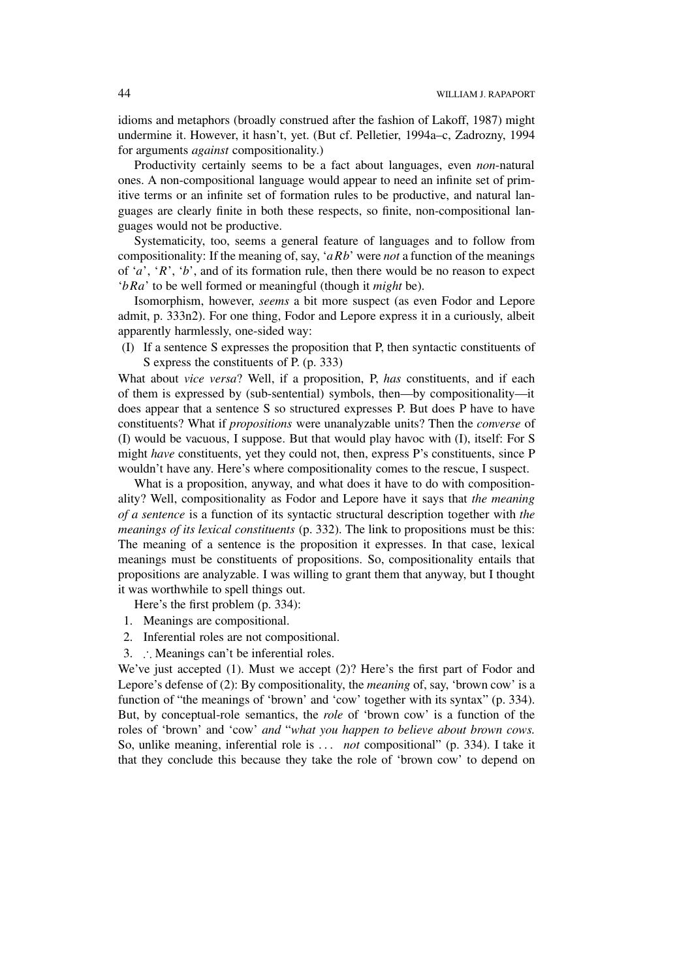idioms and metaphors (broadly construed after the fashion of Lakoff, 1987) might undermine it. However, it hasn't, yet. (But cf. Pelletier, 1994a–c, Zadrozny, 1994 for arguments *against* compositionality.)

Productivity certainly seems to be a fact about languages, even *non*-natural ones. A non-compositional language would appear to need an infinite set of primitive terms or an infinite set of formation rules to be productive, and natural languages are clearly finite in both these respects, so finite, non-compositional languages would not be productive.

Systematicity, too, seems a general feature of languages and to follow from compositionality: If the meaning of, say, '*aRb*' were *not* a function of the meanings of '*a*', '*R*', '*b*', and of its formation rule, then there would be no reason to expect '*bRa*' to be well formed or meaningful (though it *might* be).

Isomorphism, however, *seems* a bit more suspect (as even Fodor and Lepore admit, p. 333n2). For one thing, Fodor and Lepore express it in a curiously, albeit apparently harmlessly, one-sided way:

(I) If a sentence S expresses the proposition that P, then syntactic constituents of S express the constituents of P. (p. 333)

What about *vice versa*? Well, if a proposition, P, *has* constituents, and if each of them is expressed by (sub-sentential) symbols, then—by compositionality—it does appear that a sentence S so structured expresses P. But does P have to have constituents? What if *propositions* were unanalyzable units? Then the *converse* of (I) would be vacuous, I suppose. But that would play havoc with (I), itself: For S might *have* constituents, yet they could not, then, express P's constituents, since P wouldn't have any. Here's where compositionality comes to the rescue, I suspect.

What is a proposition, anyway, and what does it have to do with compositionality? Well, compositionality as Fodor and Lepore have it says that *the meaning of a sentence* is a function of its syntactic structural description together with *the meanings of its lexical constituents* (p. 332). The link to propositions must be this: The meaning of a sentence is the proposition it expresses. In that case, lexical meanings must be constituents of propositions. So, compositionality entails that propositions are analyzable. I was willing to grant them that anyway, but I thought it was worthwhile to spell things out.

Here's the first problem (p. 334):

- 1. Meanings are compositional.
- 2. Inferential roles are not compositional.
- 3. ∴ Meanings can't be inferential roles.

We've just accepted (1). Must we accept (2)? Here's the first part of Fodor and Lepore's defense of (2): By compositionality, the *meaning* of, say, 'brown cow' is a function of "the meanings of 'brown' and 'cow' together with its syntax" (p. 334). But, by conceptual-role semantics, the *role* of 'brown cow' is a function of the roles of 'brown' and 'cow' *and* "*what you happen to believe about brown cows.* So, unlike meaning, inferential role is *... not* compositional" (p. 334). I take it that they conclude this because they take the role of 'brown cow' to depend on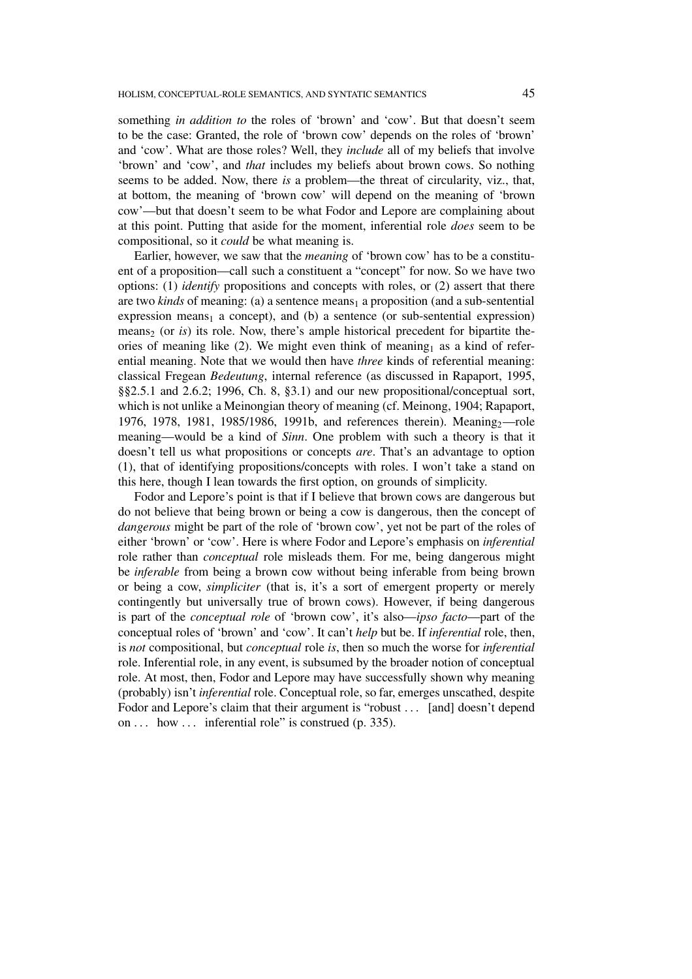something *in addition to* the roles of 'brown' and 'cow'. But that doesn't seem to be the case: Granted, the role of 'brown cow' depends on the roles of 'brown' and 'cow'. What are those roles? Well, they *include* all of my beliefs that involve 'brown' and 'cow', and *that* includes my beliefs about brown cows. So nothing seems to be added. Now, there *is* a problem—the threat of circularity, viz., that, at bottom, the meaning of 'brown cow' will depend on the meaning of 'brown cow'—but that doesn't seem to be what Fodor and Lepore are complaining about at this point. Putting that aside for the moment, inferential role *does* seem to be compositional, so it *could* be what meaning is.

Earlier, however, we saw that the *meaning* of 'brown cow' has to be a constituent of a proposition—call such a constituent a "concept" for now. So we have two options: (1) *identify* propositions and concepts with roles, or (2) assert that there are two *kinds* of meaning: (a) a sentence means<sub>1</sub> a proposition (and a sub-sentential expression means<sub>1</sub> a concept), and (b) a sentence (or sub-sentential expression) means<sub>2</sub> (or *is*) its role. Now, there's ample historical precedent for bipartite theories of meaning like (2). We might even think of meaning<sub>1</sub> as a kind of referential meaning. Note that we would then have *three* kinds of referential meaning: classical Fregean *Bedeutung*, internal reference (as discussed in Rapaport, 1995, §§2.5.1 and 2.6.2; 1996, Ch. 8, §3.1) and our new propositional/conceptual sort, which is not unlike a Meinongian theory of meaning (cf. Meinong, 1904; Rapaport, 1976, 1978, 1981, 1985/1986, 1991b, and references therein). Meaning $2$ -role meaning—would be a kind of *Sinn*. One problem with such a theory is that it doesn't tell us what propositions or concepts *are*. That's an advantage to option (1), that of identifying propositions/concepts with roles. I won't take a stand on this here, though I lean towards the first option, on grounds of simplicity.

Fodor and Lepore's point is that if I believe that brown cows are dangerous but do not believe that being brown or being a cow is dangerous, then the concept of *dangerous* might be part of the role of 'brown cow', yet not be part of the roles of either 'brown' or 'cow'. Here is where Fodor and Lepore's emphasis on *inferential* role rather than *conceptual* role misleads them. For me, being dangerous might be *inferable* from being a brown cow without being inferable from being brown or being a cow, *simpliciter* (that is, it's a sort of emergent property or merely contingently but universally true of brown cows). However, if being dangerous is part of the *conceptual role* of 'brown cow', it's also—*ipso facto*—part of the conceptual roles of 'brown' and 'cow'. It can't *help* but be. If *inferential* role, then, is *not* compositional, but *conceptual* role *is*, then so much the worse for *inferential* role. Inferential role, in any event, is subsumed by the broader notion of conceptual role. At most, then, Fodor and Lepore may have successfully shown why meaning (probably) isn't *inferential* role. Conceptual role, so far, emerges unscathed, despite Fodor and Lepore's claim that their argument is "robust *...* [and] doesn't depend on *...* how *...* inferential role" is construed (p. 335).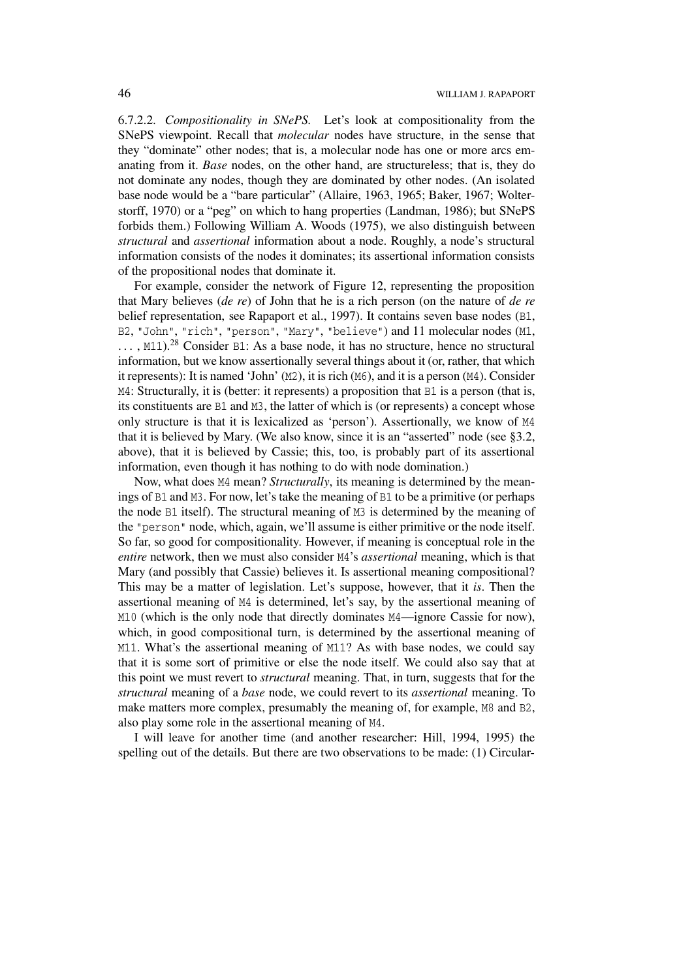6.7.2.2. *Compositionality in SNePS.* Let's look at compositionality from the SNePS viewpoint. Recall that *molecular* nodes have structure, in the sense that they "dominate" other nodes; that is, a molecular node has one or more arcs emanating from it. *Base* nodes, on the other hand, are structureless; that is, they do not dominate any nodes, though they are dominated by other nodes. (An isolated base node would be a "bare particular" (Allaire, 1963, 1965; Baker, 1967; Wolterstorff, 1970) or a "peg" on which to hang properties (Landman, 1986); but SNePS forbids them.) Following William A. Woods (1975), we also distinguish between *structural* and *assertional* information about a node. Roughly, a node's structural information consists of the nodes it dominates; its assertional information consists of the propositional nodes that dominate it.

For example, consider the network of Figure 12, representing the proposition that Mary believes (*de re*) of John that he is a rich person (on the nature of *de re* belief representation, see Rapaport et al., 1997). It contains seven base nodes (B1, B2, "John", "rich", "person", "Mary", "believe") and 11 molecular nodes (M1, *...* , M11).<sup>28</sup> Consider B1: As a base node, it has no structure, hence no structural information, but we know assertionally several things about it (or, rather, that which it represents): It is named 'John' (M2), it is rich (M6), and it is a person (M4). Consider M4: Structurally, it is (better: it represents) a proposition that B1 is a person (that is, its constituents are B1 and M3, the latter of which is (or represents) a concept whose only structure is that it is lexicalized as 'person'). Assertionally, we know of M4 that it is believed by Mary. (We also know, since it is an "asserted" node (see §3.2, above), that it is believed by Cassie; this, too, is probably part of its assertional information, even though it has nothing to do with node domination.)

Now, what does M4 mean? *Structurally*, its meaning is determined by the meanings of B1 and M3. For now, let's take the meaning of B1 to be a primitive (or perhaps the node B1 itself). The structural meaning of M3 is determined by the meaning of the "person" node, which, again, we'll assume is either primitive or the node itself. So far, so good for compositionality. However, if meaning is conceptual role in the *entire* network, then we must also consider M4's *assertional* meaning, which is that Mary (and possibly that Cassie) believes it. Is assertional meaning compositional? This may be a matter of legislation. Let's suppose, however, that it *is*. Then the assertional meaning of M4 is determined, let's say, by the assertional meaning of M10 (which is the only node that directly dominates M4—ignore Cassie for now), which, in good compositional turn, is determined by the assertional meaning of M11. What's the assertional meaning of M11? As with base nodes, we could say that it is some sort of primitive or else the node itself. We could also say that at this point we must revert to *structural* meaning. That, in turn, suggests that for the *structural* meaning of a *base* node, we could revert to its *assertional* meaning. To make matters more complex, presumably the meaning of, for example, M8 and B2, also play some role in the assertional meaning of M4.

I will leave for another time (and another researcher: Hill, 1994, 1995) the spelling out of the details. But there are two observations to be made: (1) Circular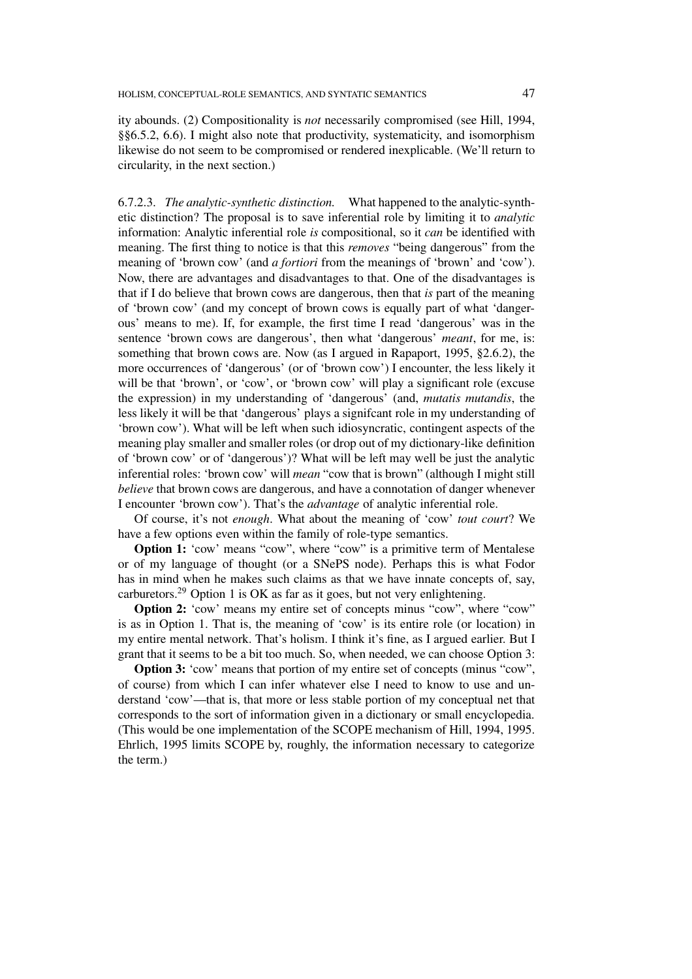ity abounds. (2) Compositionality is *not* necessarily compromised (see Hill, 1994, §§6.5.2, 6.6). I might also note that productivity, systematicity, and isomorphism likewise do not seem to be compromised or rendered inexplicable. (We'll return to circularity, in the next section.)

6.7.2.3. *The analytic-synthetic distinction.* What happened to the analytic-synthetic distinction? The proposal is to save inferential role by limiting it to *analytic* information: Analytic inferential role *is* compositional, so it *can* be identified with meaning. The first thing to notice is that this *removes* "being dangerous" from the meaning of 'brown cow' (and *a fortiori* from the meanings of 'brown' and 'cow'). Now, there are advantages and disadvantages to that. One of the disadvantages is that if I do believe that brown cows are dangerous, then that *is* part of the meaning of 'brown cow' (and my concept of brown cows is equally part of what 'dangerous' means to me). If, for example, the first time I read 'dangerous' was in the sentence 'brown cows are dangerous', then what 'dangerous' *meant*, for me, is: something that brown cows are. Now (as I argued in Rapaport, 1995, §2.6.2), the more occurrences of 'dangerous' (or of 'brown cow') I encounter, the less likely it will be that 'brown', or 'cow', or 'brown cow' will play a significant role (excuse the expression) in my understanding of 'dangerous' (and, *mutatis mutandis*, the less likely it will be that 'dangerous' plays a signifcant role in my understanding of 'brown cow'). What will be left when such idiosyncratic, contingent aspects of the meaning play smaller and smaller roles (or drop out of my dictionary-like definition of 'brown cow' or of 'dangerous')? What will be left may well be just the analytic inferential roles: 'brown cow' will *mean* "cow that is brown" (although I might still *believe* that brown cows are dangerous, and have a connotation of danger whenever I encounter 'brown cow'). That's the *advantage* of analytic inferential role.

Of course, it's not *enough*. What about the meaning of 'cow' *tout court*? We have a few options even within the family of role-type semantics.

**Option 1:** 'cow' means "cow", where "cow" is a primitive term of Mentalese or of my language of thought (or a SNePS node). Perhaps this is what Fodor has in mind when he makes such claims as that we have innate concepts of, say, carburetors.<sup>29</sup> Option 1 is OK as far as it goes, but not very enlightening.

**Option 2:** 'cow' means my entire set of concepts minus "cow", where "cow" is as in Option 1. That is, the meaning of 'cow' is its entire role (or location) in my entire mental network. That's holism. I think it's fine, as I argued earlier. But I grant that it seems to be a bit too much. So, when needed, we can choose Option 3:

**Option 3:** 'cow' means that portion of my entire set of concepts (minus "cow", of course) from which I can infer whatever else I need to know to use and understand 'cow'—that is, that more or less stable portion of my conceptual net that corresponds to the sort of information given in a dictionary or small encyclopedia. (This would be one implementation of the SCOPE mechanism of Hill, 1994, 1995. Ehrlich, 1995 limits SCOPE by, roughly, the information necessary to categorize the term.)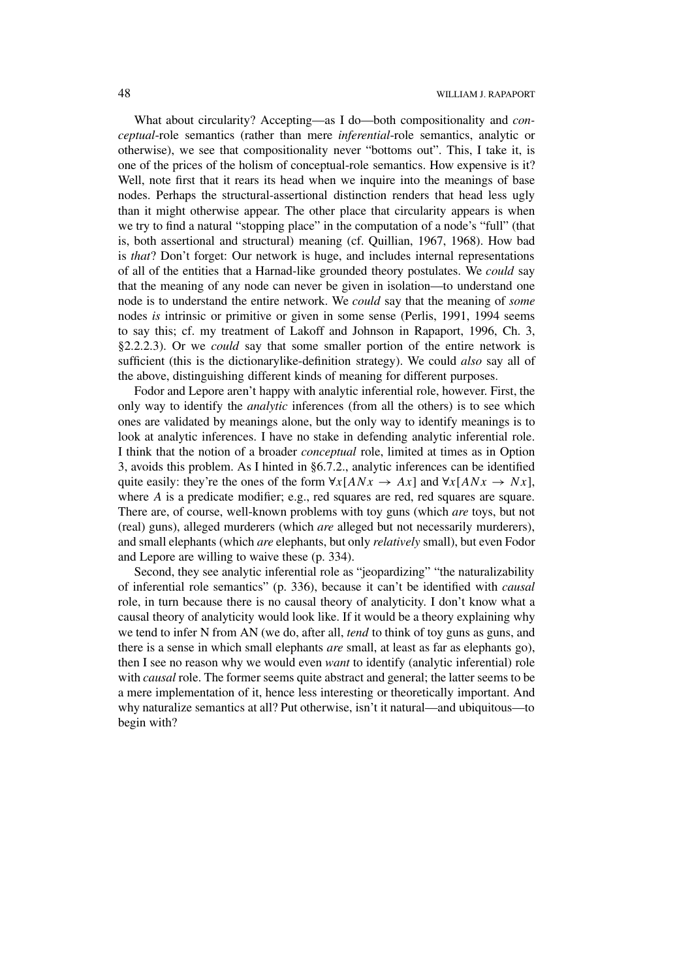What about circularity? Accepting—as I do—both compositionality and *conceptual*-role semantics (rather than mere *inferential*-role semantics, analytic or otherwise), we see that compositionality never "bottoms out". This, I take it, is one of the prices of the holism of conceptual-role semantics. How expensive is it? Well, note first that it rears its head when we inquire into the meanings of base nodes. Perhaps the structural-assertional distinction renders that head less ugly than it might otherwise appear. The other place that circularity appears is when we try to find a natural "stopping place" in the computation of a node's "full" (that is, both assertional and structural) meaning (cf. Quillian, 1967, 1968). How bad is *that*? Don't forget: Our network is huge, and includes internal representations of all of the entities that a Harnad-like grounded theory postulates. We *could* say that the meaning of any node can never be given in isolation—to understand one node is to understand the entire network. We *could* say that the meaning of *some* nodes *is* intrinsic or primitive or given in some sense (Perlis, 1991, 1994 seems to say this; cf. my treatment of Lakoff and Johnson in Rapaport, 1996, Ch. 3, §2.2.2.3). Or we *could* say that some smaller portion of the entire network is sufficient (this is the dictionarylike-definition strategy). We could *also* say all of the above, distinguishing different kinds of meaning for different purposes.

Fodor and Lepore aren't happy with analytic inferential role, however. First, the only way to identify the *analytic* inferences (from all the others) is to see which ones are validated by meanings alone, but the only way to identify meanings is to look at analytic inferences. I have no stake in defending analytic inferential role. I think that the notion of a broader *conceptual* role, limited at times as in Option 3, avoids this problem. As I hinted in §6.7.2., analytic inferences can be identified quite easily: they're the ones of the form  $\forall x[ANx \rightarrow Ax]$  and  $\forall x[ANx \rightarrow Nx]$ , where *A* is a predicate modifier; e.g., red squares are red, red squares are square. There are, of course, well-known problems with toy guns (which *are* toys, but not (real) guns), alleged murderers (which *are* alleged but not necessarily murderers), and small elephants (which *are* elephants, but only *relatively* small), but even Fodor and Lepore are willing to waive these (p. 334).

Second, they see analytic inferential role as "jeopardizing" "the naturalizability of inferential role semantics" (p. 336), because it can't be identified with *causal* role, in turn because there is no causal theory of analyticity. I don't know what a causal theory of analyticity would look like. If it would be a theory explaining why we tend to infer N from AN (we do, after all, *tend* to think of toy guns as guns, and there is a sense in which small elephants *are* small, at least as far as elephants go), then I see no reason why we would even *want* to identify (analytic inferential) role with *causal* role. The former seems quite abstract and general; the latter seems to be a mere implementation of it, hence less interesting or theoretically important. And why naturalize semantics at all? Put otherwise, isn't it natural—and ubiquitous—to begin with?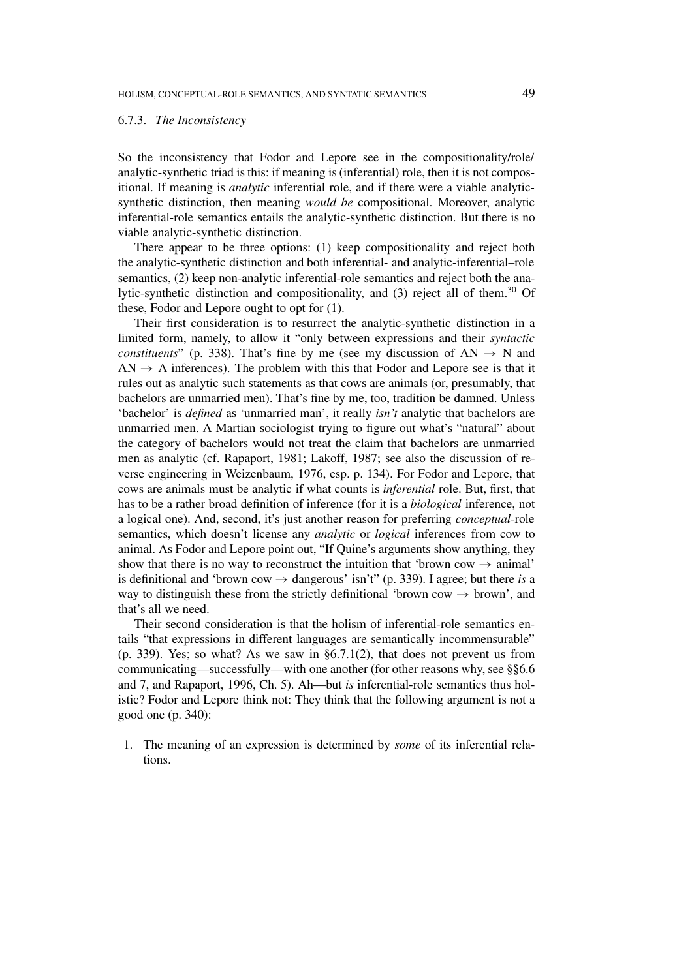# 6.7.3. *The Inconsistency*

So the inconsistency that Fodor and Lepore see in the compositionality/role/ analytic-synthetic triad is this: if meaning is (inferential) role, then it is not compositional. If meaning is *analytic* inferential role, and if there were a viable analyticsynthetic distinction, then meaning *would be* compositional. Moreover, analytic inferential-role semantics entails the analytic-synthetic distinction. But there is no viable analytic-synthetic distinction.

There appear to be three options: (1) keep compositionality and reject both the analytic-synthetic distinction and both inferential- and analytic-inferential–role semantics, (2) keep non-analytic inferential-role semantics and reject both the analytic-synthetic distinction and compositionality, and (3) reject all of them.<sup>30</sup> Of these, Fodor and Lepore ought to opt for (1).

Their first consideration is to resurrect the analytic-synthetic distinction in a limited form, namely, to allow it "only between expressions and their *syntactic constituents*" (p. 338). That's fine by me (see my discussion of  $AN \rightarrow N$  and  $AN \rightarrow A$  inferences). The problem with this that Fodor and Lepore see is that it rules out as analytic such statements as that cows are animals (or, presumably, that bachelors are unmarried men). That's fine by me, too, tradition be damned. Unless 'bachelor' is *defined* as 'unmarried man', it really *isn't* analytic that bachelors are unmarried men. A Martian sociologist trying to figure out what's "natural" about the category of bachelors would not treat the claim that bachelors are unmarried men as analytic (cf. Rapaport, 1981; Lakoff, 1987; see also the discussion of reverse engineering in Weizenbaum, 1976, esp. p. 134). For Fodor and Lepore, that cows are animals must be analytic if what counts is *inferential* role. But, first, that has to be a rather broad definition of inference (for it is a *biological* inference, not a logical one). And, second, it's just another reason for preferring *conceptual*-role semantics, which doesn't license any *analytic* or *logical* inferences from cow to animal. As Fodor and Lepore point out, "If Quine's arguments show anything, they show that there is no way to reconstruct the intuition that 'brown cow  $\rightarrow$  animal' is definitional and 'brown cow  $\rightarrow$  dangerous' isn't" (p. 339). I agree; but there *is* a way to distinguish these from the strictly definitional 'brown cow  $\rightarrow$  brown', and that's all we need.

Their second consideration is that the holism of inferential-role semantics entails "that expressions in different languages are semantically incommensurable" (p. 339). Yes; so what? As we saw in §6.7.1(2), that does not prevent us from communicating—successfully—with one another (for other reasons why, see §§6.6 and 7, and Rapaport, 1996, Ch. 5). Ah—but *is* inferential-role semantics thus holistic? Fodor and Lepore think not: They think that the following argument is not a good one (p. 340):

1. The meaning of an expression is determined by *some* of its inferential relations.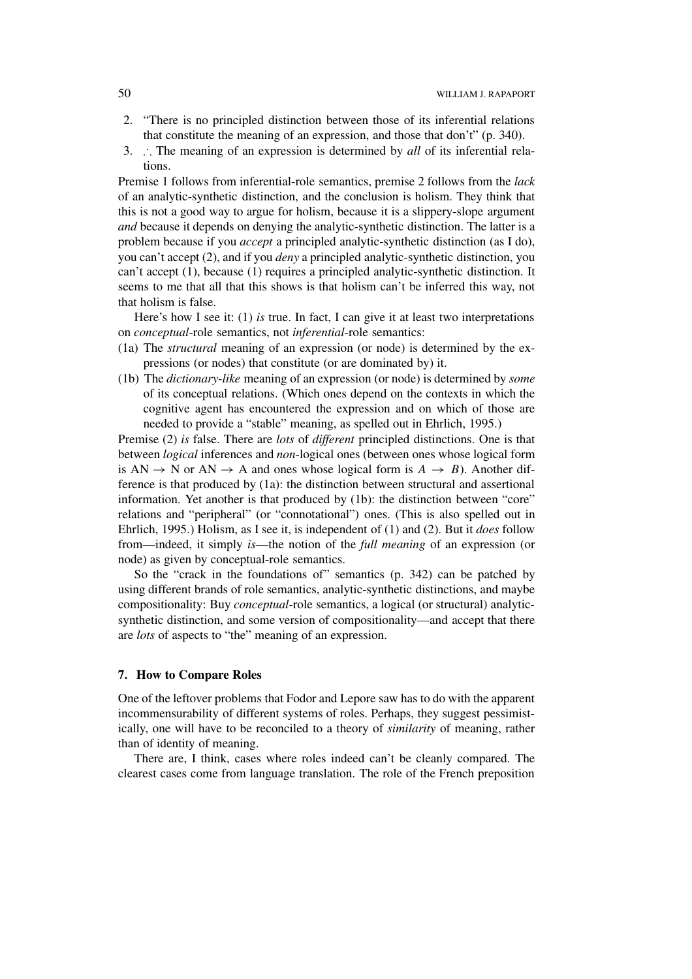- 2. "There is no principled distinction between those of its inferential relations that constitute the meaning of an expression, and those that don't" (p. 340).
- 3. ∴ The meaning of an expression is determined by *all* of its inferential relations.

Premise 1 follows from inferential-role semantics, premise 2 follows from the *lack* of an analytic-synthetic distinction, and the conclusion is holism. They think that this is not a good way to argue for holism, because it is a slippery-slope argument *and* because it depends on denying the analytic-synthetic distinction. The latter is a problem because if you *accept* a principled analytic-synthetic distinction (as I do), you can't accept (2), and if you *deny* a principled analytic-synthetic distinction, you can't accept (1), because (1) requires a principled analytic-synthetic distinction. It seems to me that all that this shows is that holism can't be inferred this way, not that holism is false.

Here's how I see it: (1) *is* true. In fact, I can give it at least two interpretations on *conceptual*-role semantics, not *inferential*-role semantics:

- (1a) The *structural* meaning of an expression (or node) is determined by the expressions (or nodes) that constitute (or are dominated by) it.
- (1b) The *dictionary-like* meaning of an expression (or node) is determined by *some* of its conceptual relations. (Which ones depend on the contexts in which the cognitive agent has encountered the expression and on which of those are needed to provide a "stable" meaning, as spelled out in Ehrlich, 1995.)

Premise (2) *is* false. There are *lots* of *different* principled distinctions. One is that between *logical* inferences and *non*-logical ones (between ones whose logical form is AN  $\rightarrow$  N or AN  $\rightarrow$  A and ones whose logical form is  $A \rightarrow B$ ). Another difference is that produced by (1a): the distinction between structural and assertional information. Yet another is that produced by (1b): the distinction between "core" relations and "peripheral" (or "connotational") ones. (This is also spelled out in Ehrlich, 1995.) Holism, as I see it, is independent of (1) and (2). But it *does* follow from—indeed, it simply *is*—the notion of the *full meaning* of an expression (or node) as given by conceptual-role semantics.

So the "crack in the foundations of" semantics (p. 342) can be patched by using different brands of role semantics, analytic-synthetic distinctions, and maybe compositionality: Buy *conceptual*-role semantics, a logical (or structural) analyticsynthetic distinction, and some version of compositionality—and accept that there are *lots* of aspects to "the" meaning of an expression.

# **7. How to Compare Roles**

One of the leftover problems that Fodor and Lepore saw has to do with the apparent incommensurability of different systems of roles. Perhaps, they suggest pessimistically, one will have to be reconciled to a theory of *similarity* of meaning, rather than of identity of meaning.

There are, I think, cases where roles indeed can't be cleanly compared. The clearest cases come from language translation. The role of the French preposition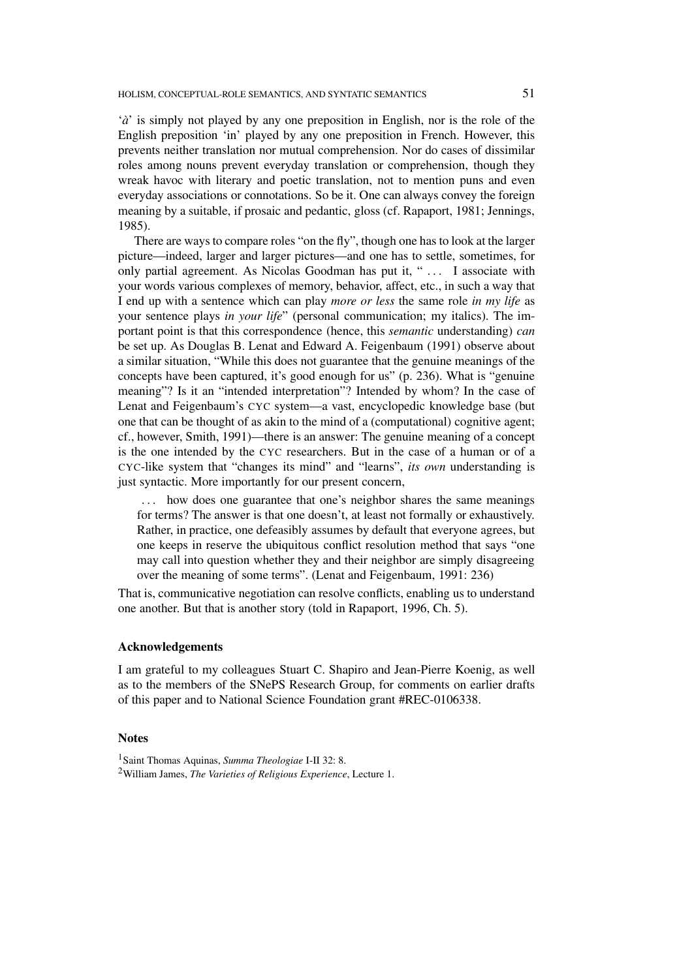'*à*' is simply not played by any one preposition in English, nor is the role of the English preposition 'in' played by any one preposition in French. However, this prevents neither translation nor mutual comprehension. Nor do cases of dissimilar roles among nouns prevent everyday translation or comprehension, though they wreak havoc with literary and poetic translation, not to mention puns and even everyday associations or connotations. So be it. One can always convey the foreign meaning by a suitable, if prosaic and pedantic, gloss (cf. Rapaport, 1981; Jennings, 1985).

There are ways to compare roles "on the fly", though one has to look at the larger picture—indeed, larger and larger pictures—and one has to settle, sometimes, for only partial agreement. As Nicolas Goodman has put it, " *...* I associate with your words various complexes of memory, behavior, affect, etc., in such a way that I end up with a sentence which can play *more or less* the same role *in my life* as your sentence plays *in your life*" (personal communication; my italics). The important point is that this correspondence (hence, this *semantic* understanding) *can* be set up. As Douglas B. Lenat and Edward A. Feigenbaum (1991) observe about a similar situation, "While this does not guarantee that the genuine meanings of the concepts have been captured, it's good enough for us" (p. 236). What is "genuine meaning"? Is it an "intended interpretation"? Intended by whom? In the case of Lenat and Feigenbaum's CYC system—a vast, encyclopedic knowledge base (but one that can be thought of as akin to the mind of a (computational) cognitive agent; cf., however, Smith, 1991)—there is an answer: The genuine meaning of a concept is the one intended by the CYC researchers. But in the case of a human or of a CYC-like system that "changes its mind" and "learns", *its own* understanding is just syntactic. More importantly for our present concern,

*...* how does one guarantee that one's neighbor shares the same meanings for terms? The answer is that one doesn't, at least not formally or exhaustively. Rather, in practice, one defeasibly assumes by default that everyone agrees, but one keeps in reserve the ubiquitous conflict resolution method that says "one may call into question whether they and their neighbor are simply disagreeing over the meaning of some terms". (Lenat and Feigenbaum, 1991: 236)

That is, communicative negotiation can resolve conflicts, enabling us to understand one another. But that is another story (told in Rapaport, 1996, Ch. 5).

# **Acknowledgements**

I am grateful to my colleagues Stuart C. Shapiro and Jean-Pierre Koenig, as well as to the members of the SNePS Research Group, for comments on earlier drafts of this paper and to National Science Foundation grant #REC-0106338.

# **Notes**

<sup>1</sup>Saint Thomas Aquinas, *Summa Theologiae* I-II 32: 8. 2William James, *The Varieties of Religious Experience*, Lecture 1.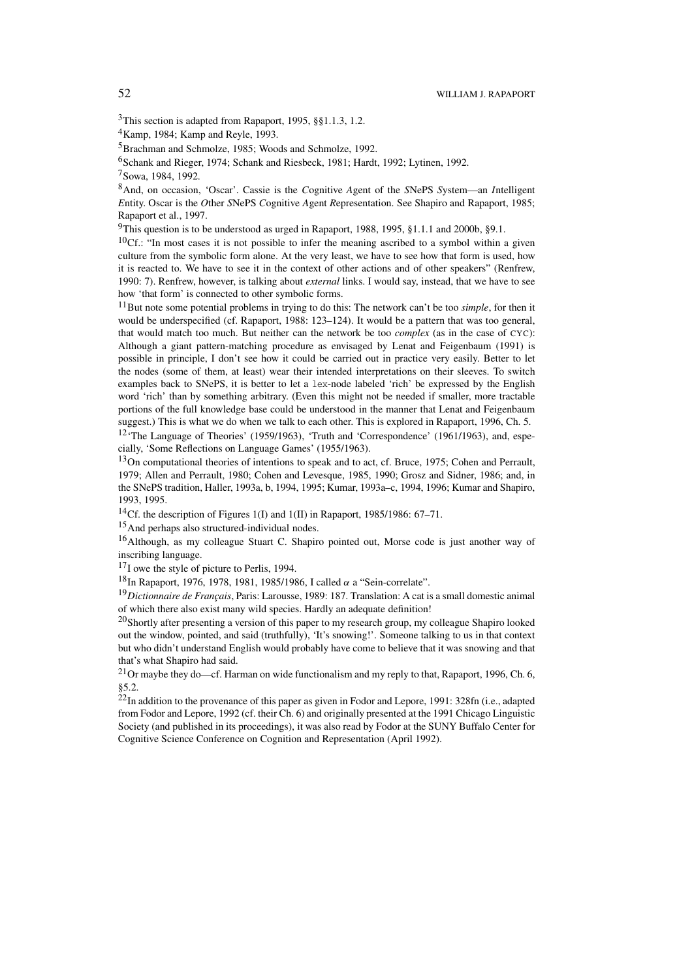3This section is adapted from Rapaport, 1995, §§1.1.3, 1.2.

4Kamp, 1984; Kamp and Reyle, 1993.

5Brachman and Schmolze, 1985; Woods and Schmolze, 1992.

<sup>6</sup>Schank and Rieger, 1974; Schank and Riesbeck, 1981; Hardt, 1992; Lytinen, 1992. 7Sowa, 1984, 1992.

8And, on occasion, 'Oscar'. Cassie is the *C*ognitive *A*gent of the *S*NePS *S*ystem—an *I*ntelligent *E*ntity. Oscar is the *O*ther *S*NePS *C*ognitive *A*gent *R*epresentation. See Shapiro and Rapaport, 1985; Rapaport et al., 1997.

<sup>9</sup>This question is to be understood as urged in Rapaport, 1988, 1995, §1.1.1 and 2000b, §9.1.

 ${}^{10}$ Cf.: "In most cases it is not possible to infer the meaning ascribed to a symbol within a given culture from the symbolic form alone. At the very least, we have to see how that form is used, how it is reacted to. We have to see it in the context of other actions and of other speakers" (Renfrew, 1990: 7). Renfrew, however, is talking about *external* links. I would say, instead, that we have to see how 'that form' is connected to other symbolic forms.

11But note some potential problems in trying to do this: The network can't be too *simple*, for then it would be underspecified (cf. Rapaport, 1988: 123–124). It would be a pattern that was too general, that would match too much. But neither can the network be too *complex* (as in the case of CYC): Although a giant pattern-matching procedure as envisaged by Lenat and Feigenbaum (1991) is possible in principle, I don't see how it could be carried out in practice very easily. Better to let the nodes (some of them, at least) wear their intended interpretations on their sleeves. To switch examples back to SNePS, it is better to let a lex-node labeled 'rich' be expressed by the English word 'rich' than by something arbitrary. (Even this might not be needed if smaller, more tractable portions of the full knowledge base could be understood in the manner that Lenat and Feigenbaum suggest.) This is what we do when we talk to each other. This is explored in Rapaport, 1996, Ch. 5. <sup>12</sup> The Language of Theories' (1959/1963), 'Truth and 'Correspondence' (1961/1963), and, espe-

cially, 'Some Reflections on Language Games' (1955/1963).

<sup>13</sup>On computational theories of intentions to speak and to act, cf. Bruce, 1975; Cohen and Perrault, 1979; Allen and Perrault, 1980; Cohen and Levesque, 1985, 1990; Grosz and Sidner, 1986; and, in the SNePS tradition, Haller, 1993a, b, 1994, 1995; Kumar, 1993a–c, 1994, 1996; Kumar and Shapiro, 1993, 1995.

<sup>14</sup>Cf. the description of Figures 1(I) and 1(II) in Rapaport, 1985/1986: 67–71.

15And perhaps also structured-individual nodes.

16Although, as my colleague Stuart C. Shapiro pointed out, Morse code is just another way of inscribing language.

<sup>17</sup>I owe the style of picture to Perlis, 1994.

18In Rapaport, 1976, 1978, 1981, 1985/1986, I called *α* a "Sein-correlate".

<sup>19</sup>*Dictionnaire de Français*, Paris: Larousse, 1989: 187. Translation: A cat is a small domestic animal of which there also exist many wild species. Hardly an adequate definition!

<sup>20</sup>Shortly after presenting a version of this paper to my research group, my colleague Shapiro looked out the window, pointed, and said (truthfully), 'It's snowing!'. Someone talking to us in that context but who didn't understand English would probably have come to believe that it was snowing and that that's what Shapiro had said.

21Or maybe they do—cf. Harman on wide functionalism and my reply to that, Rapaport, 1996, Ch. 6, §5.2.

 $22$ In addition to the provenance of this paper as given in Fodor and Lepore, 1991: 328fn (i.e., adapted from Fodor and Lepore, 1992 (cf. their Ch. 6) and originally presented at the 1991 Chicago Linguistic Society (and published in its proceedings), it was also read by Fodor at the SUNY Buffalo Center for Cognitive Science Conference on Cognition and Representation (April 1992).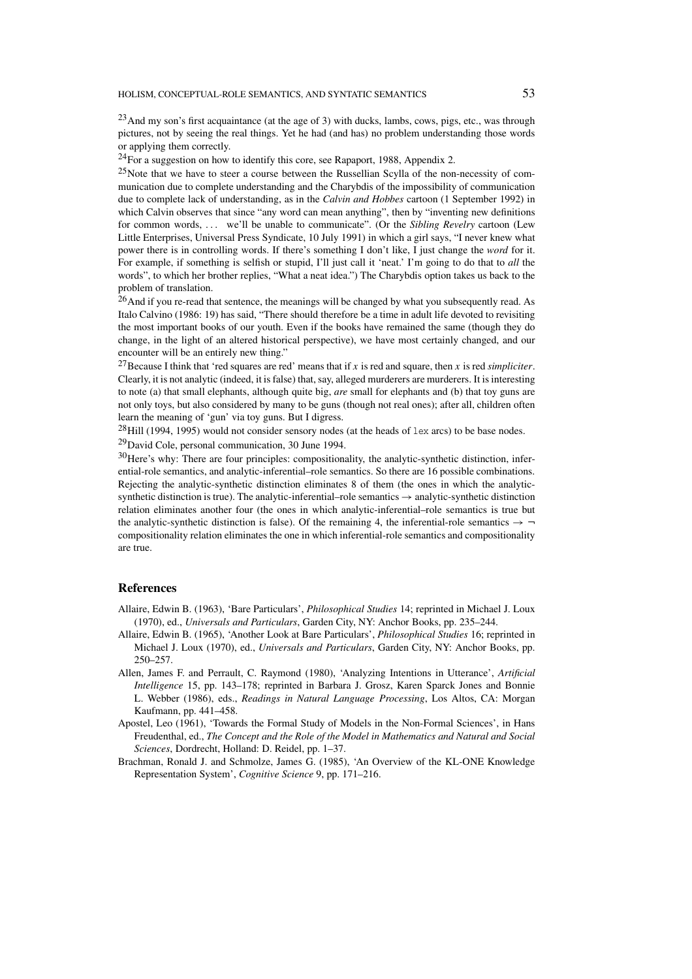#### HOLISM, CONCEPTUAL-ROLE SEMANTICS, AND SYNTATIC SEMANTICS 53

 $^{23}$ And my son's first acquaintance (at the age of 3) with ducks, lambs, cows, pigs, etc., was through pictures, not by seeing the real things. Yet he had (and has) no problem understanding those words or applying them correctly.

 $24$ For a suggestion on how to identify this core, see Rapaport, 1988, Appendix 2.

<sup>25</sup>Note that we have to steer a course between the Russellian Scylla of the non-necessity of communication due to complete understanding and the Charybdis of the impossibility of communication due to complete lack of understanding, as in the *Calvin and Hobbes* cartoon (1 September 1992) in which Calvin observes that since "any word can mean anything", then by "inventing new definitions for common words, *...* we'll be unable to communicate". (Or the *Sibling Revelry* cartoon (Lew Little Enterprises, Universal Press Syndicate, 10 July 1991) in which a girl says, "I never knew what power there is in controlling words. If there's something I don't like, I just change the *word* for it. For example, if something is selfish or stupid, I'll just call it 'neat.' I'm going to do that to *all* the words", to which her brother replies, "What a neat idea.") The Charybdis option takes us back to the problem of translation.

<sup>26</sup>And if you re-read that sentence, the meanings will be changed by what you subsequently read. As Italo Calvino (1986: 19) has said, "There should therefore be a time in adult life devoted to revisiting the most important books of our youth. Even if the books have remained the same (though they do change, in the light of an altered historical perspective), we have most certainly changed, and our encounter will be an entirely new thing."

27Because I think that 'red squares are red' means that if *x* is red and square, then *x* is red *simpliciter*. Clearly, it is not analytic (indeed, it is false) that, say, alleged murderers are murderers. It is interesting to note (a) that small elephants, although quite big, *are* small for elephants and (b) that toy guns are not only toys, but also considered by many to be guns (though not real ones); after all, children often learn the meaning of 'gun' via toy guns. But I digress.

 $^{28}$ Hill (1994, 1995) would not consider sensory nodes (at the heads of lex arcs) to be base nodes. 29David Cole, personal communication, 30 June 1994.

 $30$  Here's why: There are four principles: compositionality, the analytic-synthetic distinction, inferential-role semantics, and analytic-inferential–role semantics. So there are 16 possible combinations. Rejecting the analytic-synthetic distinction eliminates 8 of them (the ones in which the analyticsynthetic distinction is true). The analytic-inferential–role semantics → analytic-synthetic distinction relation eliminates another four (the ones in which analytic-inferential–role semantics is true but the analytic-synthetic distinction is false). Of the remaining 4, the inferential-role semantics  $\rightarrow$ compositionality relation eliminates the one in which inferential-role semantics and compositionality are true.

#### **References**

- Allaire, Edwin B. (1963), 'Bare Particulars', *Philosophical Studies* 14; reprinted in Michael J. Loux (1970), ed., *Universals and Particulars*, Garden City, NY: Anchor Books, pp. 235–244.
- Allaire, Edwin B. (1965), 'Another Look at Bare Particulars', *Philosophical Studies* 16; reprinted in Michael J. Loux (1970), ed., *Universals and Particulars*, Garden City, NY: Anchor Books, pp. 250–257.
- Allen, James F. and Perrault, C. Raymond (1980), 'Analyzing Intentions in Utterance', *Artificial Intelligence* 15, pp. 143–178; reprinted in Barbara J. Grosz, Karen Sparck Jones and Bonnie L. Webber (1986), eds., *Readings in Natural Language Processing*, Los Altos, CA: Morgan Kaufmann, pp. 441–458.
- Apostel, Leo (1961), 'Towards the Formal Study of Models in the Non-Formal Sciences', in Hans Freudenthal, ed., *The Concept and the Role of the Model in Mathematics and Natural and Social Sciences*, Dordrecht, Holland: D. Reidel, pp. 1–37.
- Brachman, Ronald J. and Schmolze, James G. (1985), 'An Overview of the KL-ONE Knowledge Representation System', *Cognitive Science* 9, pp. 171–216.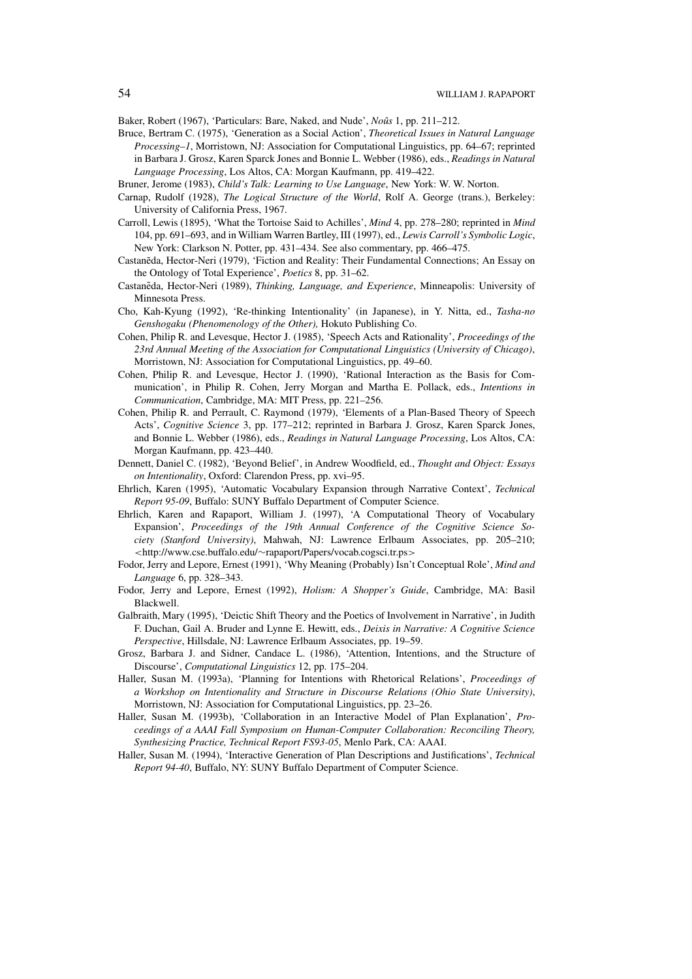Baker, Robert (1967), 'Particulars: Bare, Naked, and Nude', *Noûs* 1, pp. 211–212.

- Bruce, Bertram C. (1975), 'Generation as a Social Action', *Theoretical Issues in Natural Language Processing–1*, Morristown, NJ: Association for Computational Linguistics, pp. 64–67; reprinted in Barbara J. Grosz, Karen Sparck Jones and Bonnie L. Webber (1986), eds., *Readings in Natural Language Processing*, Los Altos, CA: Morgan Kaufmann, pp. 419–422.
- Bruner, Jerome (1983), *Child's Talk: Learning to Use Language*, New York: W. W. Norton.
- Carnap, Rudolf (1928), *The Logical Structure of the World*, Rolf A. George (trans.), Berkeley: University of California Press, 1967.
- Carroll, Lewis (1895), 'What the Tortoise Said to Achilles', *Mind* 4, pp. 278–280; reprinted in *Mind* 104, pp. 691–693, and in William Warren Bartley, III (1997), ed., *Lewis Carroll's Symbolic Logic*, New York: Clarkson N. Potter, pp. 431–434. See also commentary, pp. 466–475.
- Castaneda, Hector-Neri (1979), 'Fiction and Reality: Their Fundamental Connections; An Essay on the Ontology of Total Experience', *Poetics* 8, pp. 31–62.
- Castaneda, Hector-Neri (1989), Thinking, Language, and Experience, Minneapolis: University of Minnesota Press.
- Cho, Kah-Kyung (1992), 'Re-thinking Intentionality' (in Japanese), in Y. Nitta, ed., *Tasha-no Genshogaku (Phenomenology of the Other),* Hokuto Publishing Co.
- Cohen, Philip R. and Levesque, Hector J. (1985), 'Speech Acts and Rationality', *Proceedings of the 23rd Annual Meeting of the Association for Computational Linguistics (University of Chicago)*, Morristown, NJ: Association for Computational Linguistics, pp. 49–60.
- Cohen, Philip R. and Levesque, Hector J. (1990), 'Rational Interaction as the Basis for Communication', in Philip R. Cohen, Jerry Morgan and Martha E. Pollack, eds., *Intentions in Communication*, Cambridge, MA: MIT Press, pp. 221–256.
- Cohen, Philip R. and Perrault, C. Raymond (1979), 'Elements of a Plan-Based Theory of Speech Acts', *Cognitive Science* 3, pp. 177–212; reprinted in Barbara J. Grosz, Karen Sparck Jones, and Bonnie L. Webber (1986), eds., *Readings in Natural Language Processing*, Los Altos, CA: Morgan Kaufmann, pp. 423–440.
- Dennett, Daniel C. (1982), 'Beyond Belief', in Andrew Woodfield, ed., *Thought and Object: Essays on Intentionality*, Oxford: Clarendon Press, pp. xvi–95.
- Ehrlich, Karen (1995), 'Automatic Vocabulary Expansion through Narrative Context', *Technical Report 95-09*, Buffalo: SUNY Buffalo Department of Computer Science.
- Ehrlich, Karen and Rapaport, William J. (1997), 'A Computational Theory of Vocabulary Expansion', *Proceedings of the 19th Annual Conference of the Cognitive Science Society (Stanford University)*, Mahwah, NJ: Lawrence Erlbaum Associates, pp. 205–210; *<*http://www.cse.buffalo.edu/∼rapaport/Papers/vocab.cogsci.tr.ps*>*
- Fodor, Jerry and Lepore, Ernest (1991), 'Why Meaning (Probably) Isn't Conceptual Role', *Mind and Language* 6, pp. 328–343.
- Fodor, Jerry and Lepore, Ernest (1992), *Holism: A Shopper's Guide*, Cambridge, MA: Basil Blackwell.
- Galbraith, Mary (1995), 'Deictic Shift Theory and the Poetics of Involvement in Narrative', in Judith F. Duchan, Gail A. Bruder and Lynne E. Hewitt, eds., *Deixis in Narrative: A Cognitive Science Perspective*, Hillsdale, NJ: Lawrence Erlbaum Associates, pp. 19–59.
- Grosz, Barbara J. and Sidner, Candace L. (1986), 'Attention, Intentions, and the Structure of Discourse', *Computational Linguistics* 12, pp. 175–204.
- Haller, Susan M. (1993a), 'Planning for Intentions with Rhetorical Relations', *Proceedings of a Workshop on Intentionality and Structure in Discourse Relations (Ohio State University)*, Morristown, NJ: Association for Computational Linguistics, pp. 23–26.
- Haller, Susan M. (1993b), 'Collaboration in an Interactive Model of Plan Explanation', *Proceedings of a AAAI Fall Symposium on Human-Computer Collaboration: Reconciling Theory, Synthesizing Practice, Technical Report FS93-05*, Menlo Park, CA: AAAI.
- Haller, Susan M. (1994), 'Interactive Generation of Plan Descriptions and Justifications', *Technical Report 94-40*, Buffalo, NY: SUNY Buffalo Department of Computer Science.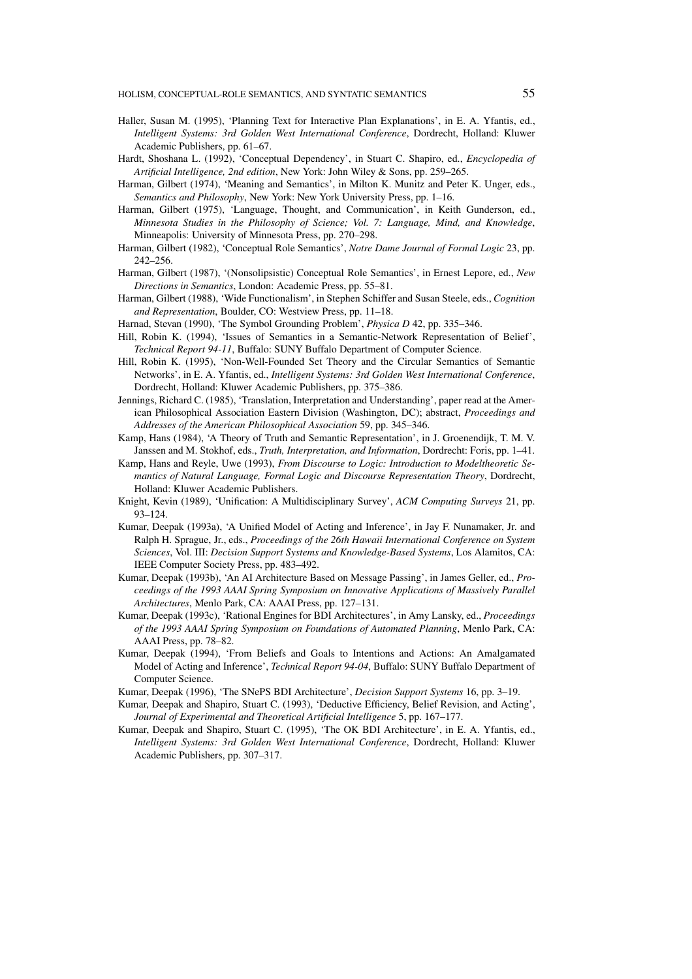- Haller, Susan M. (1995), 'Planning Text for Interactive Plan Explanations', in E. A. Yfantis, ed., *Intelligent Systems: 3rd Golden West International Conference*, Dordrecht, Holland: Kluwer Academic Publishers, pp. 61–67.
- Hardt, Shoshana L. (1992), 'Conceptual Dependency', in Stuart C. Shapiro, ed., *Encyclopedia of Artificial Intelligence, 2nd edition*, New York: John Wiley & Sons, pp. 259–265.
- Harman, Gilbert (1974), 'Meaning and Semantics', in Milton K. Munitz and Peter K. Unger, eds., *Semantics and Philosophy*, New York: New York University Press, pp. 1–16.
- Harman, Gilbert (1975), 'Language, Thought, and Communication', in Keith Gunderson, ed., *Minnesota Studies in the Philosophy of Science; Vol. 7: Language, Mind, and Knowledge*, Minneapolis: University of Minnesota Press, pp. 270–298.
- Harman, Gilbert (1982), 'Conceptual Role Semantics', *Notre Dame Journal of Formal Logic* 23, pp. 242–256.
- Harman, Gilbert (1987), '(Nonsolipsistic) Conceptual Role Semantics', in Ernest Lepore, ed., *New Directions in Semantics*, London: Academic Press, pp. 55–81.
- Harman, Gilbert (1988), 'Wide Functionalism', in Stephen Schiffer and Susan Steele, eds., *Cognition and Representation*, Boulder, CO: Westview Press, pp. 11–18.
- Harnad, Stevan (1990), 'The Symbol Grounding Problem', *Physica D* 42, pp. 335–346.
- Hill, Robin K. (1994), 'Issues of Semantics in a Semantic-Network Representation of Belief', *Technical Report 94-11*, Buffalo: SUNY Buffalo Department of Computer Science.
- Hill, Robin K. (1995), 'Non-Well-Founded Set Theory and the Circular Semantics of Semantic Networks', in E. A. Yfantis, ed., *Intelligent Systems: 3rd Golden West International Conference*, Dordrecht, Holland: Kluwer Academic Publishers, pp. 375–386.
- Jennings, Richard C. (1985), 'Translation, Interpretation and Understanding', paper read at the American Philosophical Association Eastern Division (Washington, DC); abstract, *Proceedings and Addresses of the American Philosophical Association* 59, pp. 345–346.
- Kamp, Hans (1984), 'A Theory of Truth and Semantic Representation', in J. Groenendijk, T. M. V. Janssen and M. Stokhof, eds., *Truth, Interpretation, and Information*, Dordrecht: Foris, pp. 1–41.
- Kamp, Hans and Reyle, Uwe (1993), *From Discourse to Logic: Introduction to Modeltheoretic Semantics of Natural Language, Formal Logic and Discourse Representation Theory*, Dordrecht, Holland: Kluwer Academic Publishers.
- Knight, Kevin (1989), 'Unification: A Multidisciplinary Survey', *ACM Computing Surveys* 21, pp. 93–124.
- Kumar, Deepak (1993a), 'A Unified Model of Acting and Inference', in Jay F. Nunamaker, Jr. and Ralph H. Sprague, Jr., eds., *Proceedings of the 26th Hawaii International Conference on System Sciences*, Vol. III: *Decision Support Systems and Knowledge-Based Systems*, Los Alamitos, CA: IEEE Computer Society Press, pp. 483–492.
- Kumar, Deepak (1993b), 'An AI Architecture Based on Message Passing', in James Geller, ed., *Proceedings of the 1993 AAAI Spring Symposium on Innovative Applications of Massively Parallel Architectures*, Menlo Park, CA: AAAI Press, pp. 127–131.
- Kumar, Deepak (1993c), 'Rational Engines for BDI Architectures', in Amy Lansky, ed., *Proceedings of the 1993 AAAI Spring Symposium on Foundations of Automated Planning*, Menlo Park, CA: AAAI Press, pp. 78–82.
- Kumar, Deepak (1994), 'From Beliefs and Goals to Intentions and Actions: An Amalgamated Model of Acting and Inference', *Technical Report 94-04*, Buffalo: SUNY Buffalo Department of Computer Science.
- Kumar, Deepak (1996), 'The SNePS BDI Architecture', *Decision Support Systems* 16, pp. 3–19.
- Kumar, Deepak and Shapiro, Stuart C. (1993), 'Deductive Efficiency, Belief Revision, and Acting', *Journal of Experimental and Theoretical Artificial Intelligence* 5, pp. 167–177.
- Kumar, Deepak and Shapiro, Stuart C. (1995), 'The OK BDI Architecture', in E. A. Yfantis, ed., *Intelligent Systems: 3rd Golden West International Conference*, Dordrecht, Holland: Kluwer Academic Publishers, pp. 307–317.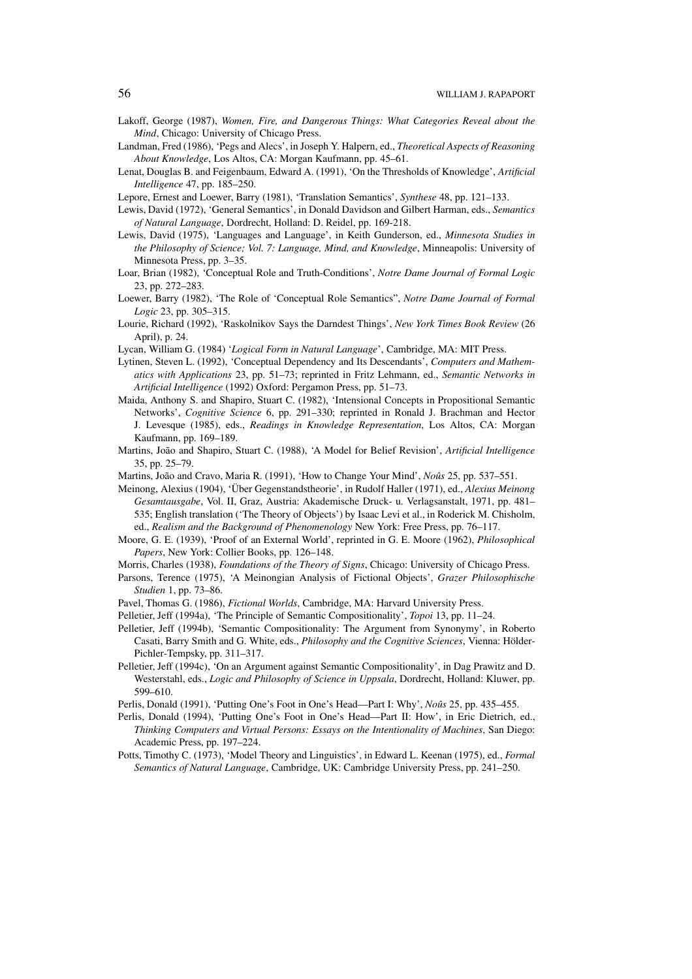- Lakoff, George (1987), *Women, Fire, and Dangerous Things: What Categories Reveal about the Mind*, Chicago: University of Chicago Press.
- Landman, Fred (1986), 'Pegs and Alecs', in Joseph Y. Halpern, ed., *Theoretical Aspects of Reasoning About Knowledge*, Los Altos, CA: Morgan Kaufmann, pp. 45–61.
- Lenat, Douglas B. and Feigenbaum, Edward A. (1991), 'On the Thresholds of Knowledge', *Artificial Intelligence* 47, pp. 185–250.

Lepore, Ernest and Loewer, Barry (1981), 'Translation Semantics', *Synthese* 48, pp. 121–133.

- Lewis, David (1972), 'General Semantics', in Donald Davidson and Gilbert Harman, eds., *Semantics of Natural Language*, Dordrecht, Holland: D. Reidel, pp. 169-218.
- Lewis, David (1975), 'Languages and Language', in Keith Gunderson, ed., *Minnesota Studies in the Philosophy of Science; Vol. 7: Language, Mind, and Knowledge*, Minneapolis: University of Minnesota Press, pp. 3–35.
- Loar, Brian (1982), 'Conceptual Role and Truth-Conditions', *Notre Dame Journal of Formal Logic* 23, pp. 272–283.
- Loewer, Barry (1982), 'The Role of 'Conceptual Role Semantics", *Notre Dame Journal of Formal Logic* 23, pp. 305–315.
- Lourie, Richard (1992), 'Raskolnikov Says the Darndest Things', *New York Times Book Review* (26 April), p. 24.
- Lycan, William G. (1984) '*Logical Form in Natural Language*', Cambridge, MA: MIT Press.
- Lytinen, Steven L. (1992), 'Conceptual Dependency and Its Descendants', *Computers and Mathematics with Applications* 23, pp. 51–73; reprinted in Fritz Lehmann, ed., *Semantic Networks in Artificial Intelligence* (1992) Oxford: Pergamon Press, pp. 51–73.
- Maida, Anthony S. and Shapiro, Stuart C. (1982), 'Intensional Concepts in Propositional Semantic Networks', *Cognitive Science* 6, pp. 291–330; reprinted in Ronald J. Brachman and Hector J. Levesque (1985), eds., *Readings in Knowledge Representation*, Los Altos, CA: Morgan Kaufmann, pp. 169–189.
- Martins, João and Shapiro, Stuart C. (1988), 'A Model for Belief Revision', *Artificial Intelligence* 35, pp. 25–79.
- Martins, João and Cravo, Maria R. (1991), 'How to Change Your Mind', *Noûs* 25, pp. 537–551.
- Meinong, Alexius (1904), 'Über Gegenstandstheorie', in Rudolf Haller (1971), ed., *Alexius Meinong Gesamtausgabe*, Vol. II, Graz, Austria: Akademische Druck- u. Verlagsanstalt, 1971, pp. 481– 535; English translation ('The Theory of Objects') by Isaac Levi et al., in Roderick M. Chisholm, ed., *Realism and the Background of Phenomenology* New York: Free Press, pp. 76–117.
- Moore, G. E. (1939), 'Proof of an External World', reprinted in G. E. Moore (1962), *Philosophical Papers*, New York: Collier Books, pp. 126–148.
- Morris, Charles (1938), *Foundations of the Theory of Signs*, Chicago: University of Chicago Press.
- Parsons, Terence (1975), 'A Meinongian Analysis of Fictional Objects', *Grazer Philosophische Studien* 1, pp. 73–86.
- Pavel, Thomas G. (1986), *Fictional Worlds*, Cambridge, MA: Harvard University Press.
- Pelletier, Jeff (1994a), 'The Principle of Semantic Compositionality', *Topoi* 13, pp. 11–24.
- Pelletier, Jeff (1994b), 'Semantic Compositionality: The Argument from Synonymy', in Roberto Casati, Barry Smith and G. White, eds., *Philosophy and the Cognitive Sciences*, Vienna: Hölder-Pichler-Tempsky, pp. 311–317.
- Pelletier, Jeff (1994c), 'On an Argument against Semantic Compositionality', in Dag Prawitz and D. Westerstahl, eds., *Logic and Philosophy of Science in Uppsala*, Dordrecht, Holland: Kluwer, pp. 599–610.
- Perlis, Donald (1991), 'Putting One's Foot in One's Head—Part I: Why', *Noûs* 25, pp. 435–455.
- Perlis, Donald (1994), 'Putting One's Foot in One's Head—Part II: How', in Eric Dietrich, ed., *Thinking Computers and Virtual Persons: Essays on the Intentionality of Machines*, San Diego: Academic Press, pp. 197–224.
- Potts, Timothy C. (1973), 'Model Theory and Linguistics', in Edward L. Keenan (1975), ed., *Formal Semantics of Natural Language*, Cambridge, UK: Cambridge University Press, pp. 241–250.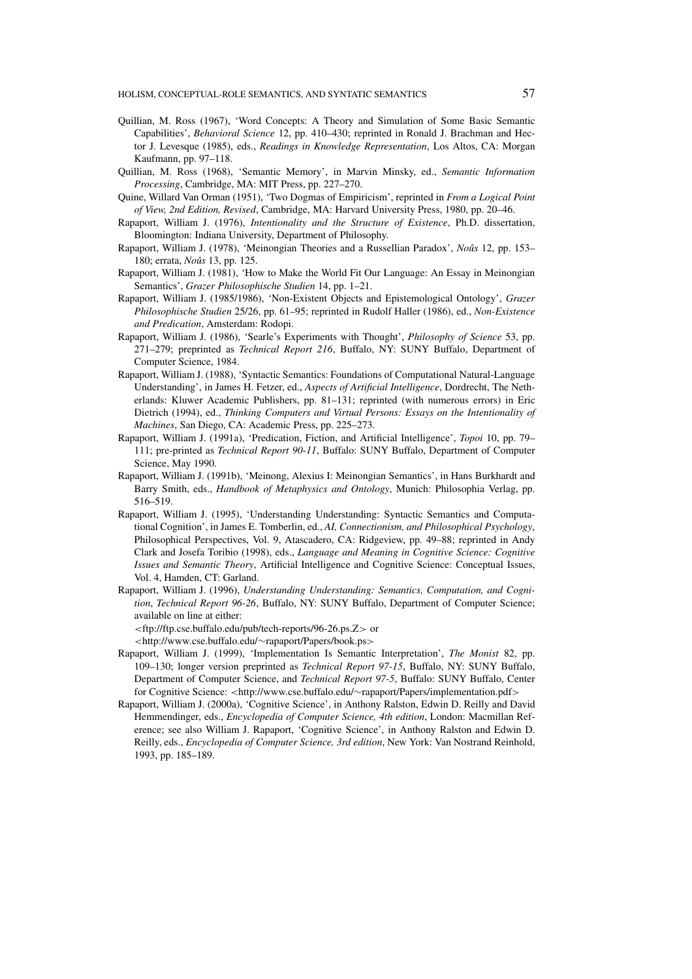- Quillian, M. Ross (1967), 'Word Concepts: A Theory and Simulation of Some Basic Semantic Capabilities', *Behavioral Science* 12, pp. 410–430; reprinted in Ronald J. Brachman and Hector J. Levesque (1985), eds., *Readings in Knowledge Representation*, Los Altos, CA: Morgan Kaufmann, pp. 97–118.
- Quillian, M. Ross (1968), 'Semantic Memory', in Marvin Minsky, ed., *Semantic Information Processing*, Cambridge, MA: MIT Press, pp. 227–270.
- Quine, Willard Van Orman (1951), 'Two Dogmas of Empiricism', reprinted in *From a Logical Point of View, 2nd Edition, Revised*, Cambridge, MA: Harvard University Press, 1980, pp. 20–46.
- Rapaport, William J. (1976), *Intentionality and the Structure of Existence*, Ph.D. dissertation, Bloomington: Indiana University, Department of Philosophy.
- Rapaport, William J. (1978), 'Meinongian Theories and a Russellian Paradox', *Noûs* 12, pp. 153– 180; errata, *Noûs* 13, pp. 125.
- Rapaport, William J. (1981), 'How to Make the World Fit Our Language: An Essay in Meinongian Semantics', *Grazer Philosophische Studien* 14, pp. 1–21.
- Rapaport, William J. (1985/1986), 'Non-Existent Objects and Epistemological Ontology', *Grazer Philosophische Studien* 25/26, pp. 61–95; reprinted in Rudolf Haller (1986), ed., *Non-Existence and Predication*, Amsterdam: Rodopi.
- Rapaport, William J. (1986), 'Searle's Experiments with Thought', *Philosophy of Science* 53, pp. 271–279; preprinted as *Technical Report 216*, Buffalo, NY: SUNY Buffalo, Department of Computer Science, 1984.
- Rapaport, William J. (1988), 'Syntactic Semantics: Foundations of Computational Natural-Language Understanding', in James H. Fetzer, ed., *Aspects of Artificial Intelligence*, Dordrecht, The Netherlands: Kluwer Academic Publishers, pp. 81–131; reprinted (with numerous errors) in Eric Dietrich (1994), ed., *Thinking Computers and Virtual Persons: Essays on the Intentionality of Machines*, San Diego, CA: Academic Press, pp. 225–273.
- Rapaport, William J. (1991a), 'Predication, Fiction, and Artificial Intelligence', *Topoi* 10, pp. 79– 111; pre-printed as *Technical Report 90-11*, Buffalo: SUNY Buffalo, Department of Computer Science, May 1990.
- Rapaport, William J. (1991b), 'Meinong, Alexius I: Meinongian Semantics', in Hans Burkhardt and Barry Smith, eds., *Handbook of Metaphysics and Ontology*, Munich: Philosophia Verlag, pp. 516–519.
- Rapaport, William J. (1995), 'Understanding Understanding: Syntactic Semantics and Computational Cognition', in James E. Tomberlin, ed., *AI, Connectionism, and Philosophical Psychology*, Philosophical Perspectives, Vol. 9, Atascadero, CA: Ridgeview, pp. 49–88; reprinted in Andy Clark and Josefa Toribio (1998), eds., *Language and Meaning in Cognitive Science: Cognitive Issues and Semantic Theory*, Artificial Intelligence and Cognitive Science: Conceptual Issues, Vol. 4, Hamden, CT: Garland.
- Rapaport, William J. (1996), *Understanding Understanding: Semantics, Computation, and Cognition*, *Technical Report 96-26*, Buffalo, NY: SUNY Buffalo, Department of Computer Science; available on line at either:

*<*ftp://ftp.cse.buffalo.edu/pub/tech-reports/96-26.ps.Z*>* or *<*http://www.cse.buffalo.edu/∼rapaport/Papers/book.ps*>*

- Rapaport, William J. (1999), 'Implementation Is Semantic Interpretation', *The Monist* 82, pp. 109–130; longer version preprinted as *Technical Report 97-15*, Buffalo, NY: SUNY Buffalo, Department of Computer Science, and *Technical Report 97-5*, Buffalo: SUNY Buffalo, Center for Cognitive Science: *<*http://www.cse.buffalo.edu/∼rapaport/Papers/implementation.pdf*>*
- Rapaport, William J. (2000a), 'Cognitive Science', in Anthony Ralston, Edwin D. Reilly and David Hemmendinger, eds., *Encyclopedia of Computer Science, 4th edition*, London: Macmillan Reference; see also William J. Rapaport, 'Cognitive Science', in Anthony Ralston and Edwin D. Reilly, eds., *Encyclopedia of Computer Science, 3rd edition*, New York: Van Nostrand Reinhold, 1993, pp. 185–189.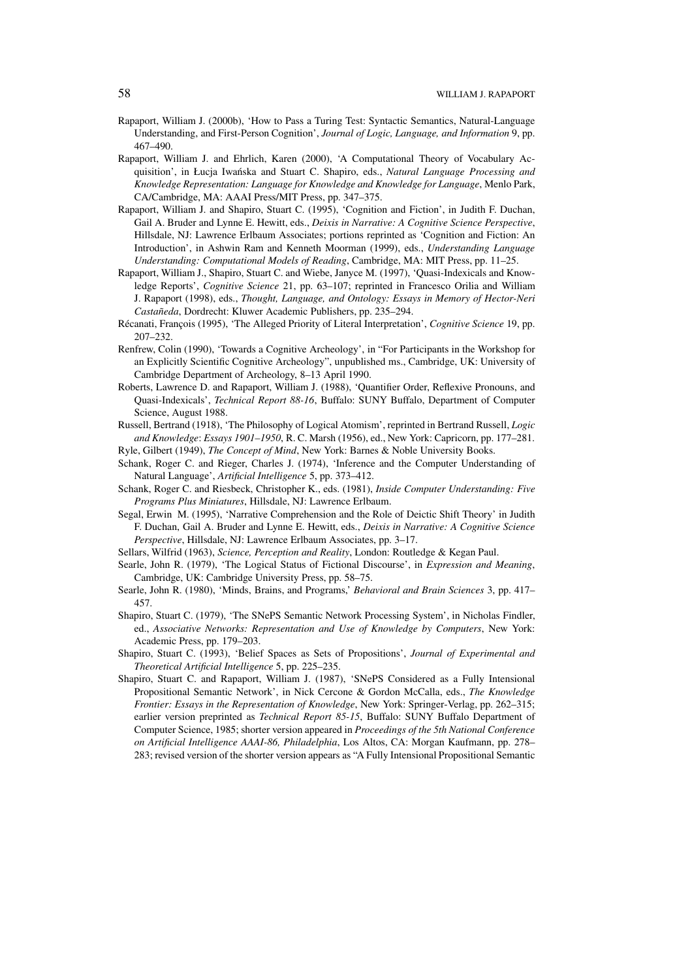- Rapaport, William J. (2000b), 'How to Pass a Turing Test: Syntactic Semantics, Natural-Language Understanding, and First-Person Cognition', *Journal of Logic, Language, and Information* 9, pp. 467–490.
- Rapaport, William J. and Ehrlich, Karen (2000), 'A Computational Theory of Vocabulary Acquisition', in Łucja Iwańska and Stuart C. Shapiro, eds., *Natural Language Processing and Knowledge Representation: Language for Knowledge and Knowledge for Language*, Menlo Park, CA/Cambridge, MA: AAAI Press/MIT Press, pp. 347–375.
- Rapaport, William J. and Shapiro, Stuart C. (1995), 'Cognition and Fiction', in Judith F. Duchan, Gail A. Bruder and Lynne E. Hewitt, eds., *Deixis in Narrative: A Cognitive Science Perspective*, Hillsdale, NJ: Lawrence Erlbaum Associates; portions reprinted as 'Cognition and Fiction: An Introduction', in Ashwin Ram and Kenneth Moorman (1999), eds., *Understanding Language Understanding: Computational Models of Reading*, Cambridge, MA: MIT Press, pp. 11–25.
- Rapaport, William J., Shapiro, Stuart C. and Wiebe, Janyce M. (1997), 'Quasi-Indexicals and Knowledge Reports', *Cognitive Science* 21, pp. 63–107; reprinted in Francesco Orilia and William J. Rapaport (1998), eds., *Thought, Language, and Ontology: Essays in Memory of Hector-Neri Castañeda*, Dordrecht: Kluwer Academic Publishers, pp. 235–294.
- Récanati, François (1995), 'The Alleged Priority of Literal Interpretation', *Cognitive Science* 19, pp. 207–232.
- Renfrew, Colin (1990), 'Towards a Cognitive Archeology', in "For Participants in the Workshop for an Explicitly Scientific Cognitive Archeology", unpublished ms., Cambridge, UK: University of Cambridge Department of Archeology, 8–13 April 1990.
- Roberts, Lawrence D. and Rapaport, William J. (1988), 'Quantifier Order, Reflexive Pronouns, and Quasi-Indexicals', *Technical Report 88-16*, Buffalo: SUNY Buffalo, Department of Computer Science, August 1988.
- Russell, Bertrand (1918), 'The Philosophy of Logical Atomism', reprinted in Bertrand Russell, *Logic and Knowledge*: *Essays 1901–1950*, R. C. Marsh (1956), ed., New York: Capricorn, pp. 177–281. Ryle, Gilbert (1949), *The Concept of Mind*, New York: Barnes & Noble University Books.
- Schank, Roger C. and Rieger, Charles J. (1974), 'Inference and the Computer Understanding of Natural Language', *Artificial Intelligence* 5, pp. 373–412.
- Schank, Roger C. and Riesbeck, Christopher K., eds. (1981), *Inside Computer Understanding: Five Programs Plus Miniatures*, Hillsdale, NJ: Lawrence Erlbaum.
- Segal, Erwin M. (1995), 'Narrative Comprehension and the Role of Deictic Shift Theory' in Judith F. Duchan, Gail A. Bruder and Lynne E. Hewitt, eds., *Deixis in Narrative: A Cognitive Science Perspective*, Hillsdale, NJ: Lawrence Erlbaum Associates, pp. 3–17.
- Sellars, Wilfrid (1963), *Science, Perception and Reality*, London: Routledge & Kegan Paul.
- Searle, John R. (1979), 'The Logical Status of Fictional Discourse', in *Expression and Meaning*, Cambridge, UK: Cambridge University Press, pp. 58–75.
- Searle, John R. (1980), 'Minds, Brains, and Programs,' *Behavioral and Brain Sciences* 3, pp. 417– 457.
- Shapiro, Stuart C. (1979), 'The SNePS Semantic Network Processing System', in Nicholas Findler, ed., *Associative Networks: Representation and Use of Knowledge by Computers*, New York: Academic Press, pp. 179–203.
- Shapiro, Stuart C. (1993), 'Belief Spaces as Sets of Propositions', *Journal of Experimental and Theoretical Artificial Intelligence* 5, pp. 225–235.
- Shapiro, Stuart C. and Rapaport, William J. (1987), 'SNePS Considered as a Fully Intensional Propositional Semantic Network', in Nick Cercone & Gordon McCalla, eds., *The Knowledge Frontier: Essays in the Representation of Knowledge*, New York: Springer-Verlag, pp. 262–315; earlier version preprinted as *Technical Report 85-15*, Buffalo: SUNY Buffalo Department of Computer Science, 1985; shorter version appeared in *Proceedings of the 5th National Conference on Artificial Intelligence AAAI-86, Philadelphia*, Los Altos, CA: Morgan Kaufmann, pp. 278– 283; revised version of the shorter version appears as "A Fully Intensional Propositional Semantic